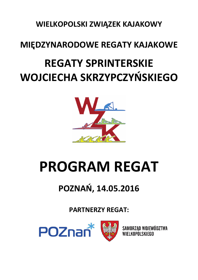**WIELKOPOLSKI ZWIĄZEK KAJAKOWY** 

## **MIĘDZYNARODOWE REGATY KAJAKOWE**

## **REGATY SPRINTERSKIE WOJCIECHA SKRZYPCZYŃSKIEGO**



# **PROGRAM REGAT**

## **POZNAŃ, 14.05.2016**

**PARTNERZY REGAT:** 

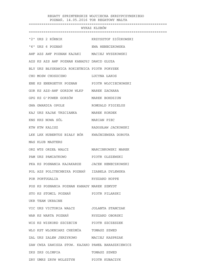#### REGATY SPRINTERSKIE WOJCIECHA SKRZYPCZYNSKIEGO POZNAŃ, 14.05.2016 TOR REGATOWY MALTA

 ================================================================== WYKAZ KLUBÓW ================================================================== "2" UKS 2 KÓRNIK KRZYSZTOF ZIÓłKOWSKI "6" UKS 6 POZNAŃ **EWA HENECZKOWSKA**  AWF AZS AWF POZNAN KAJAKI MACIEJ WYSZKOWSKI AZS KS AZS AWF POZNAN KANADYJ DAWID GLUZA BLY UKS BŁYSKAWICA ROKIETNICA PIOTR PORYSEK CHO MOSW CHOSZCZNO LUCYNA ŁAKOS ENE KS ENERGETYK POZNAN PIOTR WOJCIECHOWSKI GOR KS AZS-AWF GORZOW WLKP MAREK ZACHARA GPG KS G'POWER GORZÓW MAREK BOHDZIUN GWA GWARDIA OPOLE ROMUALD FIGIELUS KAJ UKS KAJAK TRZCIANKA MAREK KORDEK KNS KKS NOWA SÓL MARIAN PIEC KTW KTW KALISZ RADOSŁAW JACKOWSKI LKK LKK HUBERTUS BIAŁY BÓR KWAŚNIEWSKA DOROTA MAS KLUB MASTERS ORZ WTS ORZEŁ WAŁCZ MARCINKOWSKI MAREK PAM UKS PAMIATKOWO PIOTR OLSZEWSKI PKA KS POSNANIA KAJAKARZE JACEK HENECZKOWSKI POL AZS POLITECHNIKA POZNAŃ IZABELA DYLEWSKA POR PORTUGALIA RYSZARD HOPPE POS KS POSNANIA POZNAN KANADY MAREK SZMYDT STO KS STOMIL POZNAŃ PIOTR PILARSKI UKR TEAM UKRAINE VIC UKS VICTORIA WAŁCZ JOLANTA STANCZAK WAR KS WARTA POZNAŃ **RYSZARD OBORSKI** WIS KS WISKORD SZCZECIN PIOTR SZCZESZEK WLO KST WLOKNIARZ CHEłMŻA TOMASZ SZWED ZAL UKS ZALEW JERZYKOWO MACIEJ KASPRZAK ZAW CWZA ZAWISZA STOW. KAJAKO PAWEŁ BARASZKIEWICZ ZKS ZKS OLIMPIA TOMASZ SZWED ZRY UMKS ZRYW WOLSZTYN PIOTR KUBACZYK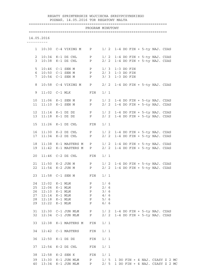#### REGATY SPRINTERSKIE WOJCIECHA SKRZYPCZYNSKIEGO POZNAŃ, 14.05.2016 TOR REGATOWY MALTA

### ==================================================================

|                       |            |                                        | PROGRAM MINUTOWY |       | =============================                                         |
|-----------------------|------------|----------------------------------------|------------------|-------|-----------------------------------------------------------------------|
|                       | 14.05.2016 |                                        |                  |       |                                                                       |
|                       |            | 1 10:30 C-4 VIKING M P                 |                  |       | 1/ 2 1-4 DO FIN + 5-ty NAJ. CZAS                                      |
| 2                     |            | $10:34$ K-1 DZ CHL P                   |                  | 1/2   | 1-4 DO FIN + 5-ty NAJ. CZAS                                           |
| $\mathcal{E}$         |            | 10:38 K-1 DZ CHL P                     |                  |       | 2/ 2 1-4 DO FIN + 5-ty NAJ. CZAS                                      |
|                       |            |                                        |                  |       |                                                                       |
| 5                     |            | $10:46$ C-1 SEN M P                    |                  | 1/3   | $1-3$ DO FIN                                                          |
| 6                     |            | 10:50 C-1 SEN M P                      |                  |       | 2/ 3 1-3 DO FIN                                                       |
| 7                     |            | $10:54$ $C-1$ SEN M P                  |                  | 3/3   | $1-3$ DO FIN                                                          |
| 8                     |            | 10:58 C-4 VIKING M P                   |                  |       | 2/ 2 1-4 DO FIN + 5-ty NAJ. CZAS                                      |
| 9                     |            | $11:02$ $C-1$ MLK                      | FIN              | 1/1   |                                                                       |
| 10 <sub>1</sub>       |            | 11:06 K-1 SEN M P                      |                  |       | 1/ 2 1-4 DO FIN + 5-ty NAJ. CZAS                                      |
| 11                    |            | $11:10$ K-1 SEN M                      | $\mathbf P$      |       | 2/ 2 1-4 DO FIN + 5-ty NAJ. CZAS                                      |
|                       |            |                                        |                  |       |                                                                       |
| 12 <sup>°</sup><br>13 |            | 11:14 K-1 DZ DZ P<br>$11:18$ K-1 DZ DZ | P                |       | $1/2$ 1-4 DO FIN + 5-ty NAJ. CZAS<br>2/ 2 1-4 DO FIN + 5-ty NAJ. CZAS |
|                       |            |                                        |                  |       |                                                                       |
| 15                    | 11:26      | K-1 DZ CHL                             | FIN              | 1/1   |                                                                       |
| 16                    |            | 11:30 K-2 DZ CHL P                     |                  |       | 1/ 2 1-4 DO FIN + 5-ty NAJ. CZAS                                      |
| 17                    |            | $11:34$ K-2 DZ CHL                     | $\mathbf{P}$     |       | 2/ 2 1-4 DO FIN + 5-ty NAJ. CZAS                                      |
| 18                    |            | 11:38 K-1 MASTERS M                    | $\mathbf P$      |       | 1/ 2 1-4 DO FIN + 5-ty NAJ. CZAS                                      |
| 19                    |            | 11:42 K-1 MASTERS M                    | $\mathbf{P}$     |       | 2/ 2 1-4 DO FIN + 5-ty NAJ. CZAS                                      |
| 20                    |            | $11:46$ $C-2$ $DZ$ $CHL$               | FIN              | 1/1   |                                                                       |
| 21                    |            | $11:50$ K-2 JUN M P                    |                  |       | 1/ 2 1-4 DO FIN + 5-ty NAJ. CZAS                                      |
| 22                    |            | $11:54$ K-2 JUN M                      | $\, {\bf P}$     |       | 2/ 2 1-4 DO FIN + 5-ty NAJ. CZAS                                      |
|                       |            |                                        |                  |       |                                                                       |
|                       |            | 23 11:58 C-1 SEN M FIN                 |                  | 1/1   |                                                                       |
| 24                    | 12:02      | K-1 MLM                                | Ρ                | 1/6   |                                                                       |
| 25                    |            | $12:06$ K-1 MLM                        | ${\bf P}$        | 2/6   |                                                                       |
| 26                    | 12:10      | K-1 MLM                                | ${\bf P}$        | 3/6   |                                                                       |
| 27                    |            | 12:14 K-1 MLM                          | ${\bf P}$        | 4/6   |                                                                       |
| 28                    |            | 12:18 K-1 MLM                          | $\mathbf{P}$     | 5/6   |                                                                       |
| 29                    |            | 12:22 K-1 MLM                          | $\mathbf P$      | 6/6   |                                                                       |
| 31                    |            | $12:30$ $C-1$ JUN MLM                  | P                | 1/2   | 1-4 DO FIN + 5-ty NAJ. CZAS                                           |
| 32                    |            | 12:34 C-1 JUN MLM                      | P                | 2/2   | 1-4 DO FIN + 5-ty NAJ. CZAS                                           |
| 33                    | 12:38      | K-1 MASTERS M                          | FIN              | 1/1   |                                                                       |
| 34                    |            | 12:42 C-1 MASTERS                      | FIN              | $1/1$ |                                                                       |
| 36                    | 12:50      | K-1 DZ DZ                              | FIN              | $1/1$ |                                                                       |
| 37                    |            | 12:54 K-2 DZ CHL                       | FIN              | 1/1   |                                                                       |
|                       |            |                                        |                  |       |                                                                       |
| 38                    |            | 12:58 K-2 SEN K                        | FIN              | 1/1   |                                                                       |
| 39                    |            | 13:30 K-1 JUN MLM                      | P                |       | 1/ 5 1 DO FIN + 4 NAJ. CZASY Z 2 MC                                   |

40 13:34 K-1 JUN MLM P 2/ 5 1 DO FIN + 4 NAJ. CZASY Z 2 MC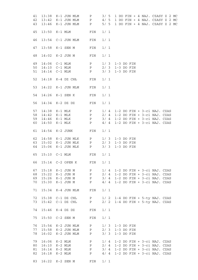| 41 | 13:38 | K-1 JUN MLM      | P            | 3/5   | 1 DO FIN + 4 NAJ. CZASY Z 2 MC    |
|----|-------|------------------|--------------|-------|-----------------------------------|
| 42 | 13:42 | K-1 JUN MLM      | $\mathbf{P}$ | 4/5   | 1 DO FIN + 4 NAJ. CZASY Z 2 MC    |
| 43 | 13:46 | K-1 JUN MLM      | $\mathbf{P}$ | 5/5   | 1 DO FIN + 4 NAJ. CZASY Z 2 MC    |
|    |       |                  |              |       |                                   |
|    |       |                  |              |       |                                   |
| 45 | 13:50 | $K-1$ MLM        | FIN          | 1/1   |                                   |
|    |       |                  |              |       |                                   |
| 46 | 13:54 | $C-1$ JUN MLM    | FIN          | 1/1   |                                   |
|    |       |                  |              |       |                                   |
|    |       |                  |              |       |                                   |
| 47 | 13:58 | K-1 SEN M        | FIN          | 1/1   |                                   |
|    |       |                  |              |       |                                   |
| 48 | 14:02 | K-2 JUN M        | FIN          | 1/1   |                                   |
|    |       |                  |              |       |                                   |
| 49 | 14:06 | $C-1$ MLM        | $\mathbf{P}$ | 1/3   | $1-3$ DO FIN                      |
| 50 |       |                  |              | 2/3   |                                   |
|    | 14:10 | $C-1$ MLM        | P            |       | $1-3$ DO FIN                      |
| 51 | 14:14 | $C-1$ MLM        | $\mathbf{P}$ | 3/3   | $1-3$ DO FIN                      |
|    |       |                  |              |       |                                   |
| 52 | 14:18 | $K-4$ DZ CHŁ     | FIN          | $1/1$ |                                   |
|    |       |                  |              |       |                                   |
| 53 | 14:22 | K-1 JUN MLM      | FIN          | $1/1$ |                                   |
|    |       |                  |              |       |                                   |
|    |       |                  |              |       |                                   |
| 54 | 14:26 | $K-1$ SEN K      | FIN          | $1/1$ |                                   |
|    |       |                  |              |       |                                   |
| 56 | 14:34 | $K-2$ DZ DZ      | FIN          | 1/1   |                                   |
|    |       |                  |              |       |                                   |
| 57 | 14:38 | K-1 MLK          | P            | 1/4   | $1-2$ DO FIN + $3-ci$ NAJ. CZAS   |
| 58 | 14:42 | K-1 MLK          | P            | 2/4   | $1-2$ DO FIN + $3-ci$ NAJ. CZAS   |
|    |       |                  |              |       |                                   |
| 59 | 14:46 | K-1 MLK          | $\mathbf{P}$ | 3/4   | $1-2$ DO FIN + $3-ci$ NAJ. CZAS   |
| 60 | 14:50 | $K-1$ MLK        | P            | 4/4   | $1-2$ DO FIN + $3-ci$ NAJ. CZAS   |
|    |       |                  |              |       |                                   |
| 61 | 14:54 | K-2 JUNK         | FIN          | $1/1$ |                                   |
|    |       |                  |              |       |                                   |
| 62 | 14:58 | K-1 JUN MLK      | P            | 1/3   | $1-3$ DO FIN                      |
| 63 | 15:02 | K-1 JUN MLK      | P            | 2/3   | $1-3$ DO FIN                      |
| 64 | 15:06 | K-1 JUN MLK      | P            | 3/3   | $1-3$ DO FIN                      |
|    |       |                  |              |       |                                   |
|    |       |                  |              |       |                                   |
| 65 | 15:10 | $C-1$ MLM        | FIN          | 1/1   |                                   |
|    |       |                  |              |       |                                   |
| 66 |       | 15:14 C-2 OPEN K | FIN          | 1/1   |                                   |
|    |       |                  |              |       |                                   |
| 67 | 15:18 | K-1 JUN M        | P            | 1/4   | $1-2$ DO FIN + $3-ci$ NAJ. CZAS   |
| 68 | 15:22 | K-1 JUN M        | $\mathbf{P}$ | 2/4   | $1-2$ DO FIN + $3-ci$ NAJ. CZAS   |
| 69 |       | 15:26 K-1 JUN M  | $\mathbf{P}$ | 3/4   | 1-2 DO FIN + 3-ci NAJ. CZAS       |
|    |       |                  |              |       |                                   |
| 70 | 15:30 | K-1 JUN M        | $\mathbf P$  |       | $4/4$ 1-2 DO FIN + 3-ci NAJ. CZAS |
|    |       |                  |              |       |                                   |
| 71 | 15:34 | K-4 JUN MLM      | FIN          | 1/1   |                                   |
|    |       |                  |              |       |                                   |
| 72 |       | 15:38 C-1 DZ CHL | $\mathbf{P}$ |       | 1/ 2 1-4 DO FIN + 5-ty NAJ. CZAS  |
| 73 |       | 15:42 C-1 DZ CHL | P            |       | 2/ 2 1-4 DO FIN + 5-ty NAJ. CZAS  |
|    |       |                  |              |       |                                   |
|    |       |                  |              |       |                                   |
| 74 | 15:46 | K-4 DZ DZ        | FIN          | 1/1   |                                   |
|    |       |                  |              |       |                                   |
| 75 | 15:50 | C-2 SEN M        | FIN          | 1/1   |                                   |
|    |       |                  |              |       |                                   |
| 76 | 15:54 | K-2 JUN MLM      | $\mathbf{P}$ | 1/3   | $1-3$ DO FIN                      |
| 77 | 15:58 | K-2 JUN MLM      | P            | 2/3   | $1-3$ DO FIN                      |
|    |       |                  |              |       |                                   |
| 78 | 16:02 | K-2 JUN MLM      | Ρ            | 3/3   | $1-3$ DO FIN                      |
|    |       |                  |              |       |                                   |
| 79 | 16:06 | K-2 MLM          | P            | 1/4   | $1-2$ DO FIN + $3-ci$ NAJ. CZAS   |
| 80 | 16:10 | $K-2$ MLM        | $\mathbf{P}$ | 2/4   | 1-2 DO FIN + 3-ci NAJ. CZAS       |
| 81 | 16:14 | $K-2$ MLM        | $\mathbf{P}$ | 3/4   | 1-2 DO FIN + 3-ci NAJ. CZAS       |
| 82 | 16:18 | $K-2$ MLM        | $\mathbf{P}$ | 4/4   | $1-2$ DO FIN + $3-ci$ NAJ. CZAS   |
|    |       |                  |              |       |                                   |
|    |       |                  |              |       |                                   |
| 83 |       | 16:22 K-2 SEN M  | FIN          | 1/1   |                                   |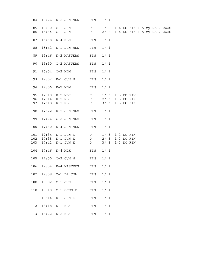| 84       | 16:26 | K-2 JUN MLK                    | FIN          | 1/1 |                                                                      |  |
|----------|-------|--------------------------------|--------------|-----|----------------------------------------------------------------------|--|
| 85<br>86 |       | 16:30 C-1 JUN<br>16:34 C-1 JUN | P<br>P       |     | 1/ 2 1-4 DO FIN + 5-ty NAJ. CZAS<br>2/ 2 1-4 DO FIN + 5-ty NAJ. CZAS |  |
| 87       | 16:38 | $K-4$ MLM                      | FIN          | 1/1 |                                                                      |  |
| 88       | 16:42 | K-1 JUN MLK                    | FIN          | 1/1 |                                                                      |  |
| 89       | 16:46 | K-2 MASTERS                    | FIN          | 1/1 |                                                                      |  |
| 90       | 16:50 | C-2 MASTERS                    | FIN          | 1/1 |                                                                      |  |
| 91       | 16:54 | $C-2$ MLM                      | FIN          | 1/1 |                                                                      |  |
| 93       | 17:02 | $K-1$ JUN M                    | FIN          | 1/1 |                                                                      |  |
| 94       | 17:06 | $K-2$ MLM                      | FIN          | 1/1 |                                                                      |  |
| 95       | 17:10 | $K-2$ MLK                      | $\mathbf P$  |     | $1/3$ $1-3$ DO FIN                                                   |  |
| 96       | 17:14 | $K-2$ MLK                      | $\mathbf{P}$ |     | 2/ 3 1-3 DO FIN                                                      |  |
| 97       | 17:18 | $K-2$ MLK                      | $\mathbf P$  | 3/3 | $1-3$ DO FIN                                                         |  |
| 98       | 17:22 | K-2 JUN MLM                    | ${\tt FIN}$  | 1/1 |                                                                      |  |
| 99       |       | 17:26 C-2 JUN MLM              | FIN          | 1/1 |                                                                      |  |
| 100      | 17:30 | K-4 JUN MLK                    | FIN          | 1/1 |                                                                      |  |
| 101      | 17:34 | $K-1$ JUN K                    | $\mathbf{P}$ |     | $1/3$ $1-3$ DO FIN                                                   |  |
| 102      |       | 17:38 K-1 JUN K                | $\mathbf{P}$ |     | 2/ 3 1-3 DO FIN                                                      |  |
| 103      | 17:42 | $K-1$ JUN K                    | $\mathbf{P}$ | 3/3 | $1-3$ DO FIN                                                         |  |
| 104      | 17:46 | $K-4$ MLK                      | FIN          | 1/1 |                                                                      |  |
| 105      | 17:50 | $C-2$ JUN M                    | FIN          | 1/1 |                                                                      |  |
| 106      |       | $17:54$ K-4 MASTERS            | FIN          | 1/1 |                                                                      |  |
| 107      | 17:58 | C-1 DZ CHL                     | FIN          | 1/1 |                                                                      |  |
| 108      | 18:02 | $C-1$ JUN                      | FIN          | 1/1 |                                                                      |  |
| 110      | 18:10 | C-1 OPEN K                     | FIN          | 1/1 |                                                                      |  |
| 111      | 18:14 | $K-1$ JUN K                    | FIN          | 1/1 |                                                                      |  |
| 112      | 18:18 | K-1 MLK                        | FIN          | 1/1 |                                                                      |  |
| 113      | 18:22 | $K-2$ MLK                      | FIN          | 1/1 |                                                                      |  |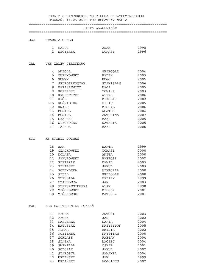#### REGATY SPRINTERSKIE WOJCIECHA SKRZYPCZYNSKIEGO

#### POZNAŃ, 14.05.2016 TOR REGATOWY MALTA

#### ==================================================================

#### LISTA ZAWODNIKÓW

#### ==================================================================

#### GWA GWARDIA OPOLE

| - | KALUS    | ADAM  | QQK |
|---|----------|-------|-----|
| ↩ | SZCZERBA | UKASZ | QQ6 |

#### ZAL UKS ZALEW JERZYKOWO

| 4   | ANIOLA        | GRZEGORZ      | 2004 |
|-----|---------------|---------------|------|
| 5   | CHEŁMOWSKI    | RADEK         | 2003 |
| 6   | GUMNY         | HUGO          | 2005 |
| 7   | JEDROSZKOWIAK | STANISŁAW     | 2006 |
| 8   | KARASIEWICZ   | MAJA          | 2005 |
| 9   | KOPERSKI      | TOMASZ        | 2003 |
| 10  | KRUSZWICKI    | ALEKS         | 2006 |
| 11  | KRÓL          | MIKOŁAJ       | 2002 |
| 615 | KUŚNIEREK     | FILIP         | 2005 |
| 12  | KWARC         | MICHAŁ        | 2006 |
| 13  | MUSIOŁ        | <b>WOJTEK</b> | 2004 |
| 14  | MUSIOŁ        | ANTONINA      | 2007 |
| 15  | SKAPSKI       | MAKS          | 2005 |
| 16  | WIECZOREK     | NATALIA       | 2005 |
| 17  | <b>LABEDA</b> | MAKS          | 2006 |

#### STO KS STOMIL POZNAŃ

| 18 | BAK            | <b>MARTA</b>   | 1999 |
|----|----------------|----------------|------|
| 19 | CZAJKOWSKI     | TOMASZ         | 2000 |
| 20 | <b>DOLATA</b>  | ANITA          | 2000 |
| 21 | JAKUBOWSKI     | <b>BARTOSZ</b> | 2002 |
| 22 | PIETRZAK       | KAMIL          | 2003 |
| 23 | PILARSKI       | JAKUB          | 2003 |
| 24 | PODBYLSKA      | WIKTORIA       | 2000 |
| 25 | SIDEL          | GRZEGORZ       | 2000 |
| 26 | STRUGAŁA       | CEZARY         | 1999 |
| 27 | SZAROLETA      | JAN            | 2003 |
| 28 | SZERSZENIEWSKI | ALAN           | 1998 |
| 29 | ZIÓŁKOWSKI     | MIŁOSZ         | 2001 |
| 30 | ZIÓŁKOWSKI     | MATEUSZ        | 2001 |

#### POL AZS POLITECHNIKA POZNAŃ

| 31 | FECEK           | ANTONI        | 2003 |
|----|-----------------|---------------|------|
| 32 | FECEK           | JAN           | 2002 |
| 33 | KASPEREK        | DARIA         | 2004 |
| 34 | MATUSZAK        | KRZYSZTOF     | 2005 |
| 35 | PINNA           | <b>EMILIA</b> | 2002 |
| 36 | POZIEMBA        | KRYSTIAN      | 2000 |
| 37 | <b>SCHLABS</b>  | FABIAN        | 2004 |
| 38 | SIATKA          | MACIEJ        | 2004 |
| 39 | <b>SMEKTALA</b> | OSKAR         | 2001 |
| 40 | SOBCZAK         | JAKUB         | 2002 |
| 41 | STAROSTA        | SAMANTA       | 2004 |
| 42 | URBAŃSKI        | JAN           | 1999 |
| 43 | URBAŃSKI        | WOJCIECH      | 2002 |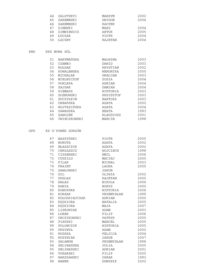| 44 | ZALUTSKYI  | MAKSYM       | 2002 |
|----|------------|--------------|------|
| 45 | ZAREMBSKI  | GWIDON       | 2004 |
| 46 | ZAREMBSKI  | KACPER       |      |
| 47 | ZIEMSKI    | MAKS         | 2004 |
| 48 | ZIMNIEWICZ | ARTUR        | 2005 |
| 49 | ŁUCZAK     | <b>PIOTR</b> | 2004 |
| 50 | ŁACZNY     | KAJETAN      | 2004 |

KNS KKS NOWA SÓL

| 51 | BARTMAŃSKA   | MALWINA   | 2003 |
|----|--------------|-----------|------|
| 52 | CZEMKO       | DAWID     | 2003 |
| 53 | HOŁDAK       | KRYSTIAN  | 2002 |
| 54 | KOWALEWSKA   | WERONIKA  | 2000 |
| 55 | MICHALAK     | GRACJAN   | 2003 |
| 56 | MIELNICZUK   | ZOSIA     | 2004 |
| 57 | POKLEPA      | ADRIAN    | 2004 |
| 58 | SAJDAK       | DAMIAN    | 2004 |
| 59 | SIEMASZ      | WIKTORIA  | 2003 |
| 60 | SOSNOWSKI    | KRZYSZTOF | 2003 |
| 61 | SUCZYŁKIN    | BARTOSZ   | 2003 |
| 62 | URBAŃSKA     | AGATA     | 2002 |
| 63 | WOJTASIŃSKA  | AGATA     | 2004 |
| 64 | ZAWADZKA     | BEATA     | 1993 |
| 65 | ZAWOJEK      | KLAUDIUSZ | 2001 |
| 66 | ŚWIECZKOWSKI | MARCIN    | 1998 |

GPG KS G'POWER GORZÓW

| 67 | BASZYŃSKI      | PIOTR        | 2005 |
|----|----------------|--------------|------|
| 68 | BORUTA         | AGATA        | 2002 |
| 69 | BŁASZCZYK      | AGATA        | 2002 |
| 70 | CHRZĄSZCZ      | WOJCIECH     | 1998 |
| 71 | CISZEWSKI      | <b>EMIL</b>  | 2006 |
| 72 | CUDZILO        | MACIEJ       | 2005 |
| 73 | FILAK          | MICHAL       | 2003 |
| 74 | FRAINT         | LAURA        | 2005 |
| 75 | GAWŁOWSKI      | <b>JAKUB</b> |      |
| 76 | GIL            | OLIWIA       | 2002 |
| 77 | GUGLAS         | KAJETAN      | 2005 |
| 78 | HAŁAS          | NIKOLA       | 2006 |
| 79 | KANIA          | <b>BORYS</b> | 2000 |
| 80 | KONOPSKA       | WIKTORIA     | 2006 |
| 81 | KORSAK         | PRZEMYSŁAW   | 1999 |
| 82 | KOŁODZIEJCZAK  | ADRIAN       | 2000 |
| 83 | KEDZIORA       | NATALIA      | 2005 |
| 84 | KĘDZIORA       | MAJA         | 2007 |
| 85 | LISKOWIAK      | ADAM         | 2003 |
| 86 | LOREK          | FILIP        | 2006 |
| 87 | ORCZYKOWSKI    | PATRYK       | 2000 |
| 88 | PIAŃSKI        | MARCEL       | 2005 |
| 89 | POLOWCZYK      | WIKTORIA     | 2005 |
| 90 | PRZYBYŁ        | ADAM         | 2002 |
| 91 | RUDZKA         | FELICJA      | 2004 |
| 92 | RUSYNIAK       | JAKUB        | 2007 |
| 93 | <b>SALAMON</b> | PRZEMYSŁAW   | 1998 |
| 94 | SELIWAŃSKA     | JULIA        | 2005 |
| 95 | SELIWAŃSKI     | ADRIAN       | 2001 |
| 96 | TOKARSKI       | FILIP        | 2005 |
| 97 | WARSZAWSKI     | OSKAR        | 1993 |
| 98 | WAWER          | DOMINIK      | 2002 |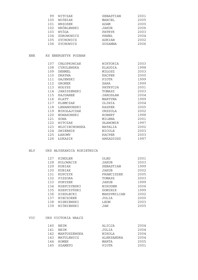| 99  | WITCZAK    | SEBASTIAN     | 2001 |
|-----|------------|---------------|------|
| 100 | WOŹNIAK    | MARCEL        | 2005 |
| 101 | WRZOSEK    | ADAM          | 2000 |
| 102 | WRÓBLEWSKI | <b>JAKUB</b>  | 2006 |
| 103 | WYŻGA      | <b>PATRYK</b> | 2003 |
| 104 | ZDROWOWICZ | PAWEŁ         | 2004 |
| 105 | ZYCHOWICZ  | ADRIAN        | 2002 |
| 106 | ZYCHOWICZ  | ZUZANNA       | 2006 |

#### ENE KS ENERGETYK POZNAN

| 107 | CHŁOPKOWIAK   | WIKTORIA  | 2003 |
|-----|---------------|-----------|------|
| 108 | CYRULEWSKA    | KLAUDIA   | 1998 |
| 109 | <b>DEHMEL</b> | MIŁOSZ    | 2003 |
| 110 | <b>DRATWA</b> | KACPER    | 2000 |
| 111 | GAJEWSKI      | PIOTR     | 1999 |
| 112 | <b>GRONEK</b> | SARA      | 1999 |
| 113 | HOŁYSZ        | PATRYCJA  | 2001 |
| 114 | JANISZEWSKI   | TOMASZ    | 2003 |
| 115 | KAJDANEK      | JAROSŁAW  | 2004 |
| 116 | KLATT         | MARTYNA   | 1999 |
| 117 | KLEMCZAK      | OLIWIA    | 2004 |
| 118 | LEWANDOWSKI   | KASPER    | 2005 |
| 119 | MIKOŁAJCZAK   | URSZULA   | 2002 |
| 120 | NOWAKOWSKI    | ROBERT    | 1998 |
| 121 | SOWA          | MILENA    | 2001 |
| 122 | WITCZAK       | SŁAWOMIR  | 1997 |
| 123 | WOJCIECHOWSKA | NATALIA   | 2002 |
| 124 | ZWIERNIK      | NICOLE    | 2003 |
| 125 | ŁAKOMY        | KACPER    | 2003 |
| 126 | ŁUKASIK       | ARKADIUSZ | 1997 |

#### BLY UKS BŁYSKAWICA ROKIETNICA

| 127 | KINDLER     | OLEG        | 2001 |
|-----|-------------|-------------|------|
| 128 | KOLOWACIK   | JAKUB       | 2003 |
| 129 | KUBIAK      | SEBASTIAN   | 1999 |
| 130 | KUBIAK      | JAKUB       | 2002 |
| 131 | KUPCZYK     | FRANCISZEK  | 2005 |
| 132 | PISZORA     | TOMASZ      | 2003 |
| 133 | PORYSEK     | JAKUB       | 1999 |
| 134 | RZEPCZYNSKI | NIKODEM     | 2006 |
| 135 | RZEPCZYŃSKI | DOMINIK     | 1999 |
| 136 | SIEDLECKI   | MAKSYMILIAN | 2002 |
| 137 | WIECZOREK   | JULIA       | 2000 |
| 138 | WISNIEWSKI  | LEON        | 2003 |
| 139 | WIŚNIEWSKI  | JAN         | 2005 |

#### VIC UKS VICTORIA WAŁCZ

| 140  | BEIM         | ALICJA       | 2004 |
|------|--------------|--------------|------|
| 141  | <b>RETM</b>  | JULIA        | 2004 |
| 142. | MARTUSZEWSKA | NIKOLA       | 2004 |
| 143  | MATULEWICZ   | ALEKSANDRA   | 2004 |
| 144  | ROMEK        | MARTA        | 2005 |
| 145  | SZAMETO      | <b>PIOTR</b> | 2001 |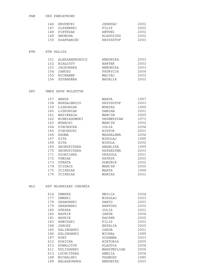|     | 146 KRUPECKI   | JEDRZEJ   | 2002 |
|-----|----------------|-----------|------|
|     | 147 OLSZEWSKI  | FTLTP     | 2002 |
|     | 148 PIETRZAK   | ANTONI    | 2002 |
| 149 | SWOBODA        | KLAUDIUSZ | 2002 |
|     | 150 SZAFRANIEC | KRZYSZTOF | 2003 |

#### KTW KTW KALISZ

| 151 | ALEKSANDROWICZ | WERONIKA      | 2003 |
|-----|----------------|---------------|------|
| 152 | BIAŁOŻYT       | <b>BARTEK</b> | 2003 |
| 153 | JACKOWSKA      | WERONIKA      | 2003 |
| 154 | JANUSZ         | PATRYCJA      | 2004 |
| 155 | KOCHANEK       | MACIEJ        | 2002 |
|     | 156 SZTANDERA  | NATALIA       | 2003 |

#### ZRY UMKS ZRYW WOLSZTYN

| 157 | <b>BERUS</b>     | MARTA         | 1997 |
|-----|------------------|---------------|------|
| 158 | BURDAJEWICZ      | KRZYSZTOF     | 2003 |
| 159 | LISKOWIAK        | MONIKA        | 1999 |
| 160 | LISKOWIAK        | DAMIAN        | 2001 |
| 161 | <b>NAPIERAIA</b> | MARCIN        | 2000 |
| 162 | NIEWIADOMSKI     | PRZEMYSłAW    | 1973 |
| 163 | NOWACKI          | MARCIN        | 2002 |
| 164 | PIECHOCKA        | JULIA         | 2004 |
| 165 | PIECHOCKI        | WIKTOR        | 2001 |
| 166 | RADNA            | MAGDALENA     | 2004 |
| 167 | SITA             | MIKOLAJ       | 1999 |
| 168 | SITA             | NIKOLA        | 2002 |
| 169 | SKORUPIŃSKA      | ANGELIKA      | 1999 |
| 170 | SKORUPIŃSKA      | KATARZYNA     | 2003 |
| 171 | SłOWIńSKA        | URSZULA       | 2001 |
| 172 | TOMIAK           | <b>PATRYK</b> | 2003 |
| 173 | <b>UTRATA</b>    | DOMINIK       | 2002 |
| 174 | ŚCIGACZ          | MARCIN        | 2000 |
| 175 | ŚCIPNIAK         | MARTA         | 1999 |
| 176 | <b>SCIPNIAK</b>  | MONIKA        | 2001 |

#### WLO KST WLOKNIARZ CHEłMŻA

| 614 | DEMSKA      | EMILIA        | 2004 |
|-----|-------------|---------------|------|
| 177 | DEMSKI      | MIKOŁAJ       | 2003 |
| 178 | GRABOWSKI   | DAWID         | 2003 |
| 179 | GRABOWSKI   | BARTOSZ       | 2000 |
| 180 | GÓRSKA      | JULIA         | 2001 |
| 182 | HAPKIE      | JAKUB         | 2004 |
| 181 | HAPKIE      | <b>KACPER</b> | 2005 |
| 183 | HUMIŃSKI    | FILIP         | 2003 |
| 184 | JAROSZ      | NATALIA       | 2000 |
| 185 | KALINOWSKI  | JAKUB         | 2001 |
| 186 | KALINOWSKI  | MICHAŁ        | 1999 |
| 187 | KORT        | ZUZANNA       | 2003 |
| 612 | KOSICKA     | WIKTORIA      | 2005 |
| 613 | KOWALCZYK   | KLAUDIA       | 2004 |
| 611 | KULIGOWSKI  | MAKSYMILIAN   | 2006 |
| 613 | LUCHCIŃSKA  | AMELIA        | 2004 |
| 188 | MICHALSKI   | TADEUSZ       | 1985 |
| 189 | NALASKOWSKA | WERONIKA      | 2003 |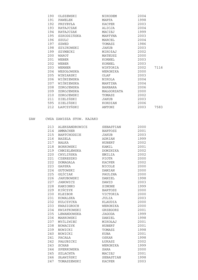| 190 | OLSZEWSKI   | NIKODEM    | 2004 |      |
|-----|-------------|------------|------|------|
| 191 | PAWELEK     | MARTA      | 1998 |      |
| 192 | PRZYBYŁA    | KACPER     | 2003 |      |
| 193 | RATAJCZAK   | ALICJA     | 2004 |      |
| 194 | RATAJCZAK   | MACIEJ     | 1999 |      |
| 195 | SZKODZIŃSKA | MARTYNA    | 2003 |      |
| 196 | SZULC       | MARCEL     | 2004 |      |
| 197 | SZWED       | TOMASZ     | 1986 |      |
| 198 | SZYJKOWSKI  | JAKUB      | 2003 |      |
| 199 | SZYMECKI    | MIKOłAJ    | 2002 |      |
| 200 | WAROT       | MATEUSZ    | 2000 |      |
| 201 | WEBER       | KORNEL     | 2003 |      |
| 202 | WEBER       | KORNEL     | 2003 |      |
| 203 | WERNER      | WIKTORIA   | 2002 | 7116 |
| 204 | WESOŁOWSKA  | WERONIKA   | 2000 |      |
| 205 | WINIARSKI   | OLAF       | 2003 |      |
| 206 | WIŚNIEWSKA  | NIKOLA     | 2004 |      |
| 207 | WIŚNIEWSKA  | MARTINA    | 2004 |      |
| 208 | ZDROJEWSKA  | BARBARA    | 2006 |      |
| 209 | ZDROJEWSKA  | MAŁGORZATA | 2000 |      |
| 210 | ZDROJEWSKI  | TOMASZ     | 2002 |      |
| 211 | ZIELIŃSKI   | JAKUB      | 2003 |      |
| 595 | ZIELIŃSKI   | KORDIAN    | 2006 |      |
| 212 | ŁAPCZYŃSKI  | ANTONI     | 2003 | 7583 |

### ZAW CWZA ZAWISZA STOW. KAJAKO

| 213 | ALEKSANDROWICZ  | SEBASTIAN      | 2000 |
|-----|-----------------|----------------|------|
| 214 | AMMACHER        | <b>BARTOSZ</b> | 2001 |
| 215 | BARTCHODZIE     | JAKUB          | 2003 |
| 216 | BAZELA          | ADRIAN         | 1999 |
| 217 | BAŁKA           | <b>HUBERT</b>  | 2002 |
| 218 | BORKOWSKI       | KAMIL          | 2001 |
| 219 | CHMIELEWSKA     | DOMINIKA       | 2002 |
| 220 | CHYLIŃSKA       | EMILIA         | 2002 |
| 221 | CZERESZKO       | PIOTR          | 2000 |
| 222 | <b>DOMAGALA</b> | KACPER         | 2002 |
| 223 | GAPSKA          | <b>NICOLE</b>  | 2000 |
| 224 | GUTOWSKI        | DAMIAN         | 2000 |
| 225 | GĘŚCIAK         | PAULINA        | 2000 |
| 226 | JAKUBOWSKI      | DANIEL         | 1998 |
| 227 | <b>JANOWICZ</b> | DAWID          | 2003 |
| 228 | KAMIONKO        | SIMONE         | 1999 |
| 229 | KIŃCZYK         | BARTOSZ        | 2000 |
| 230 | KLEIBOR         | VICTORIA       | 2000 |
| 231 | KOWALSKA        | JULIA          | 2003 |
| 232 | KULCZYCKA       | KLAUDIA        | 2000 |
| 233 | KWASIGROCH      | WERONIKA       | 2000 |
| 234 | KWIATKOWSKI     | GRZEGORZ       | 2001 |
| 235 | LEWANDOWSKA     | <b>JAGODA</b>  | 1999 |
| 236 | MARKOWSKI       | DANIEL         | 1998 |
| 237 | MYŚLIWIEC       | MIKOŁAJ        | 2001 |
| 238 | NOWACZYK        | <b>HUBERT</b>  | 2001 |
| 239 | NOWICKI         | TOMASZ         | 1998 |
| 240 | NOWICKI         | KUBA           | 2001 |
| 241 | PACAŁA          | OSKAR          | 1998 |
| 242 | PAŁUBICKI       | ŁUKASZ         | 2002 |
| 243 | <b>SCHAB</b>    | WERONIKA       | 1999 |
| 244 | SPERKOWSKA      | SARA           | 2000 |
| 245 | <b>SZLACHTA</b> | MACIEJ         | 2001 |
| 246 | SŁAWIŃSKI       | SEBASTIAN      | 1998 |
| 247 | TOMASZEWSKI     | <b>KACPER</b>  | 2003 |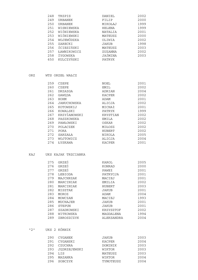| 248 | TRZPIS         | DANIEL        | 2002 |
|-----|----------------|---------------|------|
| 249 | <b>URBANEK</b> | FILIP         | 2000 |
| 250 | URBANEK        | MIKOŁAJ       | 1999 |
| 251 | WISNIEWSKA     | <b>HELENA</b> | 1999 |
| 252 | WIŚNIEWSKA     | NATALIA       | 2001 |
| 253 | WIŚNIEWSKI     | MATEUSZ       | 2000 |
| 254 | WOJEWÓDZKA     | OLIWIA        | 2002 |
| 255 | ZARECKI        | JAKUB         | 1998 |
| 256 | ŚCIESIŃSKI     | MATEUSZ       | 2003 |
| 257 | ŁAWNIKOWICZ    | ZUZANNA       | 2002 |
| 258 | ŻYGOWSKA       | JAŚMINA       | 2003 |
| 650 | KULCZYŃSKI     | <b>PATRYK</b> |      |

ORZ WTS ORZEŁ WAŁCZ

| 259 | CZEPE        | NOEL     | 2001 |
|-----|--------------|----------|------|
| 260 | CZEPE        | EMIL     | 2002 |
| 261 | DRZAZGA      | ADRIAN   | 2004 |
| 262 | GAWEDA       | KACPER   | 2002 |
| 263 | HOHM         | ADAM     | 2001 |
| 264 | JANUCHOWSKA  | ALICJA   | 2002 |
| 265 | KOTOWSKIJ    | MICHAł   | 2001 |
| 266 | KOWALSKI     | PATRYK   | 1999 |
| 267 | KRZYŻANOWSKI | KRYSTIAN | 2002 |
| 268 | PASZKOWSKA   | EMILA    | 2002 |
| 269 | PAWŁOWSKI    | OSKAR    | 2002 |
| 270 | POLACZEK     | MIŁOSZ   | 2002 |
| 271 | PORA         | HUBERT   | 2002 |
| 272 | SARZAŁA      | NIKOLA   | 2005 |
| 273 | WOJTOWICZ    | ALICJA   | 2004 |
| 274 | ŁYSKAWA      | KACPER   | 2001 |

#### KAJ UKS KAJAK TRZCIANKA

| 275 | GRZEŚ         | KAROL      | 2005 |
|-----|---------------|------------|------|
| 276 | GRZEŚ         | KONRAD     | 2000 |
| 277 | GRZEŚ         | PAWEł      | 2001 |
| 278 | LEBIODA       | PATRYCJA   | 2001 |
| 279 | MAJCHRZAK     | MACIEJ     | 2001 |
| 280 | MARCINIAK     | EMILIA     | 2002 |
| 281 | MARCINIAK     | HUBERT     | 2003 |
| 282 | MISZTAK       | JAKUB      | 2001 |
| 283 | MOROZ         | ADAM       | 2004 |
| 284 | MOWCZAN       | MACIEJ     | 1993 |
| 285 | MUCHAJER      | JAKUB      | 2001 |
| 286 | <b>STEPUN</b> | JAKUB      | 2001 |
| 287 | SZADKOWSKI    | KRZYSZTOF  | 2002 |
| 288 | WITKOWSKA     | MAGDALENA  | 1994 |
| 289 | ZBROSZCZYK    | ALEKSANDRA | 2004 |

### "2" UKS 2 KÓRNIK

| 290 | CYGANEK      | JAKUB         | 2003 |
|-----|--------------|---------------|------|
| 291 | CYGANSKI     | KACPER        | 2004 |
| 292 | CZUCHRA      | DOMINIK       | 2003 |
| 293 | JEDRZEJEWSKI | WIKTOR        | 2003 |
| 294 | <b>LTS</b>   | MATEUSZ       | 2003 |
| 295 | MAZANKA      | <b>WIKTOR</b> | 2004 |
| 296 | SOBCZYK      | TYMOTEUSZ     | 2004 |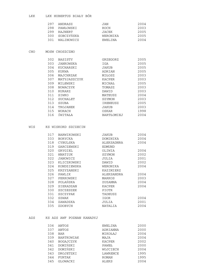#### LKK LKK HUBERTUS BIAŁY BÓR

|     | 297 ANDRASZ    | JAN      | 2004 |
|-----|----------------|----------|------|
| 298 | PAWŁOWSKI      | ROCH     | 2003 |
| 299 | RAJNERT        | JACEK    | 2005 |
|     | 300 SOBCZYŃSKA | WERONIKA | 2005 |
| 301 | WALINOWICZ     | EWELINA  | 2004 |

#### CHO MOSW CHOSZCZNO

| 302 | BASISTY         | GRZEGORZ          | 2005 |
|-----|-----------------|-------------------|------|
| 303 | JANKOWSKA       | IGA               | 2005 |
| 304 | KUCHARSKI       | JAKUB             | 2005 |
| 305 | KUKWA           | ADRIAN            | 2005 |
| 306 | MAJCHRZAK       | MIŁOSZ            | 2003 |
| 307 | MATYJASZCZYK    | KACPER            | 2003 |
| 309 | MILEWSKI        | MICHAŁ            | 2005 |
| 308 | NOWACZYK        | TOMASZ            | 2003 |
| 310 | <b>RURARZ</b>   | DAWID             | 2003 |
| 311 | SIWKO           | MATEUSZ           | 2004 |
| 312 | <b>SUCHALET</b> | SZYMON            | 2003 |
| 313 | SZUBA           | IRENEUSZ          | 2005 |
| 314 | TROJANEK        | JAKUB             | 2003 |
| 315 | WORACH          | OSKAR             | 1998 |
| 316 | SWITAŁA         | <b>BARTŁOMIEJ</b> | 2004 |
|     |                 |                   |      |

#### WIS KS WISKORD SZCZECIN

| 317 | BARWIKOWSKI | JAKUB      | 2004 |
|-----|-------------|------------|------|
| 333 | BORYCKA     | DOMINIKA   | 2004 |
| 318 | CYBULSKA    | ALEKSADNRA | 2004 |
| 319 | GARCZEWSKI  | EDMUND     |      |
| 320 | GRYGIEL     | OLIWIA     | 2004 |
| 321 | HNATIUK     | SZYMON     | 2002 |
| 322 | JANOWICZ    | JULIA      | 2001 |
| 323 | KLICZKOWSKI | DAWID      | 2002 |
| 324 | KONDZIEWSKA | WERONIKA   | 2004 |
| 325 | KRZYZANSKI  | KAZIMIERZ  |      |
| 326 | PAWLIK      | ALEKSANDRA | 2004 |
| 327 | PERKOWSKI   | MARKOS     | 2003 |
| 328 | POLAŃSKA    | ZUZANNA    | 2004 |
| 329 | SIERADZAN   | KACPER     | 2004 |
| 330 | SZCZESZEK   | PIOTR      |      |
| 331 | SZCZYPAK    | TADEUSZ    |      |
| 332 | SZWAK       | IGOR       | 2004 |
| 334 | ZAWADZKA    | JULIA      | 2001 |
| 335 | ZDOBYCH     | NATALIA    | 2004 |

#### AZS KS AZS AWF POZNAN KANADYJ

| 336 | ANTOS             | EWELINA       | 2000 |
|-----|-------------------|---------------|------|
| 337 | ANTOS             | ADRIANNA      | 2000 |
| 338 | <b>BAR</b>        | MIKOŁAJ       | 2004 |
| 339 | <b>BARTKOWIAK</b> | MAJA          | 2004 |
| 340 | <b>BOGAJCZYK</b>  | <b>KACPER</b> | 2002 |
| 341 | DOMIŃSKI          | PAWEŁ         | 2000 |
| 342 | DOMINSKI          | WOJCIECH      | 2004 |
| 343 | DROJETZKI         | LAWRENCE      | 1995 |
| 344 | FURTAK            | <b>ROMAN</b>  | 1995 |
| 345 | GLOWACKI          | ALEKS         | 2004 |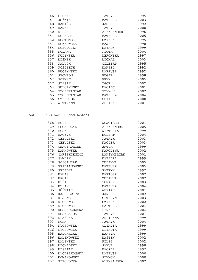| 346 | GLUZA       | PATRYK       | 1995 |
|-----|-------------|--------------|------|
| 347 | JOŻWIAK     | MATEUSZ      | 2003 |
| 348 | KAMIŃSKI    | JACEK        | 1992 |
| 349 | KANAK       | PATRYK       | 2000 |
| 350 | KIRSZ       | ALEKSANDER   | 1996 |
| 351 | KORNECKI    | MATEUSZ      | 2005 |
| 352 | KOSTENSKI   | SZYMON       | 1995 |
| 353 | KOZŁOWSKA   | MAJA         | 1998 |
| 354 | KOŁODZIEJ   | SZYMON       | 1999 |
| 355 | KUJAWA      | PIOTR        | 2004 |
| 356 | KUPIŃSKA    | WERONIKA     | 1997 |
| 357 | MIŚNIK      | MICHAŁ       | 2003 |
| 358 | PALUCH      | GILBERT      | 1995 |
| 359 | POSPIECH    | DANIEL       | 1992 |
| 360 | RUCZYŃSKI   | MARIUSZ      | 1992 |
| 361 | SKOWRON     | <b>EDGAR</b> | 1998 |
| 362 | SOENKE      | ERYK         | 2005 |
| 617 | STASIK      | IGOR         | 2002 |
| 363 | SULCZYŃSKI  | MACIEJ       | 2001 |
| 364 | SZCZEPANIAK | SZYMON       | 2002 |
| 365 | SZCZEPANIAK | MATEUSZ      | 2004 |
| 366 | SZPREJDA    | OSKAR        | 2000 |
| 367 | WITTMANN    | ADRIAN       | 2001 |
|     |             |              |      |

### AWF AZS AWF POZNAN KAJAKI

| 368 | <b>BOBER</b>   | WOJCIECH       | 2001 |
|-----|----------------|----------------|------|
| 369 | BOGAJCZYK      | ALEKSANDRA     | 2005 |
| 370 | <b>BUSZ</b>    | WIKTORIA       | 1999 |
| 371 | BĄCZYK         | <b>HUBERT</b>  | 2004 |
| 372 | CEBULSKI       | PATRYK         | 2003 |
| 373 | CEBULSKI       | KACPER         | 2003 |
| 374 | CHACZATRIAN    | ARTUR          | 1999 |
| 375 | DANKOWSKA      | KAROLINA       | 2002 |
| 376 | GARSTKIEWICZ   | MAKSYMILIAN    | 2001 |
| 377 | GAWLIK         | <b>NATALIA</b> | 1999 |
| 378 | GOŚCINIAK      | ZUZANNA        | 2005 |
| 379 | GRABIANOWSKI   | MATEUSZ        | 2005 |
| 380 | GRZELKA        | PATRYK         | 1997 |
| 381 | HAŁAS          | <b>BARTOSZ</b> | 2002 |
| 382 | HAŁAS          | ZUZANNA        | 2002 |
| 383 | HYŻAK          | TOMASZ         | 2003 |
| 384 | HYŻAK          | MATEUSZ        | 2004 |
| 385 | JÓŹWIAK        | ADRIAN         | 2001 |
| 386 | KASPROWICZ     | <b>JAN</b>     | 2002 |
| 387 | KIJEWSKI       | SEWERYN        | 2003 |
| 388 | KLONOWSKI      | SZYMON         | 2002 |
| 389 | KLONOWSKI      | <b>BARTOSZ</b> | 2004 |
| 390 | KOSMACZEWSKA   | LENA           | 2004 |
| 391 | KOSZLAJDA      | PATRYK         | 2001 |
| 392 | <b>KRAńSKA</b> | ADRIANNA       | 1999 |
| 393 | <b>KUHN</b>    | <b>PATRYK</b>  | 2004 |
| 394 | KłOSOWSKA      | OLIMPIA        | 1999 |
| 616 | KłOSOWSKA      | OLIMPIA        | 1999 |
| 395 | MAJCHRZAK      | MAKSYM         | 1999 |
| 396 | MALINOWSKI     | DASTIN         | 2002 |
| 397 | MALIŃSKI       | FILIP          | 2002 |
| 398 | MICHALSKI      | JAKUB          | 1998 |
| 399 | MISZTAK        | KACPER         | 1997 |
| 400 | MłODZIKOWSKI   | MATEUSZ        | 2000 |
| 401 | NOWAKOWSKI     | SZYMON         | 2000 |
| 402 | PIECHOCKA      | ALEKSANDRA     | 2002 |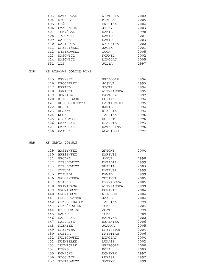|            | 403 | RATAJCZAK              | WIKTORIA          | 2002         |
|------------|-----|------------------------|-------------------|--------------|
|            | 404 | RECHUL                 | MIKOŁAJ           | 2005         |
|            | 405 | SEŃCZUK                | EWELINA           | 2004         |
|            | 406 | SZACHNIUK              | JERZY             | 2003         |
|            | 407 | TOMYŚLAK               | KAMIL             | 1998         |
|            | 408 | TYSOWSKI               | DAWID             | 2001         |
|            | 409 | WALCZAK                | DAWID             | 2003         |
|            | 410 | WALIGÓRA               | WERONIKA          | 2002         |
|            | 411 | WRZESIŃSKI             | <b>JACEK</b>      | 2001         |
|            | 412 | WYSZKOWSKI             | IGOR              | 2005         |
|            | 413 | WASOWICZ               | KORNEL            | 2002         |
|            | 414 | WĄSOWICZ               | MIKOŁAJ           | 2005         |
|            | 651 | LIS                    | JULIA             | 1997         |
| <b>GOR</b> |     | KS AZS-AWF GORZOW WLKP |                   |              |
|            | 415 | BRYŃSKI                | GRZEGORZ          | 1996         |
|            | 416 | DROJETZKI              | JOSHUA            | 1993         |
|            | 417 | <b>HERTEL</b>          | PIOTR             | 1994         |
|            | 418 | JANICKA                | ALEKSANDRA        | 1995         |
|            | 419 | JONKISZ                | <b>BARTOSZ</b>    | 1992         |
|            | 420 | KLICZKOWSKI            | DORIAN            | 1994         |
|            | 421 | KOŁODZIEJCZYK          | <b>BARTIOMIEJ</b> | 1995         |
|            | 422 | KOŁPAK                 | KAMIL             | 1994         |
|            | 423 | KUJAWA                 | KLAUDIA           | 1994         |
|            | 424 | NOGA                   | PAULINA           | 1996         |
|            | 425 | OLSZEWSKI              | <b>ROBERT</b>     | 1996         |
|            | 426 | SZEWCZYK               | KLAUDIA           | 1993         |
|            | 427 | SZEWCZYK               | KATARZYNA         | 1996         |
|            | 428 | ZAłUSKI                | WOJCIECH          | 1994         |
|            |     |                        |                   |              |
| WAR        |     | KS WARTA POZNAŃ        |                   |              |
|            | 429 | BASZYŃSKI              | ANTONI            | 2004         |
|            | 430 | BRESIŃSKI              | DARIUSZ           |              |
|            | 431 | BRÓDKA                 | JAKUB             | 1998         |
|            | 432 | CIEŚLEWICZ             | <b>NATALIA</b>    | 1999         |
|            | 433 | CIEŚLEWICZ             | EMILIA            | 2003         |
|            | 434 | CYBULA                 | MATEUSZ           | 1999         |
|            | 435 | DZIURLA                | DAWID             | 1999         |
|            | 436 | GALCZYNSKA             | ZUZANNA           | 2005         |
|            | 437 | <b>GLABUS</b>          | BERNADETA         | 2005         |
|            | 438 | GRANICZNA              | ALEKSANDRA        | 1999         |
|            | 439 | GROMADECKI             | <b>DOMINIK</b>    | 2004         |
|            | 440 | GROMADECKI             | NIKODEM           | 2004         |
|            | 441 | GRUSZCZYŃSKI           | JAKUB             | 2004         |
|            | 442 | GRZELKIEWICZ           | PAULINA           | 1999         |
|            | 443 | GRZEŚKOWIAK            | TOMASZ            | 2004         |
|            | 444 | HERODOWICZ             | AGATA             | 1999         |
|            | 445 | KACZOR                 | TOMASZ            | 1989         |
|            | 446 | KASPRZYK               | MARTYNA           | 2002         |
|            | 447 | KASPRZYK               | BERENIKA          | 2006         |
|            | 448 | KIERZEK                | JOANNA            | 2005         |
|            | 449 | KRZEWINA               | KRZYSZTOF         | 2004         |
|            | 450 | KUBICA                 | KRYSTIAN          | 2006         |
|            | 451 | KULIGOWSKI             | MIKOŁAJ           | 2004         |
|            | 452 | KUŚNIEREK              | ŁUKASZ            | 2002         |
|            | 453 | LUDWICZAK              | GRZEGORZ          | 2000         |
|            | 454 | MIŃKO                  | RÓŻA              | 2003<br>1997 |

 456 PIOCHACZ ŁUKASZ 1997 457 PIOTROWICZ PATRYK 1999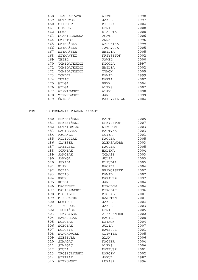| 458 | PRACHARCZYK  | WIKTOR      | 1998 |
|-----|--------------|-------------|------|
| 459 | RUTKOWSKI    | JAKUB       | 1997 |
| 460 | SEIFERT      | MILENA      | 2004 |
| 461 | SIMSOL       | DENIS       | 2008 |
| 462 | SOWA         | KLAUDIA     | 2000 |
| 463 | STANISZEWSKA | AGATA       | 2006 |
| 464 | SZYFTER      | ANNA        | 1996 |
| 465 | SZYMAŃSKA    | WERONIKA    | 1999 |
| 466 | SZYMAŃSKA    | PATRYCJA    | 2005 |
| 467 | SZYMAŃSKA    | EMILIA      | 2005 |
| 468 | SZYMAŃSKI    | KRZYSZTOF   | 2002 |
| 469 | THIEL        | PAWEŁ       | 2000 |
| 470 | TOMIDAJEWICZ | NICOLA      | 1997 |
| 471 | TOMIDAJEWICZ | EMILIA      | 2002 |
| 472 | TOMIDAJEWICZ | TYMON       | 2005 |
| 473 | TONDER       | KAMIL       | 1999 |
| 474 | TUTAJ        | MARTA       | 2002 |
| 475 | WILGA        | <b>ERYK</b> | 2004 |
| 476 | WILGA        | ALEKS       | 2007 |
| 477 | WIŚNIEWSKI   | ALAN        | 1998 |
| 478 | ZIEMKOWSKI   | JAN         | 1999 |
| 479 | ŚWIGOŃ       | MAKSYMILIAN | 2004 |
|     |              |             |      |

#### POS KS POSNANIA POZNAN KANADY

| 480 | BRZEZIŃSKA     | MARTA             | 2005 |
|-----|----------------|-------------------|------|
| 481 | BRZEZIŃSKI     | KRZYSZTOF         | 2007 |
| 482 | DUTKIEWICZ     | NIKODEM           | 2003 |
| 483 | DAGIELSKA      | MARTYNA           | 2003 |
| 484 | FECHNER        | LUIZA             | 2003 |
| 485 | FILIPCZAK      | KACPER            | 2005 |
| 486 | <b>GLAESER</b> | ALEKSANDRA        | 2003 |
| 487 | GRZELSKI       | <b>KACPER</b>     | 2005 |
| 488 | GÓRNIAK        | HALINA            | 2004 |
| 489 | JANCZAK        | TOMASZ            | 2003 |
| 490 | JANYGA         | JULIA             | 2003 |
| 620 | JEKAŁA         | KLAUDIA           | 2005 |
| 491 | <b>KLAK</b>    | KACPER            | 2004 |
| 492 | KOZAL          | FRANCISZEK        | 2007 |
| 493 | KOZIO          | DAWID             | 2002 |
| 494 | <b>KRUK</b>    | MARIUSZ           | 1997 |
| 495 | KUDŁA          | <b>JAN</b>        | 2004 |
| 496 | MAJEWSKI       | NIKODEM           | 2004 |
| 497 | MALISZEWSKI    | MIKOŁAJ           | 1996 |
| 498 | MICHALIK       | MICHAŁ            | 2001 |
| 499 | MIELCAREK      | KAJETAN           | 2001 |
| 500 | NOWICKI        | <b>JAKUB</b>      | 2004 |
| 501 | PIECHOCKI      | <b>JAKUB</b>      | 2003 |
| 502 | PROMIŃSKI      | DENIS             | 2005 |
| 503 | PRZYBYLSKI     | <b>ALEKSANDER</b> | 2002 |
| 504 | RATAJCZAK      | MACIEJ            | 2000 |
| 505 | SOBCZAK        | SZYMON            | 2004 |
| 506 | SOBCZAK        | JULIA             | 2007 |
| 507 | SOBCZYK        | MATEUSZ           | 2003 |
| 508 | STACHOWIAK     | OLIWIER           | 2005 |
| 509 | SZESZUŁA       | ALAN              | 2006 |
| 510 | SZMAGAJ        | <b>KACPER</b>     | 2004 |
| 511 | SZMAGAJ        | ALEKS             | 2006 |
| 512 | SZUBA          | MATEUSZ           | 2001 |
| 513 | TROSZCZYŃSKI   | MARCIN            | 2002 |
| 514 | WIETRAK        | <b>JAKUB</b>      | 1987 |
| 515 | WITKOWSKI      | ŁUKASZ            | 1996 |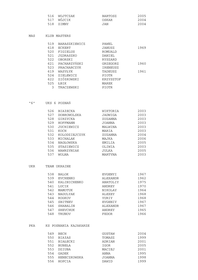| 516 WOJTCZAK | BARTOSZ | 2005 |
|--------------|---------|------|
| 517 WÓJCIK   | OSKAR   | 2004 |
| 518 ZIMNY    | JAN     | 2004 |

#### MAS KLUB MASTERS

| 519<br>618 | BARASZKIEWICZ<br><b>ECKERT</b> | PAWEL<br>JANUSZ | 1969 |
|------------|--------------------------------|-----------------|------|
| 520        | FIGIELUS                       | ROMUALD         |      |
| 521        | JEDRASZKO                      | DANIEL          |      |
| 522        | OBORSKI                        | RYSZARD         |      |
| 621        | PACHARZYŃSKI                   | GRZEGORZ        | 1960 |
| 523        | PRACHARCZYK                    | IRENEUSZ        |      |
| 619        | WASYŁYK                        | TADEUSZ         | 1961 |
| 524        | ZIELEWICZ                      | <b>PIOTR</b>    |      |
| 622        | ZIÓłKOWSKI                     | KRZYSZTOF       |      |
| 525        | <b>FBTK</b>                    | MAREK           |      |
| 3          | TRACZEWSKI                     | <b>PIOTR</b>    |      |
|            |                                |                 |      |

#### "6" UKS 6 POZNAŃ

| <b>BIAŁECKA</b> | WIKTORIA | 2003 |
|-----------------|----------|------|
| DOBROWOLSKA     | JADWIGA  | 2003 |
| GIRZYCKA        | ZUZANNA  | 2003 |
| <b>HOFFMANN</b> | JOANNA   | 2003 |
| JUCHIEWICZ      | MALWINA  | 2003 |
| KOCH            | MARIA    | 2003 |
| KOLODZIEJCZYK   | ZUZANNA  | 2004 |
| MICHALAK        | MAJKA    | 2006 |
| NAGŁOWSKA       | EMILIA   | 2005 |
| STASIEWICZ      | OLIWIA   | 2003 |
| WAWRZYNIAK      | JULKA    | 2005 |
| WOLNA           | MARTYNA  | 2003 |
|                 |          |      |

#### UKR TEAM UKRAINE

| 538 | <b>BALOK</b>    | EVGENYI      | 1967 |
|-----|-----------------|--------------|------|
| 539 | <b>EVCHENKO</b> | ALEXANDR     | 1962 |
| 540 | KALINICHENKO    | ANATOLIY     | 1975 |
| 541 | LUCIK           | ANDREY       | 1970 |
| 542 | MAMOTUK         | NIKOLAY      | 1964 |
| 543 | NAGULYAK        | ALEXEY       | 1968 |
| 544 | ROGKOV          | YURIY        | 1968 |
| 545 | SBITNEV         | EVGENIY      | 1967 |
| 546 | SHABALIN        | ALEXANDR     | 1967 |
| 547 | <b>SHEVCHUK</b> | ANDREY       | 1965 |
| 548 | TRUNOV          | <b>FEDOR</b> | 1966 |
|     |                 |              |      |

#### PKA KS POSNANIA KAJAKARZE

| 549 | BECH          | GUSTAW | 2004 |
|-----|---------------|--------|------|
| 550 | <b>BIAIAS</b> | TOMASZ | 1999 |
| 551 | BIAŁECKI      | ADRIAN | 2001 |
| 552 | <b>BUBELA</b> | IGOR   | 2005 |
| 553 | <b>DZIUBA</b> | MACIEJ | 2001 |
| 554 | GADEK         | ANNA   | 1995 |
| 555 | HENECZKOWSKA  | JOANNA | 1998 |
| 556 | HOPCIA        | DAWID  | 1999 |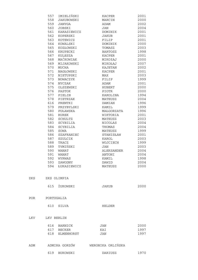|     | 557        | IMIELIŃSKI      | KACPER            | 2001 |
|-----|------------|-----------------|-------------------|------|
|     | 558        | JAKUBOWSKI      | MARCIN            | 2000 |
|     | 559        | JANYGA          | ADAM              | 2002 |
|     | 560        | JOBSKI          | JAN               | 2004 |
|     | 561        | KARASIEWICZ     | DOMINIK           | 2001 |
|     | 562        | KOPERSKI        | <b>JAKUB</b>      | 2001 |
|     | 563        | KOTEWICZ        | FILIP             | 2001 |
|     | 564        | KOWALSKI        | DOMINIK           | 2000 |
|     | 565        | KOZŁOWSKI       | TOMASZ            | 2003 |
|     | 566        | KRUPECKI        | <b>BARTOSZ</b>    | 1998 |
|     | 567        | KULESZA         | KACPER            | 2001 |
|     | 568        | MAĆKOWIAK       | MIKOłAJ           | 2000 |
|     | 569        | MIJAKOWSKI      | MIKOŁAJ           | 2007 |
|     | 570        | MUCHA           | KAJETAN           | 2002 |
|     | 571        | NAGŁOWSKI       | <b>KACPER</b>     | 2001 |
|     | 572        | NIETUPSKI       | MAX               | 2003 |
|     | 573        | NOWACZYK        | FILIP             | 1999 |
|     | 574        | NYCZAK          | ADAM              | 2001 |
|     | 575        | OLSZEWSKI       | HUBERT            | 2000 |
|     | 576        | PASTOK          | PIOTR             | 2000 |
|     | 577        | PIELIN          | KAROLINA          | 1994 |
|     | 578        | PIETRZAK        | MATEUSZ           | 2004 |
|     | 616        | PRENTKI         | DAMIAN            | 1996 |
|     | 579        | PRZYBYLSKI      | KAMIL             | 1999 |
|     | 580        | PUŁAWSKA        | MAŁGORZATA        | 1996 |
|     | 581        | <b>RUREK</b>    | WIKTORIA          | 2001 |
|     | 582        | SCHULTZ         | MATEUSZ           | 2003 |
|     | 583        | SCYBILIA        | <b>NICOLAS</b>    | 2004 |
|     | 584        | SCYBILIA        | THOMAS            | 2004 |
|     | 585        | SOWA            |                   | 1999 |
|     | 586        | SZAFRANIEC      | MATEUSZ           | 2001 |
|     |            |                 | STANISŁAW         |      |
|     | 587        | SZULCIK         | KAROL             | 2003 |
|     | 588        | TRACZ           | WOJCIECH          | 1999 |
|     | 589        | TYMIŃSKI        | JAN               | 2003 |
|     | 590        | <b>WANAT</b>    | ALEKSANDER        | 2004 |
|     | 591        | <b>WANAT</b>    | ANTONI            | 2004 |
|     | 592        | WYRWAS          | KAMIL             | 1998 |
|     | 593        | ZAWODNY         | DAWID             | 2004 |
|     |            | 594 ŁUKASIEWICZ | MATEUSZ           | 2000 |
| ZKS |            | ZKS OLIMPIA     |                   |      |
|     | 615        | ŻUKOWSKI        | JAKUB             | 2000 |
|     |            |                 |                   |      |
| POR | PORTUGALIA |                 |                   |      |
|     | 610        | SILVA           | HELDER            |      |
| LKV | LKV BERLIN |                 |                   |      |
|     |            | 616 BARNICK     | JAN               | 2000 |
|     |            | 617 BECKER      | KAI               | 1997 |
|     |            | 618 ELMENHORST  | JAN               | 1997 |
|     |            |                 |                   |      |
| ADM |            | ADMIRA GORZÓW   | WERONIKA ORLIŃSKA |      |
|     | 619        | BUKOWSKI        | DARIUSZ           | 1970 |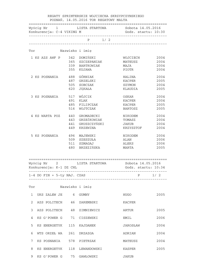|              | ________________________                                                                                                                                                                                                                                     |                 | Wyścig Nr 1 LISTA STARTOWA                   | Sobota 14.05.2016   |      |
|--------------|--------------------------------------------------------------------------------------------------------------------------------------------------------------------------------------------------------------------------------------------------------------|-----------------|----------------------------------------------|---------------------|------|
|              |                                                                                                                                                                                                                                                              |                 | $P$ 1/2                                      |                     |      |
|              | Tor                                                                                                                                                                                                                                                          | Nazwisko i imię |                                              |                     |      |
|              | 1 KS AZS AWF P 342 DOMIŃSKI                                                                                                                                                                                                                                  |                 |                                              | WOJCIECH            | 2004 |
|              |                                                                                                                                                                                                                                                              |                 | 365 SZCZEPANIAK                              | MATEUSZ             | 2004 |
|              |                                                                                                                                                                                                                                                              |                 | 339 BARTKOWIAK                               | MAJA                | 2004 |
|              |                                                                                                                                                                                                                                                              | 355             | KUJAWA                                       | PIOTR               | 2004 |
|              | 2 KS POSNANIA                                                                                                                                                                                                                                                | 488             | GÓRNIAK                                      | HALINA              | 2004 |
|              |                                                                                                                                                                                                                                                              | 487             | GRZELSKI                                     | KACPER              | 2005 |
|              |                                                                                                                                                                                                                                                              | 505             | SOBCZAK                                      | SZYMON              | 2004 |
|              |                                                                                                                                                                                                                                                              | 620             | JEKAŁA                                       | KLAUDIA             | 2005 |
|              | 3 KS POSNANIA                                                                                                                                                                                                                                                |                 | 517 WÓJCIK                                   | OSKAR               | 2004 |
|              |                                                                                                                                                                                                                                                              | 491             | KLAK                                         | KACPER              | 2004 |
|              |                                                                                                                                                                                                                                                              | 485             | FILIPCZAK                                    | KACPER              | 2005 |
|              |                                                                                                                                                                                                                                                              | 516             | WOJTCZAK                                     | BARTOSZ             | 2005 |
|              | 4 KS WARTA POZ                                                                                                                                                                                                                                               | 440             | GROMADECKI                                   | NIKODEM             | 2004 |
|              |                                                                                                                                                                                                                                                              | 443             | GRZEŚKOWIAK                                  | TOMASZ              | 2004 |
|              |                                                                                                                                                                                                                                                              | 441             | GRUSZCZYŃSKI                                 | JAKUB               | 2004 |
|              |                                                                                                                                                                                                                                                              | 449             | KRZEWINA                                     | KRZYSZTOF           | 2004 |
|              | 5 KS POSNANIA                                                                                                                                                                                                                                                | 496             | MAJEWSKI                                     | NIKODEM             | 2004 |
|              |                                                                                                                                                                                                                                                              | 509             | SZESZUŁA                                     | ALAN                | 2006 |
|              |                                                                                                                                                                                                                                                              |                 | 511 SZMAGAJ                                  | <b>ALEKS</b>        | 2006 |
|              |                                                                                                                                                                                                                                                              |                 | 480 BRZEZIŃSKA                               | MARTA               | 2005 |
|              | Konkurencja: K-1 DZ CHL                                                                                                                                                                                                                                      |                 | Wyścig Nr 2 LISTA STARTOWA Sobota 14.05.2016 | Godz. startu: 10:34 |      |
|              |                                                                                                                                                                                                                                                              |                 |                                              |                     |      |
|              | 1-4 DO FIN + 5-ty NAJ. CZAS<br>Tor the state of the state of the state of the state of the state of the state of the state of the state of the state of the state of the state of the state of the state of the state of the state of the state of the state | Nazwisko i imię |                                              | $P \t1/2$           |      |
| $\mathbf{1}$ | UKS ZALEW JE 6 GUMNY                                                                                                                                                                                                                                         |                 |                                              | HUGO                | 2005 |
| 2            | AZS POLITECH 46 ZAREMBSKI                                                                                                                                                                                                                                    |                 |                                              | KACPER              |      |
| 3            |                                                                                                                                                                                                                                                              |                 | AZS POLITECH 48 ZIMNIEWICZ                   | ARTUR               | 2005 |
| 4            | KS G'POWER G 71 CISZEWSKI                                                                                                                                                                                                                                    |                 |                                              | EMIL                | 2006 |
| 5            | KS ENERGETYK 115 KAJDANEK                                                                                                                                                                                                                                    |                 |                                              | JAROSŁAW            | 2004 |
| 6            | WTS ORZEŁ WA 261 DRZAZGA                                                                                                                                                                                                                                     |                 |                                              | ADRIAN              | 2004 |
|              |                                                                                                                                                                                                                                                              |                 |                                              |                     |      |
| 7            |                                                                                                                                                                                                                                                              |                 | KS POSNANIA 578 PIETRZAK                     | MATEUSZ             | 2004 |
| 8            |                                                                                                                                                                                                                                                              |                 | KS ENERGETYK 118 LEWANDOWSKI                 | KASPER              | 2005 |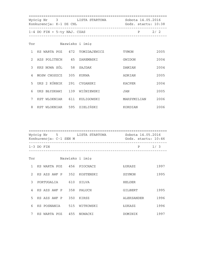|                | Konkurencja: K-1 DZ CHL       | Wyścig Nr     3            LISTA STARTOWA | Sobota 14.05.2016<br>Godz. startu: 10:38 |      |
|----------------|-------------------------------|-------------------------------------------|------------------------------------------|------|
|                | $1-4$ DO FIN + 5-ty NAJ. CZAS | _________________                         | $\mathbf{P}$                             | 2/2  |
| Tor            |                               | Nazwisko i imię                           |                                          |      |
| $\mathbf{1}$   |                               | KS WARTA POZ 472 TOMIDAJEWICZ             | TYMON                                    | 2005 |
| $\mathcal{L}$  | AZS POLITECH 45 ZAREMBSKI     |                                           | GWIDON                                   | 2004 |
| 3              | KKS NOWA SÓL 58 SAJDAK        |                                           | DAMIAN                                   | 2004 |
| $\overline{4}$ | MOSW CHOSZCZ 305 KUKWA        |                                           | ADRIAN                                   | 2005 |
| 5              | UKS 2 KÓRNIK 291 CYGANSKI     |                                           | KACPER                                   | 2004 |
| 6              | UKS BŁYSKAWI 139 WIŚNIEWSKI   |                                           | JAN                                      | 2005 |
| 7              | KST WLOKNIAR 611 KULIGOWSKI   |                                           | MAKSYMILIAN                              | 2006 |
| 8              | KST WLOKNIAR 595 ZIELIŃSKI    |                                           | KORDIAN                                  | 2006 |

|               | Konkurencja: C-1 SEN M    |  | Wyścig Nr 5 5 LISTA STARTOWA | Sobota 14.05.2016<br>Godz. startu: 10:46 |      |
|---------------|---------------------------|--|------------------------------|------------------------------------------|------|
|               | $1-3$ DO FIN              |  |                              | P                                        | 1/3  |
| Tor           |                           |  | Nazwisko i imię              |                                          |      |
| $\mathbf{1}$  |                           |  | KS WARTA POZ 456 PIOCHACZ    | ŁUKASZ                                   | 1997 |
| $2^{\circ}$   |                           |  | KS AZS AWF P 352 KOSTENSKI   | SZYMON                                   | 1995 |
| $\mathcal{L}$ | PORTUGALIA 610 SILVA      |  |                              | HELDER                                   |      |
|               | 4 KS AZS AWF P 358 PALUCH |  |                              | GILBERT                                  | 1995 |
| 5             | KS AZS AWF P 350 KIRSZ    |  |                              | ALEKSANDER                               | 1996 |
| 6             |                           |  | KS POSNANIA 515 WITKOWSKI    | ŁUKASZ                                   | 1996 |
|               | KS WARTA POZ 455 NOWACKI  |  |                              | DOMINIK                                  | 1997 |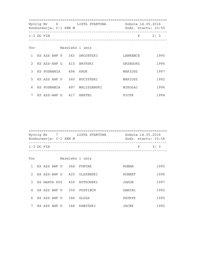| Konkurencja: C-1 SEN M |  |              |  | Wyścig Nr 6 6 LISTA STARTOWA | Sobota 14.05.2016<br>Godz. startu: 10:50 |          |              |      |
|------------------------|--|--------------|--|------------------------------|------------------------------------------|----------|--------------|------|
|                        |  | $1-3$ DO FIN |  |                              |                                          |          | $\mathbf{P}$ | 2/3  |
| Tor                    |  |              |  |                              | Nazwisko i imię                          |          |              |      |
| $\mathbf{1}$           |  |              |  |                              | KS AZS AWF P 343 DROJETZKI               | LAWRENCE |              | 1995 |
| $\mathcal{L}$          |  |              |  |                              | KS AZS-AWF G 415 BRYŃSKI                 | GRZEGORZ |              | 1996 |
| 3                      |  |              |  |                              | KS POSNANIA 494 KRUK                     | MARIUSZ  |              | 1997 |
| 5                      |  |              |  |                              | KS AZS AWF P 360 RUCZYŃSKI               | MARIUSZ  |              | 1992 |
| 6                      |  |              |  |                              | KS POSNANIA 497 MALISZEWSKI              | MIKOŁAJ  |              | 1996 |
| 7                      |  | KS AZS-AWF G |  |                              | 417 HERTEL                               | PIOTR    |              | 1994 |

|     | Wyścig Nr     7           LISTA STARTOWA              Sobota 14.05.2016<br>Konkurencja: C-1 SEN M |  |  |  |  |                              | Godz. startu: 10:54 |      |  |  |
|-----|---------------------------------------------------------------------------------------------------|--|--|--|--|------------------------------|---------------------|------|--|--|
|     | $1-3$ DO FIN                                                                                      |  |  |  |  | _________________________    | P                   | 3/3  |  |  |
| Tor |                                                                                                   |  |  |  |  | Nazwisko i imię              |                     |      |  |  |
| 1   |                                                                                                   |  |  |  |  | KS AZS AWF P 344 FURTAK      | ROMAN               | 1995 |  |  |
|     |                                                                                                   |  |  |  |  | 2 KS AZS-AWF G 425 OLSZEWSKI | ROBERT              | 1996 |  |  |
|     |                                                                                                   |  |  |  |  | 3 KS WARTA POZ 459 RUTKOWSKI | JAKUB               | 1997 |  |  |
|     |                                                                                                   |  |  |  |  | 4 KS AZS AWF P 359 POSPIECH  | DANIEL              | 1992 |  |  |
|     |                                                                                                   |  |  |  |  | 6 KS AZS AWF P 346 GLUZA     | PATRYK              | 1995 |  |  |
|     |                                                                                                   |  |  |  |  | KS AZS AWF P 348 KAMIŃSKI    | JACEK               | 1992 |  |  |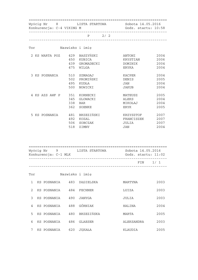| Konkurencja: C-4 VIKING M |                                                                     | Godz. startu: 10:58                                                        |
|---------------------------|---------------------------------------------------------------------|----------------------------------------------------------------------------|
|                           | $P$ 2/2                                                             |                                                                            |
| Tor                       | Nazwisko i imię                                                     |                                                                            |
|                           | 2 KS WARTA POZ 429 BASZYŃSKI<br>450<br>KUBICA<br>439<br>GROMADECKI  | 2004<br>ANTONI<br>2006<br>KRYSTIAN<br>2004<br>DOMINIK                      |
| 3 KS POSNANIA             | 475<br>WILGA<br>510<br>SZMAGAJ<br>PROMIŃSKI<br>502<br>495<br>KUDŁA  | 2004<br>ERYKA<br>2004<br>KACPER<br>2005<br>DENIS<br>2004<br><b>JAN</b>     |
|                           | 500<br>NOWICKI                                                      | 2004<br>JAKUB                                                              |
| 4 KS AZS AWF P            | 351 KORNECKI<br>345<br>GLOWACKI<br>338<br>BAR<br>362<br>SOENKE      | 2005<br>MATEUSZ<br>2004<br>ALEKS<br>2004<br>MIKOŁAJ<br>2005<br><b>ERYK</b> |
| 5 KS POSNANIA             | BRZEZIŃSKI<br>481<br>492<br>KOZAL<br>506<br>SOBCZAK<br>518<br>ZIMNY | KRZYSZTOF<br>2007<br>FRANCISZEK<br>2007<br>2007<br>JULIA<br>2004<br>JAN    |

 ================================================================== Wyścig Nr 9 LISTA STARTOWA Sobota 14.05.2016 Konkurencja: C-1 MLK Godz. startu: 11:02 ------------------------------------------------------------------ FIN 1/ 1 ------------------------------------------------------------------

| Tor           |             |     | Nazwisko i imie |            |      |
|---------------|-------------|-----|-----------------|------------|------|
| 1             | KS POSNANIA | 483 | DAGIELSKA       | MARTYNA    | 2003 |
| $\mathcal{L}$ | KS POSNANIA | 484 | FECHNER         | LUIZA      | 2003 |
| 3             | KS POSNANIA | 490 | JANYGA          | JULIA      | 2003 |
| 4             | KS POSNANIA | 488 | GÓRNIAK         | HALINA     | 2004 |
| 5             | KS POSNANIA | 480 | BRZEZIŃSKA      | MARTA      | 2005 |
| 6             | KS POSNANIA | 486 | <b>GLAESER</b>  | ALEKSANDRA | 2003 |
| 7             | KS POSNANIA | 620 | JEKAŁA          | KLAUDIA    | 2005 |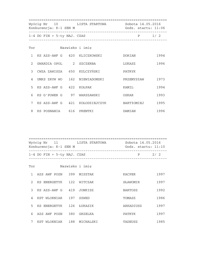|                | Wyścig Nr 10 LISTA STARTOWA<br>Konkurencja: K-1 SEN M |  | Sobota 14.05.2016<br>Godz. startu: 11:06 |            |           |  |
|----------------|-------------------------------------------------------|--|------------------------------------------|------------|-----------|--|
|                | 1-4 DO FIN + 5-ty NAJ. CZAS                           |  |                                          |            | $P = 1/2$ |  |
| Tor            |                                                       |  | Nazwisko i imię                          |            |           |  |
| $\mathbf{1}$   | KS AZS-AWF G 420 KLICZKOWSKI                          |  |                                          | DORIAN     | 1994      |  |
| $\mathcal{L}$  | GWARDIA OPOL 2 SZCZERBA                               |  |                                          | LUKASZ     | 1996      |  |
| $\mathcal{E}$  | CWZA ZAWISZA 650 KULCZYŃSKI                           |  |                                          | PATRYK     |           |  |
| $\overline{4}$ | UMKS ZRYW WO 162 NIEWIADOMSKI                         |  |                                          | PRZEMYSłAW | 1973      |  |
| 5              | KS AZS-AWF G 422 KOŁPAK                               |  |                                          | KAMIL      | 1994      |  |
| 6              | KS G'POWER G 97 WARSZAWSKI                            |  |                                          | OSKAR      | 1993      |  |
| 7              |                                                       |  | KS AZS-AWF G 421 KOŁODZIEJCZYK           | BARTłOMIEJ | 1995      |  |
| 8              | KS POSNANIA 616 PRENTKI                               |  |                                          | DAMIAN     | 1996      |  |

| Wyścig Nr 11<br>Konkurencja: K-1 SEN M | LISTA STARTOWA | Sobota 14.05.2016<br>Godz. startu: 11:10 |     |  |
|----------------------------------------|----------------|------------------------------------------|-----|--|
| $1-4$ DO FIN + 5-ty NAJ. CZAS          |                | D                                        | 2/2 |  |

| Tor           |                 |     | Nazwisko i imię |                |      |
|---------------|-----------------|-----|-----------------|----------------|------|
| 1             | AZS AWF POZN    | 399 | MISZTAK         | <b>KACPER</b>  | 1997 |
| $\mathcal{L}$ | KS ENERGETYK    | 122 | WITCZAK         | SŁAWOMIR       | 1997 |
| 3             | KS AZS-AWF G    | 419 | JONKISZ         | <b>BARTOSZ</b> | 1992 |
| 4             | KST WLOKNIAR    | 197 | <b>SZWED</b>    | TOMASZ         | 1986 |
| .5            | KS ENERGETYK    | 126 | ŁUKASIK         | ARKADIUSZ      | 1997 |
| 6             | AZS AWF POZN    | 380 | GRZELKA         | PATRYK         | 1997 |
| 7             | WLOKNIAR<br>KST | 188 | MICHALSKI       | TADEUSZ        | 1985 |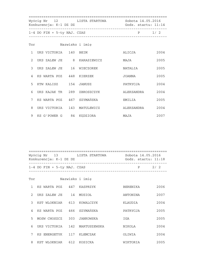|   | Konkurencja: K-1 DZ DZ        | Wyścig Nr 12 LISTA STARTOWA Sobota 14.05.2016 | Godz. startu: 11:14 |      |
|---|-------------------------------|-----------------------------------------------|---------------------|------|
|   | $1-4$ DO FIN + 5-ty NAJ. CZAS |                                               | P 1/2               |      |
|   | Tor Nazwisko i imię           |                                               |                     |      |
|   | 1 UKS VICTORIA 140 BEIM       |                                               | ALICJA              | 2004 |
|   | 2 UKS ZALEW JE 8 KARASIEWICZ  |                                               | MAJA                | 2005 |
|   | 3 UKS ZALEW JE 16 WIECZOREK   |                                               | NATALIA             | 2005 |
|   | 4 KS WARTA POZ 448 KIERZEK    |                                               | JOANNA              | 2005 |
| 5 | KTW KALISZ 154 JANUSZ         |                                               | PATRYCJA            | 2004 |
| 6 | UKS KAJAK TR 289 ZBROSZCZYK   |                                               | ALEKSANDRA          | 2004 |
| 7 | KS WARTA POZ 467 SZYMAŃSKA    |                                               | EMILIA              | 2005 |
| 8 | UKS VICTORIA 143 MATULEWICZ   |                                               | ALEKSANDRA          | 2004 |
|   | 9 KS G'POWER G 84 KEDZIORA    |                                               | MAJA                | 2007 |

 ================================================================== Wyścig Nr 13 LISTA STARTOWA Konkurencja: K-1 DZ DZ Godz. startu: 11:18 ------------------------------------------------------------------  $1-4$  DO FIN +  $5-ty$  NAJ. CZAS ------------------------------------------------------------------

| Tor            |                 |     | Nazwisko i imie |                 |      |
|----------------|-----------------|-----|-----------------|-----------------|------|
| $\mathbf{1}$   | KS WARTA POZ    | 447 | KASPRZYK        | <b>BERENIKA</b> | 2006 |
| $\mathcal{L}$  | UKS ZALEW JE    | 14  | MUSIOŁ          | ANTONINA        | 2007 |
| 3              | KST WLOKNIAR    | 613 | KOWALCZYK       | KLAUDIA         | 2004 |
| $\overline{A}$ | KS WARTA POZ    | 466 | SZYMAŃSKA       | PATRYCJA        | 2005 |
| 5              | MOSW CHOSZCZ    | 303 | JANKOWSKA       | IGA             | 2005 |
| 6              | UKS VICTORIA    | 142 | MARTUSZEWSKA    | NIKOLA          | 2004 |
| 7              | KS ENERGETYK    | 117 | KLEMCZAK        | OLIWIA          | 2004 |
| 8              | WLOKNIAR<br>KST | 612 | KOSICKA         | WIKTORIA        | 2005 |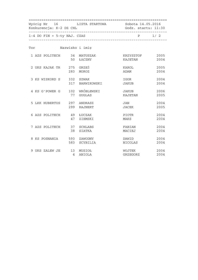| Konkurencja: K-2 DZ CHL       |                | Wyścig Nr 16 LISTA STARTOWA Sobota 14.05.2016 | Godz. startu: 11:30     |              |
|-------------------------------|----------------|-----------------------------------------------|-------------------------|--------------|
| $1-4$ DO FIN + 5-ty NAJ. CZAS |                |                                               | P 1/2                   |              |
| Tor Nazwisko i imię           |                |                                               |                         |              |
| 1 AZS POLITECH 34 MATUSZAK    |                | 50 ŁĄCZNY                                     | KRZYSZTOF<br>KAJETAN    | 2005<br>2004 |
| 2 UKS KAJAK TR 275 GRZEŚ      |                | 283 MOROZ                                     | KAROL<br>ADAM           | 2005<br>2004 |
| 3 KS WISKORD S 332 SZWAK      |                | 317 BARWIKOWSKI                               | IGOR<br>JAKUB           | 2004<br>2004 |
| 4 KS G'POWER G 102 WRÓBLEWSKI |                | 77 GUGLAS                                     | <b>JAKUB</b><br>KAJETAN | 2006<br>2005 |
| 5 LKK HUBERTUS 297 ANDRASZ    |                | 299 RAJNERT                                   | JAN<br>JACEK            | 2004<br>2005 |
| 6 AZS POLITECH 49 ŁUCZAK      | 47             | ZIEMSKI                                       | PIOTR<br>MAKS           | 2004<br>2004 |
| 7 AZS POLITECH 37 SCHLABS     | 38             | SIATKA                                        | FABIAN<br>MACIEJ        | 2004<br>2004 |
| 8 KS POSNANIA 593 ZAWODNY     |                | 583 SCYBILIA                                  | DAWID<br>NICOLAS        | 2004<br>2004 |
| 9 UKS ZALEW JE 13 MUSIOŁ      | $\overline{4}$ | ANIOLA                                        | WOJTEK<br>GRZEGORZ      | 2004<br>2004 |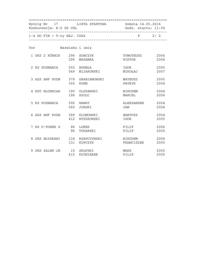| Konkurencja: K-2 DZ CHL         |     | Wyścig Nr 17 LISTA STARTOWA Sobota 14.05.2016 | Godz. startu: 11:34    |              |
|---------------------------------|-----|-----------------------------------------------|------------------------|--------------|
| 1-4 DO FIN + 5-ty NAJ. CZAS     |     |                                               | $P$ 2/2                |              |
| Tor Nazwisko i imię             |     |                                               |                        |              |
| 1 UKS 2 KÓRNIK 296 SOBCZYK      |     | 295 MAZANKA                                   | TYMOTEUSZ<br>WIKTOR    | 2004<br>2004 |
| 2 KS POSNANIA 552 BUBEŁA        |     | 569 MIJAKOWSKI                                | IGOR 2005<br>MIKOŁAJ   | 2007         |
| 3 AZS AWF POZN 379 GRABIANOWSKI |     | 393 KUHN                                      | MATEUSZ<br>PATRYK      | 2005<br>2004 |
| 4 KST WLOKNIAR                  |     | 190 OLSZEWSKI<br>196 SZULC                    | NIKODEM<br>MARCEL      | 2004<br>2004 |
| 5 KS POSNANIA 590 WANAT         | 560 | JOBSKI                                        | ALEKSANDER 2004<br>JAN | 2004         |
| 6 AZS AWF POZN 389 KLONOWSKI    | 412 | WYSZKOWSKI                                    | <b>BARTOSZ</b><br>IGOR | 2004<br>2005 |
| 7 KS G'POWER G 86 LOREK         | 96  | TOKARSKI                                      | FILIP<br>FILIP         | 2006<br>2005 |
| 8 UKS BŁYSKAWI 134 RZEPCZYNSKI  |     | 131 KUPCZYK                                   | NIKODEM<br>FRANCISZEK  | 2006<br>2005 |
| 9 UKS ZALEW JE 15 SKĄPSKI       |     | 615 KUŚNIEREK                                 | MAKS<br>FILIP          | 2005<br>2005 |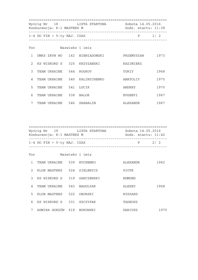|               | Konkurencja: K-1 MASTERS M    | Wyścig Nr 18 LISTA STARTOWA   | Sobota 14.05.2016<br>Godz. startu: 11:38 |      |
|---------------|-------------------------------|-------------------------------|------------------------------------------|------|
|               | $1-4$ DO FIN + 5-ty NAJ. CZAS |                               | $P \t1/2$                                |      |
| Tor           |                               | Nazwisko i imie               |                                          |      |
| $\mathbf{1}$  |                               | UMKS ZRYW WO 162 NIEWIADOMSKI | PRZEMYSłAW                               | 1973 |
| $\mathcal{L}$ |                               | KS WISKORD S 325 KRZYZANSKI   | KAZIMIERZ                                |      |
| $\mathcal{E}$ | TEAM UKRAINE 544 ROGKOV       |                               | YURIY                                    | 1968 |
| 4             |                               | TEAM UKRAINE 540 KALINICHENKO | ANATOLIY                                 | 1975 |
| 5             | TEAM UKRAINE 541 LUCIK        |                               | ANDREY                                   | 1970 |
| 6             | TEAM UKRAINE 538 BALOK        |                               | EVGENYI                                  | 1967 |
| 7             | TEAM UKRAINE 546 SHABALIN     |                               | ALEXANDR                                 | 1967 |

|                | Konkurencja: K-1 MASTERS M    | Wyścig Nr 19 LISTA STARTOWA | Sobota 14.05.2016<br>Godz. startu: 11:42  |      |
|----------------|-------------------------------|-----------------------------|-------------------------------------------|------|
|                | $1-4$ DO FIN + 5-ty NAJ. CZAS | --------------------------- | P<br>------------------------------------ | 2/2  |
| Tor            |                               | Nazwisko i imię             |                                           |      |
|                | TEAM UKRAINE 539 EVCHENKO     |                             | ALEXANDR                                  | 1962 |
| $2^{\circ}$    | KLUB MASTERS 524 ZIELEWICZ    |                             | PIOTR                                     |      |
| 3              | KS WISKORD S 319 GARCZEWSKI   |                             | EDMUND                                    |      |
| $\overline{4}$ | TEAM UKRAINE 543 NAGULYAK     |                             | ALEXEY                                    | 1968 |
| 5              | KLUB MASTERS 522 OBORSKI      |                             | RYSZARD                                   |      |
| 6              | KS WISKORD S 331 SZCZYPAK     |                             | TADEUSZ                                   |      |
| 7              | ADMIRA GORZÓW 619 BUKOWSKI    |                             | DARIUSZ                                   | 1970 |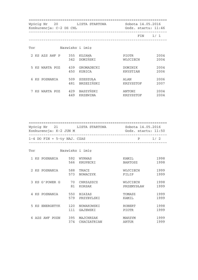| Wyścig Nr 20<br>Konkurencja: C-2 DZ CHL |                 | LISTA STARTOWA            | Sobota 14.05.2016<br>Godz. startu: 11:46 |              |
|-----------------------------------------|-----------------|---------------------------|------------------------------------------|--------------|
|                                         |                 |                           | FIN                                      | 1/1          |
| Tor                                     | Nazwisko i imię |                           |                                          |              |
| 2 KS AZS AWF P                          | 342             | 355 KUJAWA<br>DOMIŃSKI    | PIOTR<br>WOJCIECH                        | 2004<br>2004 |
| 5 KS WARTA POZ                          | 439<br>450      | GROMADECKI<br>KUBICA      | DOMINIK<br>KRYSTIAN                      | 2004<br>2006 |
| 6 KS POSNANIA                           | 509<br>481      | SZESZUŁA<br>BRZEZIŃSKI    | ALAN<br>KRZYSZTOF                        | 2006<br>2007 |
| KS WARTA POZ                            | 449             | 429 BASZYŃSKI<br>KRZEWINA | ANTONI<br>KRZYSZTOF                      | 2004<br>2004 |

 ================================================================== Wyścig Nr 21 LISTA STARTOWA Sobota 14.05.2016 Konkurencja: K-2 JUN M Godz. startu: 11:50 ------------------------------------------------------------------  $1-4$  DO FIN +  $5-ty$  NAJ. CZAS ------------------------------------------------------------------ Tor Nazwisko i imię 1 KS POSNANIA 592 WYRWAS KAMIL 1998 566 KRUPECKI BARTOSZ 1998

|   | 2 KS POSNANIA  | 588<br>573 | TRACZ<br>NOWACZYK           | WOJCIECH<br>FILIP             | 1999<br>1999 |
|---|----------------|------------|-----------------------------|-------------------------------|--------------|
|   | 3 KS G'POWER G | 70<br>81   | CHRZASZCZ<br><b>KORSAK</b>  | WOJCIECH<br>PRZEMYSŁAW        | 1998<br>1999 |
|   | 4 KS POSNANIA  | 550<br>579 | <b>BIAŁAS</b><br>PRZYBYLSKI | TOMASZ<br>KAMIL               | 1999<br>1999 |
|   | 5 KS ENERGETYK | 120<br>111 | NOWAKOWSKI<br>GAJEWSKI      | <b>ROBERT</b><br><b>PIOTR</b> | 1998<br>1999 |
| 6 | AZS AWF POZN   | 395<br>374 | MAJCHRZAK<br>CHACZATRIAN    | MAKSYM<br>ARTUR               | 1999<br>1999 |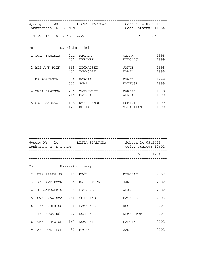| Konkurencja: K-2 JUN M        | Wyścig Nr 22 LISTA STARTOWA      | Sobota 14.05.2016<br>Godz. startu: 11:54 |              |
|-------------------------------|----------------------------------|------------------------------------------|--------------|
| $1-4$ DO FIN + 5-ty NAJ. CZAS |                                  | ________________________________         | $P$ 2/2      |
| Tor                           | Nazwisko i imie                  |                                          |              |
| 1 CWZA ZAWISZA                | 241 PACAŁA<br>250<br>URBANEK     | OSKAR<br>MIKOŁAJ                         | 1998<br>1999 |
| 2 AZS AWF POZN                | 398 MICHALSKI<br>407 TOMYŚLAK    | JAKUB<br>KAMIL                           | 1998<br>1998 |
| 3 KS POSNANIA                 | 556<br>HOPCIA<br>585<br>SOWA     | DAWID<br>MATEUSZ                         | 1999<br>1999 |
| 4 CWZA ZAWISZA                | 236 MARKOWSKI<br>216<br>BAZELA   | DANIEL<br>ADRIAN                         | 1998<br>1999 |
| 5 UKS BŁYSKAWI                | 135 RZEPCZYŃSKI<br>129<br>KUBIAK | DOMINIK<br>SEBASTIAN                     | 1999<br>1999 |

|               | Konkurencja: K-1 MLM        | Wyścig Nr 24 LISTA STARTOWA    | Sobota 14.05.2016<br>Godz. startu: 12:02 |           |
|---------------|-----------------------------|--------------------------------|------------------------------------------|-----------|
|               |                             | ------------------------------ |                                          | $P \t1/6$ |
| Tor           |                             | Nazwisko i imię                |                                          |           |
| $\mathcal{L}$ | UKS ZALEW JE 11 KRÓL        |                                | MIKOŁAJ                                  | 2002      |
| $\mathcal{E}$ | AZS AWF POZN 386 KASPROWICZ |                                | JAN                                      | 2002      |
| 4             | KS G'POWER G 90 PRZYBYŁ     |                                | ADAM                                     | 2002      |
| 5             | CWZA ZAWISZA 256 ŚCIESIŃSKI |                                | MATEUSZ                                  | 2003      |
| 6             | LKK HUBERTUS 298 PAWŁOWSKI  |                                | ROCH                                     | 2003      |
| 7             | KKS NOWA SÓL 60 SOSNOWSKI   |                                | KRZYSZTOF                                | 2003      |
| 8             | UMKS ZRYW WO                | 163 NOWACKI                    | MARCIN                                   | 2002      |
| 9             | AZS POLITECH 32 FECEK       |                                | JAN                                      | 2002      |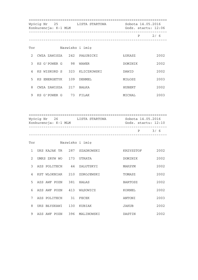|   | Wyścig Nr 25<br>Konkurencja: K-1 MLM | LISTA STARTOWA Sobota 14.05.2016 | Godz. startu: 12:06 |                                              |
|---|--------------------------------------|----------------------------------|---------------------|----------------------------------------------|
|   |                                      |                                  |                     | P 2/6                                        |
|   | <b>Tor</b>                           | Nazwisko i imię                  |                     |                                              |
| 2 | CWZA ZAWISZA 242 PAŁUBICKI           |                                  | ŁUKASZ              | 2002                                         |
| 3 | KS G'POWER G 98 WAWER                |                                  | DOMINIK             | 2002                                         |
| 4 | KS WISKORD S 323 KLICZKOWSKI         |                                  | DAWID               | 2002                                         |
| 5 | KS ENERGETYK 109                     | DEHMEL                           | MIŁOSZ              | 2003                                         |
| 8 | CWZA ZAWISZA 217 BAŁKA               |                                  | HUBERT              | 2002                                         |
| 9 | KS G'POWER G 73 FILAK                |                                  | MICHAL              | 2003                                         |
|   | Wyścig Nr 26<br>Konkurencja: K-1 MLM | LISTA STARTOWA Sobota 14.05.2016 | Godz. startu: 12:10 |                                              |
|   |                                      |                                  |                     | P 3/6                                        |
|   | Tor Nazwisko i imię                  |                                  |                     |                                              |
|   | 1 UKS KAJAK TR 287 SZADKOWSKI        |                                  | KRZYSZTOF           |                                              |
| 2 | UMKS ZRYW WO 173 UTRATA              |                                  | DOMINIK             |                                              |
|   | 3 AZS POLITECH 44 ZALUTSKYI          |                                  | MAKSYM              |                                              |
| 4 | KST WLOKNIAR 210                     | ZDROJEWSKI                       | TOMASZ              |                                              |
| 5 | AZS AWF POZN 381                     | HAŁAS                            | BARTOSZ             |                                              |
| 6 | AZS AWF POZN 413                     | WASOWICZ                         | KORNEL              | 2002<br>2002<br>2002<br>2002<br>2002<br>2002 |
| 7 | AZS POLITECH 31                      | FECEK                            | ANTONI              | 2003                                         |
| 8 | UKS BŁYSKAWI 130                     | KUBIAK                           | JAKUB               | 2002                                         |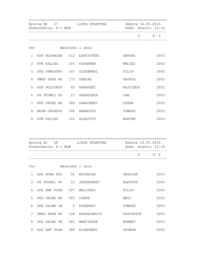|                | Konkurencja: K-1 MLM          |  | Wyścig Nr 27 LISTA STARTOWA Sobota 14.05.2016<br>Godz. startu: 12:14 |          |         |
|----------------|-------------------------------|--|----------------------------------------------------------------------|----------|---------|
|                |                               |  |                                                                      |          | $P$ 4/6 |
| Tor            |                               |  | Nazwisko i imię                                                      |          |         |
|                | 1 KST WLOKNIAR 212 ŁAPCZYŃSKI |  |                                                                      | ANTONI   | 2003    |
| $\overline{2}$ | KTW KALISZ 155 KOCHANEK       |  |                                                                      | MACIEJ   | 2002    |
| $\mathcal{E}$  | UKS PAMIATKO 147 OLSZEWSKI    |  |                                                                      | FILIP    | 2002    |
| 4              | UMKS ZRYW WO 172 TOMIAK       |  |                                                                      | PATRYK   | 2003    |
| 5              | AZS POLITECH 43 URBAŃSKI      |  |                                                                      | WOJCIECH | 2002    |
| 6              | KS STOMIL PO 27 SZAROLETA     |  |                                                                      | JAN      | 2003    |
| 7              | WTS ORZEŁ WA                  |  | 269 PAWŁOWSKI                                                        | OSKAR    | 2002    |
| 8              | MOSW CHOSZCZ 308 NOWACZYK     |  |                                                                      | TOMASZ   | 2003    |
| 9              | KTW KALISZ 152 BIAŁOŻYT       |  |                                                                      | BARTEK   | 2003    |

| Wyścig Nr 28<br>Konkurencja: K-1 MLM | LISTA STARTOWA |   | Sobota 14.05.2016<br>Godz. startu: 12:18 |
|--------------------------------------|----------------|---|------------------------------------------|
|                                      |                | P | 5/6                                      |

| Tor            |              |     | Nazwisko i imie |                |      |
|----------------|--------------|-----|-----------------|----------------|------|
| $\mathbf{1}$   | KKS NOWA SÓL | 55  | MICHALAK        | GRACJAN        | 2003 |
| $\mathcal{L}$  | KS STOMIL PO | 21  | JAKUBOWSKI      | <b>BARTOSZ</b> | 2002 |
| $\overline{A}$ | AZS AWF POZN | 397 | MALIŃSKI        | FILIP          | 2002 |
| 5              | WTS ORZEŁ WA | 260 | CZEPE           | EMIL           | 2002 |
| 6              | UKS ZALEW JE | - 9 | KOPERSKI        | TOMASZ         | 2003 |
| 7              | UMKS ZRYW WO | 158 | BURDAJEWICZ     | KRZYSZTOF      | 2003 |
| 8              | UKS KAJAK TR | 281 | MARCINIAK       | HUBERT         | 2003 |
| 9              | AZS AWF POZN | 388 | KLONOWSKI       | SZYMON         | 2002 |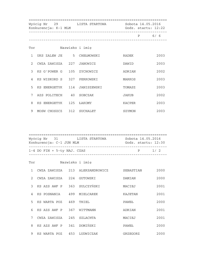|                | Wyścig Nr 29 LISTA STARTOWA<br>Konkurencja: K-1 MLM | Sobota 14.05.2016<br>Godz. startu: 12:22 |               |      |
|----------------|-----------------------------------------------------|------------------------------------------|---------------|------|
|                |                                                     |                                          | P             | 6/6  |
| Tor            |                                                     | Nazwisko i imię                          |               |      |
| $\mathbf{1}$   | UKS ZALEW JE 5 CHEŁMOWSKI                           |                                          | RADEK         | 2003 |
| $\mathfrak{D}$ | CWZA ZAWISZA 227 JANOWICZ                           |                                          | DAWID         | 2003 |
| $\mathcal{E}$  | KS G'POWER G 105 ZYCHOWICZ                          |                                          | ADRIAN        | 2002 |
| 4              | KS WISKORD S 327 PERKOWSKI                          |                                          | MARKOS        | 2003 |
| 5              | KS ENERGETYK 114 JANISZEWSKI                        |                                          | TOMASZ        | 2003 |
| 7              | AZS POLITECH 40 SOBCZAK                             |                                          | JAKUB         | 2002 |
| 8              | KS ENERGETYK 125 ŁAKOMY                             |                                          | <b>KACPER</b> | 2003 |
| 9              | MOSW CHOSZCZ 312 SUCHALET                           |                                          | SZYMON        | 2003 |

| Wyścig Nr 31 | Konkurencja: C-1 JUN MLM      | LISTA STARTOWA | Sobota 14.05.2016<br>Godz. startu: $12:30$ |     |
|--------------|-------------------------------|----------------|--------------------------------------------|-----|
|              | $1-4$ DO FIN + 5-ty NAJ. CZAS |                | D D                                        | 1/2 |
|              |                               |                |                                            |     |

| Tor            |              |     | Nazwisko i imie    |           |      |
|----------------|--------------|-----|--------------------|-----------|------|
| $\mathbf{1}$   | CWZA ZAWISZA |     | 213 ALEKSANDROWICZ | SEBASTIAN | 2000 |
| $\mathcal{L}$  | CWZA ZAWISZA | 224 | GUTOWSKI           | DAMIAN    | 2000 |
| $\mathcal{E}$  | KS AZS AWF P | 363 | SULCZYŃSKI         | MACIEJ    | 2001 |
| $\overline{4}$ | KS POSNANIA  | 499 | MIELCAREK          | KAJETAN   | 2001 |
| 5              | KS WARTA POZ | 469 | THIEL              | PAWEŁ     | 2000 |
| 6              | KS AZS AWF P | 367 | WITTMANN           | ADRIAN    | 2001 |
| 7              | CWZA ZAWISZA | 245 | <b>SZLACHTA</b>    | MACIEJ    | 2001 |
| 8              | KS AZS AWF P | 341 | DOMIŃSKI           | PAWEŁ     | 2000 |
| 9              | KS WARTA POZ | 453 | LUDWICZAK          | GRZEGORZ  | 2000 |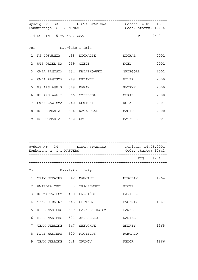| Wyścig Nr 32 LISTA STARTOWA Sobota 14.05.2016<br>Konkurencja: C-1 JUN MLM |                               |  | Godz. startu: 12:34          |                                               |      |
|---------------------------------------------------------------------------|-------------------------------|--|------------------------------|-----------------------------------------------|------|
|                                                                           | $1-4$ DO FIN + 5-ty NAJ. CZAS |  |                              | P 2/2<br>____________________________________ |      |
|                                                                           | Tor Nazwisko i imię           |  |                              |                                               |      |
|                                                                           | 1 KS POSNANIA - 498 MICHALIK  |  |                              | MICHAŁ                                        | 2001 |
|                                                                           | 2 WTS ORZEŁ WA 259 CZEPE      |  |                              | NOEL                                          | 2001 |
| $\mathcal{E}$                                                             |                               |  | CWZA ZAWISZA 234 KWIATKOWSKI | GRZEGORZ                                      | 2001 |
|                                                                           | 4 CWZA ZAWISZA 249 URBANEK    |  |                              | FILIP                                         | 2000 |
| 5                                                                         | KS AZS AWF P 349 KANAK        |  |                              | PATRYK                                        | 2000 |
| 6                                                                         | KS AZS AWF P 366 SZPREJDA     |  |                              | OSKAR                                         | 2000 |
| 7                                                                         | CWZA ZAWISZA 240 NOWICKI      |  |                              | KUBA                                          | 2001 |
| 8                                                                         | KS POSNANIA 504 RATAJCZAK     |  |                              | MACIEJ                                        | 2000 |
| 9                                                                         | KS POSNANIA 512 SZUBA         |  |                              | MATEUSZ                                       | 2001 |

| Wyścig Nr 34<br>Konkurencja: C-1 MASTERS |  | LISTA STARTOWA | Poniedz. 14.05.2001<br>Godz. startu: 12:42 |  |
|------------------------------------------|--|----------------|--------------------------------------------|--|
|                                          |  |                | FTN 1/1                                    |  |

| Tor           |                            |                            | Nazwisko i imię   |         |      |
|---------------|----------------------------|----------------------------|-------------------|---------|------|
| $\mathbf{1}$  | TEAM UKRAINE 542 MAMOTUK   |                            |                   | NIKOLAY | 1964 |
| $\mathcal{L}$ | GWARDIA OPOL               | $\overline{\phantom{a}}$ 3 | TRACZEWSKI        | PIOTR   |      |
| $\mathcal{E}$ | KS WARTA POZ 430 BRESIŃSKI |                            |                   | DARIUSZ |      |
| 4             | TEAM UKRAINE               | 545                        | SBITNEV           | EVGENIY | 1967 |
| 5             | KLUB MASTERS               |                            | 519 BARASZKIEWICZ | PAWEL   |      |
| 6             | KLUB MASTERS               | 521                        | JEDRASZKO         | DANIEL  |      |
| 7             | TEAM UKRAINE               | 547                        | SHEVCHUK          | ANDREY  | 1965 |
| 8             | KLUB MASTERS               | 520                        | FIGIELUS          | ROMUALD |      |
| 9             | TEAM UKRAINE               | 548                        | TRUNOV            | FEDOR   | 1966 |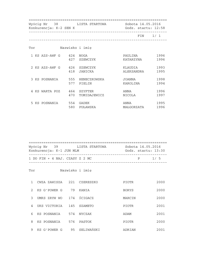| Wyścig Nr 38 LISTA STARTOWA<br>Konkurencja: K-2 SEN K |                 |                            |                       | Sobota 14.05.2016<br>Godz. startu: 12:58 |  |  |
|-------------------------------------------------------|-----------------|----------------------------|-----------------------|------------------------------------------|--|--|
|                                                       |                 |                            |                       | $FIN \qquad 1/1$                         |  |  |
| Tor                                                   | Nazwisko i imie |                            |                       |                                          |  |  |
| 1 KS AZS-AWF G 424 NOGA                               | 427             | SZEWCZYK                   | PAULINA<br>KATARZYNA  | 1996<br>1996                             |  |  |
| 2 KS AZS-AWF G 426 SZEWCZYK                           | 418             | JANICKA                    | KLAUDIA<br>ALEKSANDRA | 1993<br>1995                             |  |  |
| 3 KS POSNANIA                                         | 577             | 555 HENECZKOWSKA<br>PIELIN | JOANNA<br>KAROLINA    | 1998<br>1994                             |  |  |
| 4 KS WARTA POZ                                        | 464<br>470      | SZYFTER<br>TOMIDAJEWICZ    | ANNA<br>NICOLA        | 1996<br>1997                             |  |  |
| 5 KS POSNANIA                                         | 554<br>580      | GADEK<br>PUŁAWSKA          | ANNA<br>MAŁGORZATA    | 1995<br>1996                             |  |  |

| Wyścig Nr 39<br>Konkurencja: K-1 JUN MLM | LISTA STARTOWA | Sobota 14.05.2016<br>Godz. startu: 13:30 |     |
|------------------------------------------|----------------|------------------------------------------|-----|
| 1 DO FIN + 4 NAJ. CZASY Z 2 MC           |                | D                                        | 1/5 |

#### Tor Nazwisko i imię

|               | CWZA ZAWISZA | 221 | CZERESZKO  | <b>PIOTR</b> | 2000 |
|---------------|--------------|-----|------------|--------------|------|
| $\mathcal{L}$ | KS G'POWER G | 79  | KANIA      | <b>BORYS</b> | 2000 |
| 3             | UMKS ZRYW WO | 174 | ŚCIGACZ    | MARCIN       | 2000 |
| 4             | UKS VICTORIA | 145 | SZAMETO    | PIOTR        | 2001 |
| 6             | KS POSNANIA  | 574 | NYCZAK     | ADAM         | 2001 |
| 8             | KS POSNANIA  | 576 | PASTOK     | <b>PIOTR</b> | 2000 |
| 9             | KS G'POWER G | 95  | SELIWAŃSKI | ADRIAN       | 2001 |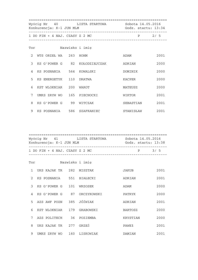|               | Wyścig Nr 40 LISTA STARTOWA<br>Konkurencja: K-1 JUN MLM |  | Sobota 14.05.2016<br>Godz. startu: 13:34 |           |       |
|---------------|---------------------------------------------------------|--|------------------------------------------|-----------|-------|
|               | 1 DO FIN + 4 NAJ. CZASY Z 2 MC                          |  | ___________________________________      |           | P 2/5 |
|               | Tor                                                     |  | Nazwisko i imię                          |           |       |
| $2^{\circ}$   | WTS ORZEŁ WA 263 HOHM                                   |  |                                          | ADAM      | 2001  |
| $\mathcal{L}$ |                                                         |  | KS G'POWER G 82 KOŁODZIEJCZAK            | ADRIAN    | 2000  |
| 4             | KS POSNANIA 564 KOWALSKI                                |  |                                          | DOMINIK   | 2000  |
| 5             | KS ENERGETYK 110 DRATWA                                 |  |                                          | KACPER    | 2000  |
| 6             | KST WLOKNIAR 200 WAROT                                  |  |                                          | MATEUSZ   | 2000  |
| 7             | UMKS ZRYW WO 165 PIECHOCKI                              |  |                                          | WIKTOR    | 2001  |
| 8             | KS G'POWER G 99 WITCZAK                                 |  |                                          | SEBASTIAN | 2001  |
| 9             | KS POSNANIA 586 SZAFRANIEC                              |  |                                          | STANISŁAW | 2001  |

|               | Konkurencja: K-1 JUN MLM       |    | Wyścig Nr 41 LISTA STARTOWA | Sobota 14.05.2016<br>Godz. startu: 13:38 |      |
|---------------|--------------------------------|----|-----------------------------|------------------------------------------|------|
|               | 1 DO FIN + 4 NAJ. CZASY Z 2 MC |    |                             | $\mathbf{P}$                             | 3/5  |
| Tor           |                                |    | Nazwisko i imię             |                                          |      |
| 1             | UKS KAJAK TR 282 MISZTAK       |    |                             | JAKUB                                    | 2001 |
| $\mathcal{L}$ | KS POSNANIA 551 BIAŁECKI       |    |                             | ADRIAN                                   | 2001 |
| 3             | KS G'POWER G 101 WRZOSEK       |    |                             | ADAM                                     | 2000 |
| 4             | KS G'POWER G                   | 87 | ORCZYKOWSKI                 | PATRYK                                   | 2000 |

|   | 5 AZS AWF POZN | 385  | JÓŹWIAK   | ADRIAN         | 2001 |
|---|----------------|------|-----------|----------------|------|
| 6 | KST WLOKNIAR   | 179  | GRABOWSKI | <b>BARTOSZ</b> | 2000 |
|   | AZS POLITECH   | 36   | POZIEMBA  | KRYSTIAN       | 2000 |
| 8 | UKS KAJAK TR   | 2.77 | GRZEŚ     | PAWEł          | 2001 |
| 9 | UMKS ZRYW WO   | 160  | LISKOWIAK | DAMIAN         | 2001 |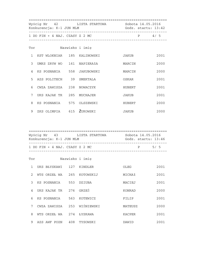|               | Wyścig Nr 42 LISTA STARTOWA<br>Konkurencja: K-1 JUN MLM |  | Sobota 14.05.2016<br>Godz. startu: 13:42 |              |                |
|---------------|---------------------------------------------------------|--|------------------------------------------|--------------|----------------|
|               | 1 DO FIN + 4 NAJ. CZASY Z 2 MC                          |  |                                          |              | $P \qquad 4/5$ |
| Tor           |                                                         |  | Nazwisko i imię                          |              |                |
| $\mathbf{1}$  | KST WLOKNIAR 185 KALINOWSKI                             |  |                                          | JAKUB        | 2001           |
| $\mathcal{E}$ | UMKS ZRYW WO 161 NAPIERAłA                              |  |                                          | MARCIN       | 2000           |
| 4             | KS POSNANIA 558 JAKUBOWSKI                              |  |                                          | MARCIN       | 2000           |
| 5             | AZS POLITECH 39 SMEKTALA                                |  |                                          | OSKAR        | 2001           |
| 6             | CWZA ZAWISZA 238 NOWACZYK                               |  |                                          | HUBERT       | 2001           |
| 7             | UKS KAJAK TR 285 MUCHAJER                               |  |                                          | JAKUB        | 2001           |
| 8             | KS POSNANIA 575 OLSZEWSKI                               |  |                                          | HUBERT       | 2000           |
| 9             | ZKS OLIMPIA 615 ZUKOWSKI                                |  |                                          | <b>JAKUB</b> | 2000           |

| Wyścig Nr 43<br>Konkurencja: K-1 JUN MLM | LISTA STARTOWA | Sobota 14.05.2016<br>Godz. startu: 13:46 |     |
|------------------------------------------|----------------|------------------------------------------|-----|
| 1 DO FIN + 4 NAJ. CZASY Z 2 MC           |                | P                                        | 5/5 |

| Tor            |              |     | Nazwisko i imie |               |      |
|----------------|--------------|-----|-----------------|---------------|------|
| 1              | UKS BŁYSKAWI | 127 | KINDLER         | OLEG          | 2001 |
| $\mathfrak{D}$ | WTS ORZEŁ WA | 265 | KOTOWSKIJ       | MICHAł        | 2001 |
| $\mathcal{E}$  | KS POSNANIA  | 553 | <b>DZIUBA</b>   | MACIEJ        | 2001 |
| 4              | UKS KAJAK TR | 276 | GRZEŚ           | KONRAD        | 2000 |
| 6              | KS POSNANIA  | 563 | KOTEWICZ        | FILIP         | 2001 |
| 7              | CWZA ZAWISZA | 253 | WIŚNIEWSKI      | MATEUSZ       | 2000 |
| 8              | WTS ORZEŁ WA | 274 | ŁYSKAWA         | <b>KACPER</b> | 2001 |
| 9              | AZS AWF POZN | 408 | TYSOWSKI        | DAWID         | 2001 |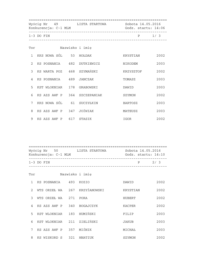|                | Konkurencja: C-1 MLM         | Wyścig Nr 49 LISTA STARTOWA Sobota 14.05.2016<br>Godz. startu: 14:06 |           |       |
|----------------|------------------------------|----------------------------------------------------------------------|-----------|-------|
|                | $1-3$ DO FIN                 |                                                                      |           | P 1/3 |
|                | Tor                          | Nazwisko i imię                                                      |           |       |
|                | 1 KKS NOWA SÓL 53 HOŁDAK     |                                                                      | KRYSTIAN  | 2002  |
|                | 2 KS POSNANIA 482 DUTKIEWICZ |                                                                      | NIKODEM   | 2003  |
| $\mathcal{E}$  | KS WARTA POZ 468 SZYMAŃSKI   |                                                                      | KRZYSZTOF | 2002  |
| $\overline{4}$ | KS POSNANIA 489 JANCZAK      |                                                                      | TOMASZ    | 2003  |
| 5              | KST WLOKNIAR 178 GRABOWSKI   |                                                                      | DAWID     | 2003  |
| 6              | KS AZS AWF P 364 SZCZEPANIAK |                                                                      | SZYMON    | 2002  |
| 7              | KKS NOWA SÓL 61 SUCZYŁKIN    |                                                                      | BARTOSZ   | 2003  |
| 8              | KS AZS AWF P 347 JOŻWIAK     |                                                                      | MATEUSZ   | 2003  |
| 9              | KS AZS AWF P 617 STASIK      |                                                                      | IGOR      | 2002  |

 ================================================================== Wyścig Nr 50 LISTA STARTOWA Sobota 14.05.2016 Konkurencja: C-1 MLM Godz. startu: 14:10 ------------------------------------------------------------------  $1-3$  DO FIN ------------------------------------------------------------------

| Tor          |              |     | Nazwisko i imię  |          |      |
|--------------|--------------|-----|------------------|----------|------|
| $\mathbf{1}$ | KS POSNANIA  | 493 | KOZIO            | DAWID    | 2002 |
| 2            | WTS ORZEŁ WA |     | 267 KRZYŻANOWSKI | KRYSTIAN | 2002 |
| 3            | WTS ORZEŁ WA | 271 | PORA             | HUBERT   | 2002 |
| 4            | KS AZS AWF P | 340 | BOGAJCZYK        | KACPER   | 2002 |
| $5 -$        | KST WLOKNIAR | 183 | HUMIŃSKI         | FILIP    | 2003 |
| 6            | KST WLOKNIAR | 211 | ZIELIŃSKI        | JAKUB    | 2003 |
| 7            | KS AZS AWF P | 357 | MIŚNIK           | MICHAŁ   | 2003 |
| 8            | KS WISKORD S | 321 | HNATIUK          | SZYMON   | 2002 |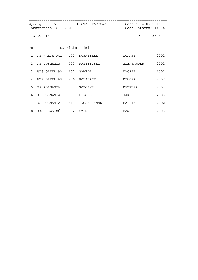| Wyścig Nr 51 LISTA STARTOWA<br>Konkurencja: C-1 MLM |                           |  |                                | Sobota 14.05.2016<br>Godz. startu: 14:14 |      |  |
|-----------------------------------------------------|---------------------------|--|--------------------------------|------------------------------------------|------|--|
| $1-3$ DO FIN                                        |                           |  | ______________________________ | P                                        | 3/3  |  |
| Tor                                                 |                           |  | Nazwisko i imię                |                                          |      |  |
| $\mathbf{1}$                                        |                           |  | KS WARTA POZ 452 KUŚNIEREK     | ŁUKASZ                                   | 2002 |  |
| $\mathfrak{D}$                                      |                           |  | KS POSNANIA 503 PRZYBYLSKI     | ALEKSANDER                               | 2002 |  |
| 3                                                   | WTS ORZEŁ WA              |  | 262 GAWEDA                     | KACPER                                   | 2002 |  |
| 4                                                   | WTS ORZEŁ WA 270 POLACZEK |  |                                | MIŁOSZ                                   | 2002 |  |
| 5                                                   | KS POSNANIA 507 SOBCZYK   |  |                                | MATEUSZ                                  | 2003 |  |
| 6                                                   |                           |  | KS POSNANIA 501 PIECHOCKI      | JAKUB                                    | 2003 |  |
| 7                                                   |                           |  | KS POSNANIA 513 TROSZCZYŃSKI   | MARCIN                                   | 2002 |  |
| 8                                                   | KKS NOWA SÓL 52 CZEMKO    |  |                                | DAWID                                    | 2003 |  |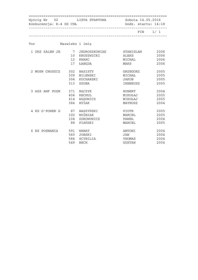| Wyścig Nr 52 LISTA STARTOWA Sobota 14.05.2016<br>Konkurencja: K-4 DZ CHŁ |     | Godz. startu: 14:18                                       |              |         |
|--------------------------------------------------------------------------|-----|-----------------------------------------------------------|--------------|---------|
|                                                                          |     |                                                           |              | FIN 1/1 |
| Tor                                                                      |     | Nazwisko i imię                                           |              |         |
|                                                                          |     | 1 UKS ZALEW JE     7 JEDROSZKOWIAK     STANISLAW     2006 |              |         |
|                                                                          |     | 10 KRUSZWICKI                                             | ALEKS        | 2006    |
|                                                                          |     | 12 KWARC                                                  | MICHAL       | 2006    |
|                                                                          |     | 17 ŁABĘDA                                                 | MAKS         | 2006    |
| 2 MOSW CHOSZCZ 302 BASISTY                                               |     |                                                           | GRZEGORZ     | 2005    |
|                                                                          | 309 | MILEWSKI                                                  | MICHAŁ       | 2005    |
|                                                                          |     | 304 KUCHARSKI                                             | <b>JAKUB</b> | 2005    |
|                                                                          | 313 | SZUBA                                                     | IRENEUSZ     | 2005    |
| 3 AZS AWF POZN 371 BĄCZYK                                                |     |                                                           | HUBERT       | 2004    |
|                                                                          |     | 404 RECHUL                                                | MIKOŁAJ      | 2005    |
|                                                                          |     | 414 WĄSOWICZ                                              | MIKOŁAJ      | 2005    |
|                                                                          |     | 384 HYŻAK                                                 | MATEUSZ      | 2004    |
| 4 KS G'POWER G 67 BASZYŃSKI                                              |     |                                                           | PIOTR        | 2005    |
|                                                                          |     | 100 WOŹNIAK                                               | MARCEL       | 2005    |
|                                                                          |     | 104 ZDROWOWICZ                                            | PAWEŁ        | 2004    |
|                                                                          | 88  | PIAŃSKI                                                   | MARCEL       | 2005    |
| 6 KS POSNANIA 591 WANAT                                                  |     |                                                           | ANTONI       | 2004    |
|                                                                          | 560 | JOBSKI                                                    | JAN          | 2004    |
|                                                                          | 584 | SCYBILIA                                                  | THOMAS       | 2004    |
|                                                                          | 549 | BECH                                                      | GUSTAW       | 2004    |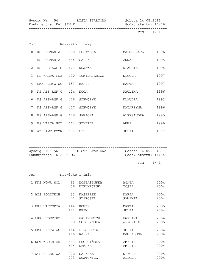|              | Konkurencja: K-1 SEN K                                                                                                                                                                                                         | Wyścig Nr 54 LISTA STARTOWA Sobota 14.05.2016 | Godz. startu: 14:26 |         |
|--------------|--------------------------------------------------------------------------------------------------------------------------------------------------------------------------------------------------------------------------------|-----------------------------------------------|---------------------|---------|
|              |                                                                                                                                                                                                                                |                                               |                     | FIN 1/1 |
|              | Tor the contract of the contract of the contract of the contract of the contract of the contract of the contract of the contract of the contract of the contract of the contract of the contract of the contract of the contra | Nazwisko i imię                               |                     |         |
| $\Omega$     |                                                                                                                                                                                                                                |                                               | MAŁGORZATA 1996     |         |
| $\mathbf{1}$ | KS POSNANIA 554 GADEK                                                                                                                                                                                                          |                                               | ANNA                | 1995    |
| $2^{1}$      | KS AZS-AWF G 423 KUJAWA                                                                                                                                                                                                        |                                               | KLAUDIA             | 1994    |
| 3            |                                                                                                                                                                                                                                | KS WARTA POZ 470 TOMIDAJEWICZ                 | NICOLA              | 1997    |
| 4            | UMKS ZRYW WO 157 BERUS                                                                                                                                                                                                         |                                               | MARTA               | 1997    |
| 5            | KS AZS-AWF G 424 NOGA                                                                                                                                                                                                          |                                               | PAULINA             | 1996    |
| 6            | KS AZS-AWF G 426 SZEWCZYK                                                                                                                                                                                                      |                                               | KLAUDIA             | 1993    |
| 7            | KS AZS-AWF G 427 SZEWCZYK                                                                                                                                                                                                      |                                               | KATARZYNA           | 1996    |
| 8            | KS AZS-AWF G 418 JANICKA                                                                                                                                                                                                       |                                               | ALEKSANDRA          | 1995    |
| 9            | KS WARTA POZ 464 SZYFTER                                                                                                                                                                                                       |                                               | ANNA                | 1996    |
| 10           | AZS AWF POZN 651 LIS                                                                                                                                                                                                           |                                               | JULIA               | 1997    |

 ================================================================== Wyścig Nr 56 LISTA STARTOWA Sobota 14.05.2016 Konkurencja: K-2 DZ DZ Godz. startu: 14:34 ------------------------------------------------------------------ FIN 1/ 1 ------------------------------------------------------------------

| Tor |                |            | Nazwisko i imię           |                         |              |
|-----|----------------|------------|---------------------------|-------------------------|--------------|
|     | 1 KKS NOWA SÓL | 63<br>56   | WOJTASIŃSKA<br>MIELNICZUK | AGATA<br>ZOSIA          | 2004<br>2004 |
|     | 2 AZS POLITECH | 33<br>41   | KASPEREK<br>STAROSTA      | DARIA<br>SAMANTA        | 2004<br>2004 |
|     | 3 UKS VICTORIA | 144<br>141 | ROMEK<br><b>BEIM</b>      | MARTA<br>JULIA          | 2005<br>2004 |
|     | 4 LKK HUBERTUS | 301<br>300 | WALINOWICZ<br>SOBCZYŃSKA  | EWELINA<br>WERONIKA     | 2004<br>2005 |
|     | 5 UMKS ZRYW WO | 164<br>166 | PIECHOCKA<br>RADNA        | JULIA<br>MAGDALENA      | 2004<br>2004 |
| 6   | KST WLOKNIAR   | 613<br>614 | LUCHCIŃSKA<br>DEMSKA      | AMELIA<br>EMILIA        | 2004<br>2004 |
| 7   | WTS ORZEŁ WA   | 272<br>273 | SARZAŁA<br>WOJTOWICZ      | <b>NIKOLA</b><br>ALICJA | 2005<br>2004 |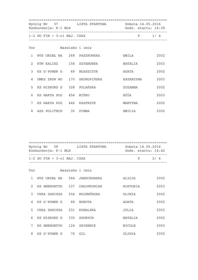|               | Wyścig Nr 57 LISTA STARTOWA<br>Konkurencja: K-1 MLK |                                       | Sobota 14.05.2016<br>Godz. startu: 14:38<br>____________________________________ |           |      |
|---------------|-----------------------------------------------------|---------------------------------------|----------------------------------------------------------------------------------|-----------|------|
|               | $1-2$ DO FIN + $3-ci$ NAJ. CZAS                     | _____________________________________ | $P \qquad 1/4$                                                                   |           |      |
| Tor           |                                                     |                                       | Nazwisko i imie                                                                  |           |      |
| $\mathbf{1}$  | WTS ORZEŁ WA 268 PASZKOWSKA                         |                                       |                                                                                  | EMILA     | 2002 |
| $\mathcal{L}$ | KTW KALISZ 156 SZTANDERA                            |                                       |                                                                                  | NATALIA   | 2003 |
| $\mathcal{L}$ | KS G'POWER G 69 BŁASZCZYK                           |                                       |                                                                                  | AGATA     | 2002 |
| 4             | UMKS ZRYW WO 170 SKORUPIŃSKA                        |                                       |                                                                                  | KATARZYNA | 2003 |
| 5             | KS WISKORD S 328 POLAŃSKA                           |                                       |                                                                                  | ZUZANNA   | 2002 |
| 6             | KS WARTA POZ 454 MIŃKO                              |                                       |                                                                                  | RÓŻA      | 2003 |
| 7             | KS WARTA POZ 446 KASPRZYK                           |                                       |                                                                                  | MARTYNA   | 2002 |
|               | 8 AZS POLITECH 35 PINNA                             |                                       |                                                                                  | EMILIA    | 2002 |

|               | Konkurencja: K-1 MLK             | Wyścig Nr 58 LISTA STARTOWA | Sobota 14.05.2016<br>Godz. startu: 14:42 |      |
|---------------|----------------------------------|-----------------------------|------------------------------------------|------|
|               | $1-2$ DO FIN + $3-$ ci NAJ. CZAS |                             | Ρ                                        | 2/4  |
| Tor           |                                  | Nazwisko i imie             |                                          |      |
|               | WTS ORZEŁ WA 264 JANUCHOWSKA     |                             | ALICJA                                   | 2002 |
| $\mathcal{L}$ | KS ENERGETYK 107 CHŁOPKOWIAK     |                             | WIKTORIA                                 | 2003 |
| 3             | CWZA ZAWISZA 254 WOJEWÓDZKA      |                             | OLIWIA                                   | 2002 |

| 4  | KS G'POWER G   | 68  | BORUTA   | AGATA   | 2002 |
|----|----------------|-----|----------|---------|------|
| 5. | CWZA ZAWISZA   | 231 | KOWALSKA | JULIA   | 2003 |
|    | 6 KS WISKORD S | 335 | ZDOBYCH  | NATALIA | 2002 |
|    | KS ENERGETYK   | 124 | ZWIERNIK | NICOLE  | 2003 |
| 8  | KS G'POWER G   | 76  | GIL      | OLIWIA  | 2002 |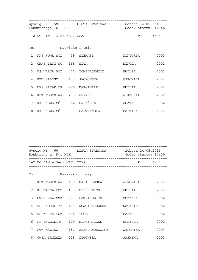|                | Wyścig Nr 59 LISTA STARTOWA<br>Konkurencja: K-1 MLK |  | Sobota 14.05.2016<br>Godz. startu: 14:46 |          |         |
|----------------|-----------------------------------------------------|--|------------------------------------------|----------|---------|
|                | $1-2$ DO FIN + $3-ci$ NAJ. CZAS                     |  | ____________________________________     |          | $P$ 3/4 |
|                | Tor                                                 |  | Nazwisko i imię                          |          |         |
| $\mathbf{1}$   | KKS NOWA SÓL 59 SIEMASZ                             |  |                                          | WIKTORIA | 2003    |
| $\mathcal{L}$  | UMKS ZRYW WO 168 SITA                               |  |                                          | NIKOLA   | 2002    |
| $\mathcal{E}$  |                                                     |  | KS WARTA POZ 471 TOMIDAJEWICZ            | EMILIA   | 2002    |
| $\overline{4}$ | KTW KALISZ 153 JACKOWSKA                            |  |                                          | WERONIKA | 2003    |
| 5              | UKS KAJAK TR 280 MARCINIAK                          |  |                                          | EMILIA   | 2002    |
| 6              | KST WLOKNIAR 203 WERNER                             |  |                                          | WIKTORIA | 2002    |
| 7              | KKS NOWA SÓL 62 URBAŃSKA                            |  |                                          | AGATA    | 2002    |
| 8              | KKS NOWA SÓL    51 BARTMAŃSKA                       |  |                                          | MALWINA  | 2003    |

 ================================================================== Wyścig Nr 60 LISTA STARTOWA Sobota 14.05.2016 Konkurencja: K-1 MLK Godz. startu: 14:50 ------------------------------------------------------------------  $1-2$  DO FIN +  $3-ci$  NAJ. CZAS ------------------------------------------------------------------

| Tor           |              |     | Nazwisko i imie |                |      |
|---------------|--------------|-----|-----------------|----------------|------|
| $\mathbf{1}$  | KST WLOKNIAR | 189 | NALASKOWSKA     | WERONIKA       | 2003 |
| $\mathcal{L}$ | KS WARTA POZ | 433 | CIEŚLEWICZ      | EMILIA         | 2003 |
| 3             | CWZA ZAWISZA | 257 | ŁAWNIKOWICZ     | ZUZANNA        | 2002 |
| 4             | KS ENERGETYK | 123 | WOJCIECHOWSKA   | <b>NATALIA</b> | 2002 |
| 5             | KS WARTA POZ | 474 | TUTAJ           | MARTA          | 2002 |
| 6             | KS ENERGETYK | 119 | MIKOŁAJCZAK     | URSZULA        | 2002 |
| 7             | KTW KALISZ   | 151 | ALEKSANDROWICZ  | WERONIKA       | 2003 |
| 8             | CWZA ZAWISZA | 258 | ŻYGOWSKA        | JAŚMINA        | 2003 |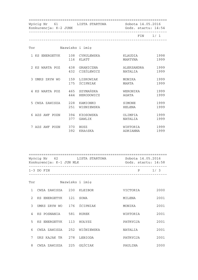| Konkurencja: K-2 JUNK | Wyścig Nr 61 LISTA STARTOWA Sobota 14.05.2016<br>________________________________ | Godz. startu: 14:54   |              |
|-----------------------|-----------------------------------------------------------------------------------|-----------------------|--------------|
|                       |                                                                                   |                       | FIN 1/1      |
| Tor                   | Nazwisko i imię                                                                   |                       |              |
| 1 KS ENERGETYK        | 108 CYRULEWSKA<br>116 KLATT                                                       | KLAUDIA<br>MARTYNA    | 1998<br>1999 |
|                       | 2 KS WARTA POZ 438 GRANICZNA<br>432 CIEŚLEWICZ                                    | ALEKSANDRA<br>NATALIA | 1999<br>1999 |
| 3 UMKS ZRYW WO        | 159 LISKOWIAK<br>175 ŚCIPNIAK                                                     | MONIKA<br>MARTA       | 1999<br>1999 |
|                       | 4 KS WARTA POZ 465 SZYMAŃSKA<br>444<br>HERODOWICZ                                 | WERONIKA<br>AGATA     | 1999<br>1999 |
|                       | 5 CWZA ZAWISZA 228 KAMIONKO<br>251<br>WISNIEWSKA                                  | SIMONE<br>HELENA      | 1999<br>1999 |
| 6 AZS AWF POZN        | 394 KłOSOWSKA<br>377<br>GAWLIK                                                    | OLIMPIA<br>NATALIA    | 1999<br>1999 |
| 7 AZS AWF POZN        | 370 BUSZ<br>392 KRAńSKA                                                           | WIKTORIA<br>ADRIANNA  | 1999<br>1999 |

| Wyścig Nr 62<br>Konkurencja: K-1 JUN MLK | LISTA STARTOWA | Sobota 14.05.2016<br>Godz. startu: 14:58 |     |
|------------------------------------------|----------------|------------------------------------------|-----|
| $1-3$ DO FIN                             |                | P                                        | 1/3 |

| Tor           |              |     | Nazwisko i imie |          |      |
|---------------|--------------|-----|-----------------|----------|------|
| 1             | CWZA ZAWISZA | 230 | KLEIBOR         | VICTORIA | 2000 |
| $\mathcal{L}$ | KS ENERGETYK | 121 | SOWA            | MILENA   | 2001 |
| 3             | UMKS ZRYW WO | 176 | ŚCIPNIAK        | MONIKA   | 2001 |
| 4             | KS POSNANIA  | 581 | <b>RUREK</b>    | WIKTORIA | 2001 |
| 5             | KS ENERGETYK | 113 | HOŁYSZ          | PATRYCJA | 2001 |
| 6             | CWZA ZAWISZA | 252 | WIŚNIEWSKA      | NATALIA  | 2001 |
| 7             | UKS KAJAK TR | 278 | LEBIODA         | PATRYCJA | 2001 |
| 8             | CWZA ZAWISZA | 225 | GEŚCIAK         | PAULINA  | 2000 |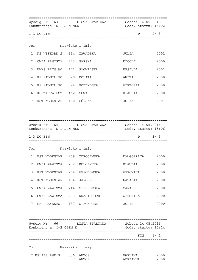================================================================== Wyścig Nr 63 LISTA STARTOWA Wyścig Nr 63 LISTA STARTOWA DOWOCA ARALI 15:02<br>Konkurencja: K-1 JUN MLK Godz. startu: 15:02 ------------------------------------------------------------------ 1-3 DO FIN P 2/ 3 ------------------------------------------------------------------ Tor Nazwisko i imię 1 KS WISKORD S 334 ZAWADZKA JULIA 2001 2 CWZA ZAWISZA 223 GAPSKA NICOLE 2000 3 UMKS ZRYW WO 171 SłOWIńSKA URSZULA 2001 4 KS STOMIL PO 20 DOLATA ANITA 2000 5 KS STOMIL PO 24 PODBYLSKA WIKTORIA 2000 6 KS WARTA POZ 462 SOWA KLAUDIA 2000 7 KST WLOKNIAR 180 GÓRSKA JULIA 2001 ================================================================== Wyścig Nr 64 LISTA STARTOWA Sobota 14.05.2016 Konkurencja: K-1 JUN MLK Godz. startu: 15:06 ------------------------------------------------------------------  $1-3$  DO FIN ------------------------------------------------------------------ Tor Nazwisko i imię 1 KST WLOKNIAR 209 ZDROJEWSKA MAŁGORZATA 2000 2 CWZA ZAWISZA 232 KULCZYCKA KLAUDIA 2000 3 KST WLOKNIAR 204 WESOŁOWSKA WERONIKA 2000 4 KST WLOKNIAR 184 JAROSZ NATALIA 2000 5 CWZA ZAWISZA 244 SPERKOWSKA SARA 2000 6 CWZA ZAWISZA 233 KWASIGROCH WERONIKA 2000 7 UKS BŁYSKAWI 137 WIECZOREK JULIA 2000

|     | Wyścig Nr 66<br>Konkurencja: C-2 OPEN K | LISTA STARTOWA  | Sobota 14.05.2016<br>Godz. startu: 15:14 |
|-----|-----------------------------------------|-----------------|------------------------------------------|
|     |                                         |                 | $FIN$ 1/1                                |
|     |                                         |                 |                                          |
| Tor |                                         | Nazwisko i imię |                                          |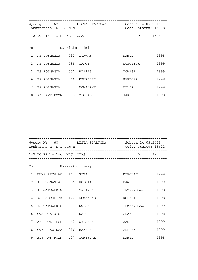|                | Wyścig Nr 67 LISTA STARTOWA Sobota 14.05.2016<br>Konkurencja: K-1 JUN M<br>------------------------ |                                 |  |                 | Godz. startu: 15:18 |      |  |
|----------------|-----------------------------------------------------------------------------------------------------|---------------------------------|--|-----------------|---------------------|------|--|
|                |                                                                                                     | $1-2$ DO FIN + $3-ci$ NAJ. CZAS |  |                 | P 1/4               |      |  |
| Tor            |                                                                                                     |                                 |  | Nazwisko i imie |                     |      |  |
| $\mathbf{1}$   |                                                                                                     | KS POSNANIA 592 WYRWAS          |  |                 | KAMIL               | 1998 |  |
| $\mathfrak{D}$ |                                                                                                     | KS POSNANIA 588 TRACZ           |  |                 | WOJCIECH            | 1999 |  |
|                |                                                                                                     | 3 KS POSNANIA 550 BIAłAS        |  |                 | TOMASZ              | 1999 |  |
| 6              |                                                                                                     | KS POSNANIA 566 KRUPECKI        |  |                 | BARTOSZ             | 1998 |  |
| 7              |                                                                                                     | KS POSNANIA 573 NOWACZYK        |  |                 | FILIP               | 1999 |  |
| 8              |                                                                                                     | AZS AWF POZN 398 MICHALSKI      |  |                 | JAKUB               | 1998 |  |

| Wyścig Nr 68<br>Konkurencja: K-1 JUN M | LISTA STARTOWA | Sobota 14.05.2016<br>Godz. startu: 15:22 |     |  |
|----------------------------------------|----------------|------------------------------------------|-----|--|
| $1-2$ DO FIN + $3-$ ci NAJ. CZAS       |                | D                                        | 2/4 |  |

| Tor           |              |              | Nazwisko i imie |            |      |
|---------------|--------------|--------------|-----------------|------------|------|
| $\mathbf{1}$  | UMKS ZRYW WO | 167          | SITA            | MIKOLAJ    | 1999 |
| $\mathcal{L}$ | KS POSNANIA  | 556          | HOPCIA          | DAWID      | 1999 |
| $\mathcal{E}$ | KS G'POWER G | 93           | SALAMON         | PRZEMYSŁAW | 1998 |
| 4             | KS ENERGETYK | 120          | NOWAKOWSKI      | ROBERT     | 1998 |
| 5             | KS G'POWER G | 81           | KORSAK          | PRZEMYSŁAW | 1999 |
| 6             | GWARDIA OPOL | $\mathbf{1}$ | KALUS           | ADAM       | 1998 |
| 7             | AZS POLITECH | 42           | URBAŃSKI        | JAN        | 1999 |
| 8             | CWZA ZAWISZA | 216          | BAZELA          | ADRIAN     | 1999 |
| 9             | AZS AWF POZN | 407          | TOMYŚLAK        | KAMIL      | 1998 |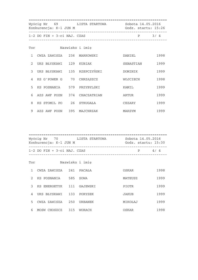|               | Wyścig Nr 69 LISTA STARTOWA<br>Konkurencja: K-1 JUN M |                                      | Sobota 14.05.2016<br>Godz. startu: 15:26 |         |  |
|---------------|-------------------------------------------------------|--------------------------------------|------------------------------------------|---------|--|
|               | $1-2$ DO FIN + $3-ci$ NAJ. CZAS                       | ____________________________________ |                                          | $P$ 3/4 |  |
| Tor           |                                                       | Nazwisko i imię                      |                                          |         |  |
| $\mathbf{1}$  | CWZA ZAWISZA 236 MARKOWSKI                            |                                      | DANIEL                                   | 1998    |  |
| $\mathcal{L}$ | UKS BŁYSKAWI 129 KUBIAK                               |                                      | SEBASTIAN                                | 1999    |  |
| 3             | UKS BŁYSKAWI 135 RZEPCZYŃSKI                          |                                      | DOMINIK                                  | 1999    |  |
| 4             | KS G'POWER G 70 CHRZASZCZ                             |                                      | WOJCIECH                                 | 1998    |  |
| 5             | KS POSNANIA 579 PRZYBYLSKI                            |                                      | KAMIL                                    | 1999    |  |
| 6             | AZS AWF POZN 374 CHACZATRIAN                          |                                      | ARTUR                                    | 1999    |  |
| 8             | KS STOMIL PO 26 STRUGAŁA                              |                                      | CEZARY                                   | 1999    |  |
| 9             | AZS AWF POZN 395 MAJCHRZAK                            |                                      | MAKSYM                                   | 1999    |  |

| Wyścig Nr 70 | Konkurencja: K-1 JUN M          | LISTA STARTOWA | Sobota 14.05.2016<br>Godz. startu: 15:30 |     |
|--------------|---------------------------------|----------------|------------------------------------------|-----|
|              | $1-2$ DO FIN + $3-ci$ NAJ. CZAS |                | P                                        | 4/4 |
| Tor          | Nazwisko i imię                 |                |                                          |     |

|               | CWZA ZAWISZA | 241 | PACAŁA         | OSKAR   | 1998 |
|---------------|--------------|-----|----------------|---------|------|
| $\mathcal{L}$ | KS POSNANIA  | 585 | SOWA           | MATEUSZ | 1999 |
| 3             | KS ENERGETYK | 111 | GAJEWSKI       | PIOTR   | 1999 |
| 4             | UKS BŁYSKAWI | 133 | PORYSEK        | JAKUB   | 1999 |
| 5.            | CWZA ZAWISZA | 250 | <b>URBANEK</b> | MIKOŁAJ | 1999 |
| 6             | MOSW CHOSZCZ | 315 | <b>WORACH</b>  | OSKAR   | 1998 |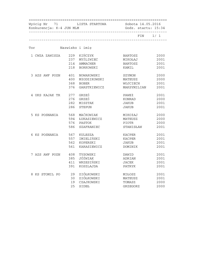| Konkurencja: K-4 JUN MLM      |     | Wyścig Nr 71 LISTA STARTOWA Sobota 14.05.2016<br>Godz. startu: 15:34 |                |           |
|-------------------------------|-----|----------------------------------------------------------------------|----------------|-----------|
|                               |     |                                                                      |                | FIN $1/1$ |
| Tor                           |     | Nazwisko i imię                                                      |                |           |
| 1 CWZA ZAWISZA 229 KIŃCZYK    |     |                                                                      | <b>BARTOSZ</b> | 2000      |
|                               |     | 237 MYŚLIWIEC                                                        | MIKOŁAJ        | 2001      |
|                               |     | 214 AMMACHER                                                         | BARTOSZ        | 2001      |
|                               |     | 218 BORKOWSKI                                                        | KAMIL          | 2001      |
| 3 AZS AWF POZN 401 NOWAKOWSKI |     |                                                                      | SZYMON         | 2000      |
|                               | 400 | MłODZIKOWSKI                                                         | MATEUSZ        | 2000      |
|                               |     | 368 BOBER                                                            | WOJCIECH       | 2001      |
|                               | 376 | GARSTKIEWICZ                                                         | MAKSYMILIAN    | 2001      |
| 4 UKS KAJAK TR                |     | 277 GRZEŚ                                                            | PAWEł          | 2001      |
|                               |     | 276 GRZEŚ                                                            | KONRAD         | 2000      |
|                               | 282 | MISZTAK                                                              | JAKUB          | 2001      |
|                               | 286 | STEPUN                                                               | JAKUB          | 2001      |
| 5 KS POSNANIA 568             |     | MAĆKOWIAK                                                            | MIKOłAJ        | 2000      |
|                               | 594 | ŁUKASIEWICZ                                                          | MATEUSZ        | 2000      |
|                               | 576 | PASTOK                                                               | PIOTR          | 2000      |
|                               | 586 | SZAFRANIEC                                                           | STANISŁAW      | 2001      |
| 6 KS POSNANIA                 | 567 | KULESZA                                                              | KACPER         | 2001      |
|                               | 557 | IMIELIŃSKI                                                           | KACPER         | 2001      |
|                               | 562 | KOPERSKI                                                             | JAKUB          | 2001      |
|                               | 561 | KARASIEWICZ                                                          | DOMINIK        | 2001      |
| 7 AZS AWF POZN                |     | 408 TYSOWSKI                                                         | DAWID          | 2001      |
|                               | 385 | JÓŹWIAK                                                              | ADRIAN         | 2001      |
|                               | 411 | WRZESIŃSKI                                                           | JACEK          | 2001      |
|                               | 391 | KOSZLAJDA                                                            | PATRYK         | 2001      |
| 8 KS STOMIL PO 29 ZIÓŁKOWSKI  |     |                                                                      | MIŁOSZ         | 2001      |
|                               |     | 30 ZIÓŁKOWSKI                                                        | MATEUSZ        | 2001      |
|                               | 19  | CZAJKOWSKI                                                           | TOMASZ         | 2000      |
|                               | 25  | SIDEŁ                                                                | GRZEGORZ       | 2000      |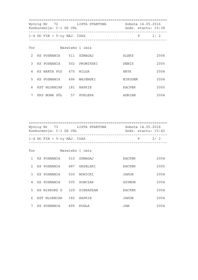| Wyścig Nr 72 LISTA STARTOWA Sobota 14.05.2016<br>Konkurencja: C-1 DZ CHL<br>_________________________ |  |                               |  | Godz. startu: 15:38             |         |       |
|-------------------------------------------------------------------------------------------------------|--|-------------------------------|--|---------------------------------|---------|-------|
|                                                                                                       |  | $1-4$ DO FIN + 5-ty NAJ. CZAS |  | _______________________________ |         | P 1/2 |
| Tor                                                                                                   |  |                               |  | Nazwisko i imię                 |         |       |
| $\mathfrak{D}$                                                                                        |  | KS POSNANIA 511 SZMAGAJ       |  |                                 | ALEKS   | 2006  |
| $\mathcal{S}$                                                                                         |  | KS POSNANIA 502 PROMIŃSKI     |  |                                 | DENIS   | 2005  |
| $\overline{4}$                                                                                        |  | KS WARTA POZ 475 WILGA        |  |                                 | ERYK    | 2004  |
| 5                                                                                                     |  | KS POSNANIA     496  MAJEWSKI |  |                                 | NIKODEM | 2004  |
| 6                                                                                                     |  | KST WLOKNIAR 181 HAPKIE       |  |                                 | KACPER  | 2005  |
| 7                                                                                                     |  | KKS NOWA SÓL 57 POKLEPA       |  |                                 | ADRIAN  | 2004  |

 ================================================================== Wyścig Nr 73 LISTA STARTOWA Sobota 14.05.2016 Konkurencja: C-1 DZ CHL Godz. startu: 15:42 ------------------------------------------------------------------  $1-4$  DO FIN + 5-ty NAJ. CZAS P 2/ 2 ------------------------------------------------------------------ Tor Nazwisko i imię 1 KS POSNANIA 510 SZMAGAJ KACPER 2004 2 KS POSNANIA 487 GRZELSKI KACPER 2005 3 KS POSNANIA 500 NOWICKI JAKUB 2004 4 KS POSNANIA 505 SOBCZAK SZYMON 2004

|               | KS POSNANIA  | 510 | SZMAGAJ   | <b>KACPER</b> | 2004 |
|---------------|--------------|-----|-----------|---------------|------|
| $\mathcal{L}$ | KS POSNANIA  | 487 | GRZELSKI  | <b>KACPER</b> | 2005 |
| 3             | KS POSNANIA  | 500 | NOWICKI   | <b>JAKUB</b>  | 2004 |
| 4             | KS POSNANIA  | 505 | SOBCZAK   | SZYMON        | 2004 |
| .5            | KS WISKORD S | 329 | SIERADZAN | <b>KACPER</b> | 2004 |
| 6             | KST WLOKNIAR | 182 | HAPKIE    | <b>JAKUB</b>  | 2004 |
| 7             | KS POSNANIA  | 495 | KUDŁA     | JAN           | 2004 |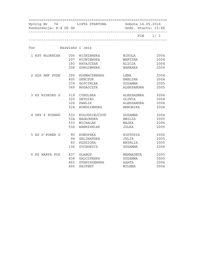| Konkurencja: K-4 DZ DZ |     |                 | Wyścig Nr 74 LISTA STARTOWA Sobota 14.05.2016<br>Godz. startu: 15:46 |           |  |
|------------------------|-----|-----------------|----------------------------------------------------------------------|-----------|--|
|                        |     |                 |                                                                      | FIN $1/1$ |  |
| Tor                    |     | Nazwisko i imię |                                                                      |           |  |
| 1 KST WLOKNIAR         | 206 | WIŚNIEWSKA      | NIKOLA                                                               | 2004      |  |
|                        |     | 207 WIŚNIEWSKA  | MARTINA                                                              | 2004      |  |
|                        | 193 | RATAJCZAK       | ALICJA                                                               | 2004      |  |
|                        | 208 | ZDROJEWSKA      | BARBARA                                                              | 2006      |  |
| 2 AZS AWF POZN         | 390 | KOSMACZEWSKA    | LENA                                                                 | 2004      |  |
|                        | 405 | SEŃCZUK         | EWELINA                                                              | 2004      |  |
|                        | 378 | GOŚCINIAK       | ZUZANNA                                                              | 2005      |  |
|                        | 369 | BOGAJCZYK       | ALEKSANDRA                                                           | 2005      |  |
| 3 KS WISKORD S         | 318 | CYBULSKA        | ALEKSADNRA                                                           | 2004      |  |
|                        | 320 | GRYGIEL         | OLIWIA                                                               | 2004      |  |
|                        | 326 | PAWLIK          | ALEKSANDRA                                                           | 2004      |  |
|                        | 324 | KONDZIEWSKA     | WERONIKA                                                             | 2004      |  |
| 4 UKS 6 POZNAŃ         | 532 | KOLODZIEJCZYK   | ZUZANNA                                                              | 2004      |  |
|                        | 534 | NAGŁOWSKA       | EMILIA                                                               | 2005      |  |
|                        | 533 | MICHALAK        | MAJKA                                                                | 2006      |  |
|                        | 536 | WAWRZYNIAK      | JULKA                                                                | 2005      |  |
| 5 KS G'POWER G         | 80  | KONOPSKA        | WIKTORIA                                                             | 2006      |  |
|                        | 94  | SELIWAŃSKA      | JULIA                                                                | 2005      |  |
|                        | 83  | KEDZIORA        | NATALIA                                                              | 2005      |  |
|                        | 106 | ZYCHOWICZ       | ZUZANNA                                                              | 2006      |  |
| 6 KS WARTA POZ         | 437 | GLABUS          | BERNADETA                                                            | 2005      |  |
|                        | 436 | GALCZYNSKA      | ZUZANNA                                                              | 2005      |  |
|                        | 463 | STANISZEWSKA    | AGATA                                                                | 2006      |  |
|                        | 460 | <b>SEIFERT</b>  | MILENA                                                               | 2004      |  |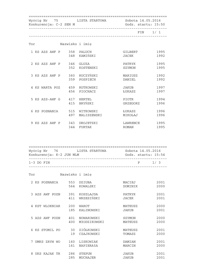|     | Konkurencja: C-2 SEN M       | Wyścig Nr 75 LISTA STARTOWA Sobota 14.05.2016<br>Godz. startu: 15:50 |                   |              |
|-----|------------------------------|----------------------------------------------------------------------|-------------------|--------------|
|     |                              |                                                                      |                   | FIN 1/1      |
| Tor |                              | Nazwisko i imię                                                      |                   |              |
|     | 1 KS AZS AWF P 358 PALUCH    | 348 KAMIŃSKI                                                         | GILBERT<br>JACEK  | 1995<br>1992 |
|     | 2 KS AZS AWF P 346 GLUZA     | 352 KOSTENSKI                                                        | PATRYK<br>SZYMON  | 1995<br>1995 |
|     | 3 KS AZS AWF P 360 RUCZYŃSKI | 359 POSPIECH                                                         | MARIUSZ<br>DANIEL | 1992<br>1992 |
|     | 4 KS WARTA POZ 459 RUTKOWSKI | 456 PIOCHACZ                                                         | JAKUB<br>ŁUKASZ   | 1997<br>1997 |
|     | 5 KS AZS-AWF G 417 HERTEL    | 415 BRYŃSKI                                                          | PIOTR<br>GRZEGORZ | 1994<br>1996 |
|     |                              | 497 MALISZEWSKI                                                      | ŁUKASZ<br>MIKOŁAJ | 1996<br>1996 |
|     | 9 KS AZS AWF P 343 DROJETZKI | 344 FURTAK                                                           | LAWRENCE<br>ROMAN | 1995<br>1995 |

| Wyścig Nr 76<br>Konkurencja: K-2 JUN MLM | LISTA STARTOWA | Sobota 14.05.2016<br>Godz. startu: 15:54 |     |
|------------------------------------------|----------------|------------------------------------------|-----|
| $1-3$ DO FIN                             |                | D                                        | 1/3 |

| Tor                            | Nazwisko i imie |                            |                          |              |
|--------------------------------|-----------------|----------------------------|--------------------------|--------------|
| 2 KS POSNANIA                  | 553<br>564      | <b>DZIUBA</b><br>KOWALSKI  | MACIEJ<br><b>DOMINIK</b> | 2001<br>2000 |
| 3 AZS AWF POZN                 | 391<br>411      | KOSZLAJDA<br>WRZESIŃSKI    | PATRYK<br><b>JACEK</b>   | 2001<br>2001 |
| KST WLOKNIAR<br>$\overline{4}$ | 200<br>185      | <b>WAROT</b><br>KALINOWSKI | MATEUSZ<br><b>JAKUB</b>  | 2000<br>2001 |
| 5 AZS AWF POZN                 | 401<br>400      | NOWAKOWSKI<br>MłODZIKOWSKI | SZYMON<br>MATEUSZ        | 2000<br>2000 |
| KS STOMIL PO<br>6              | 30<br>19        | ZIÓŁKOWSKI<br>CZAJKOWSKI   | MATEUSZ<br>TOMASZ        | 2001<br>2000 |
| UMKS ZRYW WO                   | 160<br>161      | LISKOWIAK<br>NAPIERAłA     | DAMIAN<br>MARCIN         | 2001<br>2000 |
| 8<br>UKS KAJAK TR              | 286<br>285      | <b>STEPUN</b><br>MUCHAJER  | JAKUB<br><b>JAKUB</b>    | 2001<br>2001 |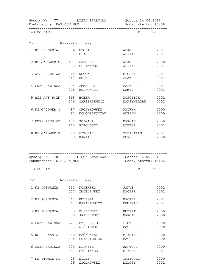| Konkurencja: K-2 JUN MLM     |                 | Wyścig Nr 77 LISTA STARTOWA Sobota 14.05.2016<br>Godz. startu: 15:58 |                         |                |
|------------------------------|-----------------|----------------------------------------------------------------------|-------------------------|----------------|
| $1-3$ DO FIN                 |                 |                                                                      |                         | $P \qquad 2/3$ |
| Tor                          | Nazwisko i imię |                                                                      |                         |                |
| 1 KS POSNANIA 574 NYCZAK     |                 | 551 BIAŁECKI                                                         | ADAM<br>ADRIAN          | 2001<br>2001   |
| 2 KS G'POWER G 101 WRZOSEK   |                 | 95 SELIWAŃSKI                                                        | ADAM<br>ADRIAN          | 2000<br>2001   |
| 3 WTS ORZEŁ WA 265 KOTOWSKIJ |                 | 263 HOHM                                                             | MICHAł<br>ADAM          | 2001<br>2001   |
| 4 CWZA ZAWISZA 214 AMMACHER  |                 | 218 BORKOWSKI                                                        | BARTOSZ<br>KAMIL        | 2001<br>2001   |
| 5 AZS AWF POZN 368 BOBER     |                 | 376 GARSTKIEWICZ                                                     | WOJCIECH<br>MAKSYMILIAN | 2001<br>2001   |
|                              |                 | 6 KS G'POWER G 87 ORCZYKOWSKI<br>82 KOŁODZIEJCZAK ADRIAN             | PATRYK                  | 2000<br>2000   |
| 7 UMKS ZRYW WO               |                 | 174 ŚCIGACZ<br>165 PIECHOCKI                                         | MARCIN<br>WIKTOR        | 2000<br>2001   |
| 8 KS G'POWER G 99 WITCZAK    |                 | 79 KANIA                                                             | SEBASTIAN<br>BORYS      | 2001<br>2000   |

| Wyścig Nr 78<br>Konkurencja: K-2 JUN MLM | LISTA STARTOWA | Sobota 14.05.2016<br>Godz. startu: $16:02$ |     |
|------------------------------------------|----------------|--------------------------------------------|-----|
| $1-3$ DO FIN                             |                | D                                          | 3/3 |

| Tor               |            | Nazwisko i imię                 |                               |              |
|-------------------|------------|---------------------------------|-------------------------------|--------------|
| 1 KS POSNANIA     | 562<br>557 | KOPERSKI<br>IMIELIŃSKI          | <b>JAKUB</b><br><b>KACPER</b> | 2001<br>2001 |
| 2 KS POSNANIA     | 567<br>561 | KULESZA<br>KARASIEWICZ          | <b>KACPER</b><br>DOMINIK      | 2001<br>2001 |
| 3 KS POSNANIA     | 575<br>558 | OLSZEWSKI<br>JAKUBOWSKI         | HUBERT<br>MARCIN              | 2000<br>2000 |
| CWZA ZAWISZA<br>4 | 221<br>253 | CZERESZKO<br>WIŚNIEWSKI         | PIOTR<br>MATEUSZ              | 2000<br>2000 |
| 5 KS POSNANIA     | 568<br>594 | MAĆKOWIAK<br><b>ŁUKASIEWICZ</b> | MIKOłAJ<br>MATEUSZ            | 2000<br>2000 |
| CWZA ZAWISZA<br>6 | 229<br>237 | KIŃCZYK<br>MYŚLIWIEC            | <b>BARTOSZ</b><br>MIKOŁAJ     | 2000<br>2001 |
| 7 KS STOMIL PO    | 25<br>29   | SIDEŁ<br>ZIÓŁKOWSKI             | GRZEGORZ<br>MIŁOSZ            | 2000<br>2001 |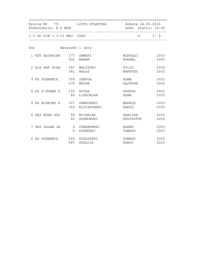| Wyścig Nr 79 LISTA STARTOWA Sobota 14.05.2016<br>Konkurencja: K-2 MLM |    |                          | Godz. startu: 16:06  |                |  |
|-----------------------------------------------------------------------|----|--------------------------|----------------------|----------------|--|
| 1-2 DO FIN + 3-ci NAJ. CZAS                                           |    |                          |                      | $P \qquad 1/4$ |  |
| Tor Nazwisko i imię                                                   |    |                          |                      |                |  |
| 1 KST WLOKNIAR 177 DEMSKI                                             |    | 201 WEBER                | MIKOŁAJ<br>KORNEL    | 2003<br>2003   |  |
| 2 AZS AWF POZN 397 MALIŃSKI                                           |    | 381 HAŁAS                | FILIP<br>BARTOSZ     | 2002<br>2002   |  |
| 3 KS POSNANIA 559 JANYGA                                              |    | 570 MUCHA                | ADAM<br>KAJETAN      | 2002<br>2002   |  |
| 4 KS G'POWER G 103 WYŻGA                                              |    | 85 LISKOWIAK             | PATRYK<br>ADAM       | 2003<br>2003   |  |
| 5 KS WISKORD S 327 PERKOWSKI                                          |    | 323 KLICZKOWSKI          | MARKOS<br>DAWID      | 2003<br>2002   |  |
| 6 KKS NOWA SÓL 55 MICHALAK                                            | 60 | SOSNOWSKI                | GRACJAN<br>KRZYSZTOF | 2003<br>2003   |  |
| 7 UKS ZALEW JE                                                        | 9  | 5 CHEŁMOWSKI<br>KOPERSKI | RADEK<br>TOMASZ      | 2003<br>2003   |  |
| 8 KS POSNANIA 565 KOZŁOWSKI                                           |    | 587 SZULCIK              | TOMASZ<br>KAROL      | 2003<br>2003   |  |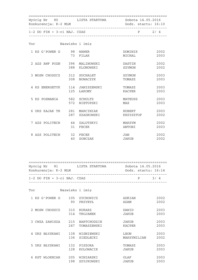| Konkurencja: K-2 MLM           |    | Wyścig Nr 80 LISTA STARTOWA Sobota 14.05.2016 | Godz. startu: 16:10      |              |
|--------------------------------|----|-----------------------------------------------|--------------------------|--------------|
| 1-2 DO FIN + 3-ci NAJ. CZAS    |    |                                               | P 2/4                    |              |
| Tor                            |    | Nazwisko i imię                               |                          |              |
| 1 KS G'POWER G 98 WAWER        |    | 73 FILAK                                      | DOMINIK<br>MICHAL        | 2002<br>2003 |
| 2 AZS AWF POZN 396 MALINOWSKI  |    | 388 KLONOWSKI                                 | DASTIN<br>SZYMON         | 2002<br>2002 |
| 3 MOSW CHOSZCZ 312 SUCHALET    |    | 308 NOWACZYK                                  | SZYMON<br>TOMASZ         | 2003<br>2003 |
| 4 KS ENERGETYK 114 JANISZEWSKI |    | 125 ŁAKOMY                                    | TOMASZ<br>KACPER         | 2003<br>2003 |
| 5 KS POSNANIA 582 SCHULTZ      |    | 572 NIETUPSKI                                 | MATEUSZ 2003<br>MAX      | 2003         |
| 6 UKS KAJAK TR 281 MARCINIAK   |    | 287 SZADKOWSKI                                | HUBERT 2003<br>KRZYSZTOF | 2002         |
| 7 AZS POLITECH 44 ZALUTSKYI    |    | 31 FECEK                                      | MAKSYM<br>ANTONI         | 2002<br>2003 |
| 8 AZS POLITECH 32 FECEK        | 40 | SOBCZAK                                       | JAN<br>JAKUB             | 2002<br>2002 |

 ================================================================== Wyścig Nr 81 LISTA STARTOWA Sobota 14.05.2016<br>Konkurencja: K-2 MLM Sonkurencja: K-2 MLM Godz. startu: 16:14 ------------------------------------------------------------------ 1-2 DO FIN + 3-ci NAJ. CZAS P 3/ 4 ------------------------------------------------------------------ Tor Nazwisko i imię 1 KS G'POWER G 105 ZYCHOWICZ ADRIAN 2002 90 PRZYBYŁ 2 MOSW CHOSZCZ 310 RURARZ DAWID 2003 314 TROJANEK JAKUB 2003 3 CWZA ZAWISZA 215 BARTCHODZIE JAKUB 2003 247 TOMASZEWSKI KACPER 2003 4 UKS BŁYSKAWI 138 WISNIEWSKI LEON 2003 136 SIEDLECKI MAKSYMILIAN 2002 5 UKS BŁYSKAWI 132 PISZORA 100 TOMASZ 2003<br>128 KOLOWACIK 125 JAKUB 2003 128 KOLOWACIK JAKUB 2003 6 KST WLOKNIAR 205 WINIARSKI OLAF 2003 198 SZYJKOWSKI JAKUB 2003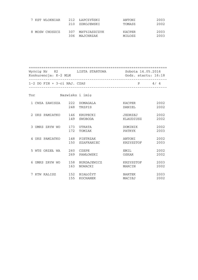| 7 KST WLOKNIAR | 210 | 212 ŁAPCZYNSKI<br>ZDROJEWSKI  | ANTONI<br>TOMASZ | 2003<br>2002 |
|----------------|-----|-------------------------------|------------------|--------------|
| 8 MOSW CHOSZCZ | 306 | 307 MATYJASZCZYK<br>MAJCHRZAK | KACPER<br>MIŁOSZ | 2003<br>2003 |

| Wyścig Nr 82<br>Konkurencja: K-2 MLM | LISTA STARTOWA | Sobota 14.05.2016<br>Godz. startu: 16:18 |
|--------------------------------------|----------------|------------------------------------------|
| $1-2$ DO FIN + $3-ci$ NAJ. CZAS      |                | D<br>4/4                                 |

| Tor            |                |            | Nazwisko i imię               |                         |              |
|----------------|----------------|------------|-------------------------------|-------------------------|--------------|
|                | 1 CWZA ZAWISZA | 222<br>248 | <b>DOMAGALA</b><br>TRZPIS     | KACPER<br>DANIEL        | 2002<br>2002 |
|                | 2 UKS PAMIATKO | 146<br>149 | KRUPECKI<br>SWOBODA           | JEDRZEJ<br>KLAUDIUSZ    | 2002<br>2002 |
| 3              | UMKS ZRYW WO   | 173<br>172 | UTRATA<br>TOMIAK              | DOMINIK<br>PATRYK       | 2002<br>2003 |
| $\overline{4}$ | UKS PAMIATKO   | 148<br>150 | PIETRZAK<br><b>SZAFRANIEC</b> | ANTONI<br>KRZYSZTOF     | 2002<br>2003 |
|                | 5 WTS ORZEŁ WA | 260<br>269 | CZEPE<br>PAWŁOWSKI            | EMIL<br>OSKAR           | 2002<br>2002 |
| 6              | UMKS ZRYW WO   | 158<br>163 | <b>BURDAJEWICZ</b><br>NOWACKI | KRZYSZTOF<br>MARCIN     | 2003<br>2002 |
| 7              | KTW KALISZ     | 152<br>155 | BIAŁOŻYT<br><b>KOCHANEK</b>   | <b>BARTEK</b><br>MACIEJ | 2003<br>2002 |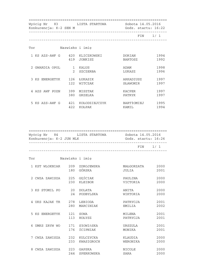| Konkurencja: K-2 SEN M |               | Wyścig Nr 83 LISTA STARTOWA |                       | Sobota 14.05.2016<br>Godz. startu: 16:22 |  |
|------------------------|---------------|-----------------------------|-----------------------|------------------------------------------|--|
|                        |               |                             |                       | $FIN \qquad 1/1$                         |  |
| Tor                    |               | Nazwisko i imie             |                       |                                          |  |
| 1 KS AZS-AWF G 420     | 419           | KLICZKOWSKI<br>JONKISZ      | DORIAN<br>BARTOSZ     | 1994<br>1992                             |  |
| 2 GWARDIA OPOL         | $\mathcal{L}$ | 1 KALUS<br>SZCZERBA         | ADAM<br>LUKASZ        | 1998<br>1996                             |  |
| 3 KS ENERGETYK         | 126<br>122    | ŁUKASIK<br>WITCZAK          | ARKADIUSZ<br>SŁAWOMIR | 1997<br>1997                             |  |
| 4 AZS AWF POZN         | 399<br>380    | MISZTAK<br>GRZELKA          | KACPER<br>PATRYK      | 1997<br>1997                             |  |
| 5 KS AZS-AWF G         | 422           | 421 KOŁODZIEJCZYK<br>KOŁPAK | BARTłOMIEJ<br>KAMIL   | 1995<br>1994                             |  |

| Wyścig Nr 84 LISTA STARTOWA Sobota 14.05.2016<br>Konkurencja: K-2 JUN MLK |                 |                           | Godz. startu: 16:26      |              |  |
|---------------------------------------------------------------------------|-----------------|---------------------------|--------------------------|--------------|--|
|                                                                           |                 |                           |                          | FIN 1/1      |  |
| Tor                                                                       | Nazwisko i imię |                           |                          |              |  |
| 1 KST WLOKNIAR 209 ZDROJEWSKA                                             |                 | 180 GÓRSKA                | MAŁGORZATA 2000<br>JULIA | 2001         |  |
| 2 CWZA ZAWISZA 225 GEŚCIAK                                                |                 | 230 KLEIBOR               | PAULINA<br>VICTORIA      | 2000<br>2000 |  |
| 3 KS STOMIL PO 20 DOLATA                                                  |                 | 24 PODBYLSKA              | ANITA<br>WIKTORIA        | 2000<br>2000 |  |
| 4 UKS KAJAK TR 278 LEBIODA                                                |                 | 280 MARCINIAK             | PATRYCJA<br>EMILIA       | 2001<br>2002 |  |
| 5 KS ENERGETYK                                                            | 113             | 121 SOWA<br>HOŁYSZ        | MILENA<br>PATRYCJA       | 2001<br>2001 |  |
| 6 UMKS ZRYW WO                                                            | 176             | 171 SłOWIńSKA<br>ŚCIPNIAK | URSZULA<br>MONIKA        | 2001<br>2001 |  |
| 7 CWZA ZAWISZA 232 KULCZYCKA                                              |                 | 233 KWASIGROCH            | KLAUDIA<br>WERONIKA      | 2000<br>2000 |  |
| 8 CWZA ZAWISZA 223 GAPSKA                                                 |                 | 244 SPERKOWSKA            | NICOLE<br>SARA           | 2000<br>2000 |  |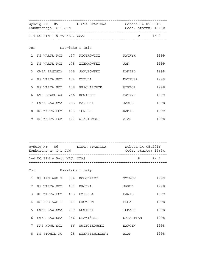| Wyścig Nr 85 LISTA STARTOWA Sobota 14.05.2016<br>Konkurencja: C-1 JUN |                               | Godz. startu: 16:30                   |         |      |
|-----------------------------------------------------------------------|-------------------------------|---------------------------------------|---------|------|
|                                                                       | $1-4$ DO FIN + 5-ty NAJ. CZAS | _____________________________________ | P 1/2   |      |
|                                                                       | Tor                           | Nazwisko i imię                       |         |      |
|                                                                       | 1 KS WARTA POZ 457 PIOTROWICZ |                                       | PATRYK  | 1999 |
|                                                                       | 2 KS WARTA POZ 478 ZIEMKOWSKI |                                       | JAN     | 1999 |
| $\mathcal{E}$                                                         | CWZA ZAWISZA 226 JAKUBOWSKI   |                                       | DANIEL  | 1998 |
| $\overline{4}$                                                        | KS WARTA POZ 434 CYBULA       |                                       | MATEUSZ | 1999 |
| 5                                                                     | KS WARTA POZ 458 PRACHARCZYK  |                                       | WIKTOR  | 1998 |
| 6                                                                     | WTS ORZEŁ WA 266 KOWALSKI     |                                       | PATRYK  | 1999 |
| 7                                                                     | CWZA ZAWISZA 255 ZARECKI      |                                       | JAKUB   | 1998 |
| 8                                                                     | KS WARTA POZ 473 TONDER       |                                       | KAMIL   | 1999 |
| 9                                                                     | KS WARTA POZ 477 WIŚNIEWSKI   |                                       | ALAN    | 1998 |

| Wyścig Nr 86<br>Konkurencja: C-1 JUN | LISTA STARTOWA | Sobota 14.05.2016<br>Godz. startu: 16:34 |     |
|--------------------------------------|----------------|------------------------------------------|-----|
| $1-4$ DO FIN + 5-ty NAJ. CZAS        |                | D                                        | 2/2 |

| Tor            |              |     | Nazwisko i imię |              |      |
|----------------|--------------|-----|-----------------|--------------|------|
| $\mathbf{1}$   | KS AZS AWF P | 354 | KOŁODZIEJ       | SZYMON       | 1999 |
| $\mathfrak{D}$ | KS WARTA POZ | 431 | BRÓDKA          | <b>JAKUB</b> | 1998 |
| 3              | KS WARTA POZ | 435 | DZIURLA         | DAWID        | 1999 |
| 4              | KS AZS AWF P | 361 | SKOWRON         | <b>EDGAR</b> | 1998 |
| 5              | CWZA ZAWISZA | 239 | NOWICKI         | TOMASZ       | 1998 |
| 6              | CWZA ZAWISZA | 246 | SŁAWIŃSKI       | SEBASTIAN    | 1998 |
| 7              | KKS NOWA SÓL | 66  | ŚWIECZKOWSKI    | MARCIN       | 1998 |
| 8              | KS STOMIL PO | 28  | SZERSZENIEWSKI  | ALAN         | 1998 |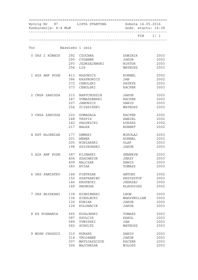| Wyścig Nr 87 LISTA STARTOWA Sobota 14.05.2016<br>Konkurencja: K-4 MLM |     |                 | Godz. startu: 16:38 |          |  |
|-----------------------------------------------------------------------|-----|-----------------|---------------------|----------|--|
|                                                                       |     |                 |                     | FIN 1/ 1 |  |
| Tor                                                                   |     | Nazwisko i imię |                     |          |  |
| 0 UKS 2 KÓRNIK                                                        |     | 292 CZUCHRA     | DOMINIK             | 2003     |  |
|                                                                       |     | 290 CYGANEK     | JAKUB               | 2003     |  |
|                                                                       | 293 | JEDRZEJEWSKI    | WIKTOR              | 2003     |  |
|                                                                       | 294 | LIS             | MATEUSZ             | 2003     |  |
| 1 AZS AWF POZN                                                        | 413 | WĄSOWICZ        | KORNEL              | 2002     |  |
|                                                                       | 386 | KASPROWICZ      | JAN                 | 2002     |  |
|                                                                       | 372 | CEBULSKI        | PATRYK              | 2003     |  |
|                                                                       | 373 | CEBULSKI        | KACPER              | 2003     |  |
| 2 CWZA ZAWISZA                                                        | 215 | BARTCHODZIE     | JAKUB               | 2003     |  |
|                                                                       | 247 | TOMASZEWSKI     | KACPER              | 2003     |  |
|                                                                       | 227 | <b>JANOWICZ</b> | DAWID               | 2003     |  |
|                                                                       | 256 | ŚCIESIŃSKI      | MATEUSZ             | 2003     |  |
| 3 CWZA ZAWISZA                                                        | 222 | DOMAGALA        | KACPER              | 2002     |  |
|                                                                       | 248 | TRZPIS          | DANIEL              | 2002     |  |
|                                                                       | 242 | PAŁUBICKI       | ŁUKASZ              | 2002     |  |
|                                                                       | 217 | <b>BAŁKA</b>    | HUBERT              | 2002     |  |
| 4 KST WLOKNIAR                                                        | 177 | DEMSKI          | MIKOŁAJ             | 2003     |  |
|                                                                       | 201 | WEBER           | KORNEL              | 2003     |  |
|                                                                       | 205 | WINIARSKI       | OLAF                | 2003     |  |
|                                                                       | 198 | SZYJKOWSKI      | JAKUB               | 2003     |  |
| 5 AZS AWF POZN                                                        | 387 | KIJEWSKI        | SEWERYN             | 2003     |  |
|                                                                       | 406 | SZACHNIUK       | JERZY               | 2003     |  |
|                                                                       | 409 | WALCZAK         | DAWID               | 2003     |  |
|                                                                       | 383 | HYŻAK           | TOMASZ              | 2003     |  |
| 6 UKS PAMIATKO                                                        | 148 | PIETRZAK        | ANTONI              | 2002     |  |
|                                                                       | 150 | SZAFRANIEC      | KRZYSZTOF           | 2003     |  |
|                                                                       | 146 | KRUPECKI        | JEDRZEJ             | 2002     |  |
|                                                                       | 149 | <b>SWOBODA</b>  | KLAUDIUSZ           | 2002     |  |
| 7 UKS BŁYSKAWI                                                        | 138 | WISNIEWSKI      | <b>LEON</b>         | 2003     |  |
|                                                                       | 136 | SIEDLECKI       | MAKSYMILIAN         | 2002     |  |
|                                                                       | 130 | KUBIAK          | JAKUB               | 2002     |  |
|                                                                       | 128 | KOLOWACIK       | JAKUB               | 2003     |  |
| 8 KS POSNANIA                                                         | 565 | KOZŁOWSKI       | TOMASZ              | 2003     |  |
|                                                                       | 587 | <b>SZULCIK</b>  | KAROL               | 2003     |  |
|                                                                       | 589 | TYMIŃSKI        | JAN                 | 2003     |  |
|                                                                       | 582 | <b>SCHULTZ</b>  | MATEUSZ             | 2003     |  |
| 9 MOSW CHOSZCZ                                                        | 310 | <b>RURARZ</b>   | DAWID               | 2003     |  |
|                                                                       | 314 | TROJANEK        | <b>JAKUB</b>        | 2003     |  |
|                                                                       | 307 | MATYJASZCZYK    | <b>KACPER</b>       | 2003     |  |
|                                                                       | 306 | MAJCHRZAK       | MIŁOSZ              | 2003     |  |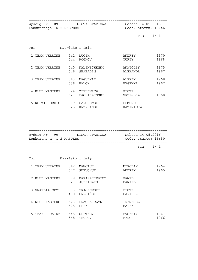|                | Wyścig Nr 89 LISTA STARTOWA<br>Konkurencja: K-2 MASTERS |            |                               | Sobota 14.05.2016<br>Godz. startu: 16:46 |              |  |
|----------------|---------------------------------------------------------|------------|-------------------------------|------------------------------------------|--------------|--|
|                |                                                         |            |                               | $FIN \qquad 1/1$                         |              |  |
| Tor            |                                                         |            | Nazwisko i imie               |                                          |              |  |
|                | 1 TEAM UKRAINE 541 LUCIK                                | 544        | ROGKOV                        | ANDREY<br>YURIY                          | 1970<br>1968 |  |
| 2 TEAM UKRAINE |                                                         | 546        | 540 KALINICHENKO<br>SHABALIN  | ANATOLIY<br>ALEXANDR                     | 1975<br>1967 |  |
| 3 TEAM UKRAINE |                                                         | 543<br>538 | NAGULYAK<br><b>BALOK</b>      | ALEXEY<br>EVGENYI                        | 1968<br>1967 |  |
| 4 KLUB MASTERS |                                                         | 621        | 524 ZIELEWICZ<br>PACHARZYŃSKI | <b>PIOTR</b><br>GRZEGORZ                 | 1960         |  |
| 5 KS WISKORD S |                                                         | 325        | 319 GARCZEWSKI<br>KRZYZANSKI  | <b>EDMUND</b><br>KAZIMIERZ               |              |  |

| Konkurencja: C-2 MASTERS    |     | Wyścig Nr 90 LISTA STARTOWA Sobota 14.05.2016<br>Godz. startu: 16:50 |                   |              |
|-----------------------------|-----|----------------------------------------------------------------------|-------------------|--------------|
|                             |     |                                                                      |                   | FIN 1/1      |
| Tor                         |     | Nazwisko i imię                                                      |                   |              |
| 1 TEAM UKRAINE              |     | 542 MAMOTUK<br>547 SHEVCHUK                                          | NIKOLAY<br>ANDREY | 1964<br>1965 |
| 2 KLUB MASTERS              |     | 519 BARASZKIEWICZ<br>521 JEDRASZKO                                   | PAWEL<br>DANIEL   |              |
| 3 GWARDIA OPOL 3 TRACZEWSKI |     | 430 BRESIŃSKI                                                        | PIOTR<br>DARIUSZ  |              |
| 4 KLUB MASTERS              | 525 | 523 PRACHARCZYK<br>ŁBIK                                              | IRENEUSZ<br>MAREK |              |
| 5<br>TEAM UKRAINE           | 548 | 545 SBITNEV<br>TRUNOV                                                | EVGENIY<br>FEDOR  | 1967<br>1966 |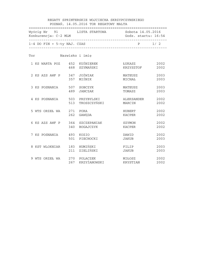|                              |                 | Wyścig Nr 91 LISTA STARTOWA Sobota 14.05.2016    |                         |              |
|------------------------------|-----------------|--------------------------------------------------|-------------------------|--------------|
| 1-4 DO FIN + 5-ty NAJ. CZAS  |                 |                                                  | $P \t 1/2$              |              |
| Tor                          | Nazwisko i imię |                                                  |                         |              |
| 1 KS WARTA POZ 452 KUŚNIEREK |                 | 468 SZYMAŃSKI                                    | ŁUKASZ<br>KRZYSZTOF     | 2002<br>2002 |
| 2 KS AZS AWF P 347 JOŻWIAK   |                 | 357 MIŚNIK                                       | MATEUSZ<br>MICHAŁ       | 2003<br>2003 |
| 3 KS POSNANIA 507 SOBCZYK    | 489             | JANCZAK                                          | MATEUSZ<br>TOMASZ       | 2003<br>2003 |
|                              |                 | 4 KS POSNANIA 503 PRZYBYLSKI<br>513 TROSZCZYŃSKI | ALEKSANDER<br>MARCIN    | 2002<br>2002 |
| 5 WTS ORZEŁ WA               |                 | 271 PORA<br>262 GAWEDA                           | <b>HUBERT</b><br>KACPER | 2002<br>2002 |
| 6 KS AZS AWF P               |                 | 364 SZCZEPANIAK<br>340 BOGAJCZYK                 | SZYMON<br>KACPER        | 2002<br>2002 |
| 7 KS POSNANIA                |                 | 493 KOZIO<br>501 PIECHOCKI                       | DAWID<br>JAKUB          | 2002<br>2003 |
| 8 KST WLOKNIAR               |                 | 183 HUMIŃSKI<br>211 ZIELIŃSKI                    | FILIP<br>JAKUB          | 2003<br>2003 |
| 9 WTS ORZEŁ WA               |                 | 270 POLACZEK<br>267 KRZYŻANOWSKI                 | MIŁOSZ<br>KRYSTIAN      | 2002<br>2002 |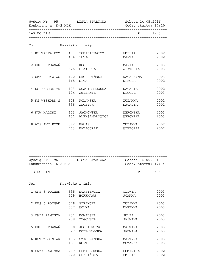|                                 | Wyścig Nr 95 LISTA STARTOWA Sobota 14.05.2016<br>Konkurencja: K-2 MLK<br>Godz. startu: 17:10 |                                              |                          |              |
|---------------------------------|----------------------------------------------------------------------------------------------|----------------------------------------------|--------------------------|--------------|
| $1-3$ DO FIN                    |                                                                                              |                                              |                          | $P \t1/3$    |
| Tor                             |                                                                                              | Nazwisko i imię                              |                          |              |
| 1 KS WARTA POZ 471 TOMIDAJEWICZ |                                                                                              | 474 TUTAJ                                    | EMILIA<br>MARTA          | 2002<br>2002 |
| 2 UKS 6 POZNAŃ 531 KOCH         |                                                                                              | 526 BIAłECKA                                 | MARIA<br>WIKTORIA        | 2003<br>2003 |
| 3 UMKS ZRYW WO 170 SKORUPIŃSKA  |                                                                                              | 168 SITA                                     | KATARZYNA<br>NIKOLA      | 2003<br>2002 |
|                                 | 124                                                                                          | 4 KS ENERGETYK 123 WOJCIECHOWSKA<br>ZWIERNIK | <b>NATALIA</b><br>NICOLE | 2002<br>2003 |
| 5 KS WISKORD S 328 POLAŃSKA     | 335                                                                                          | ZDOBYCH                                      | ZUZANNA<br>NATALIA       | 2002<br>2002 |
| 6 KTW KALISZ                    |                                                                                              | 153 JACKOWSKA<br>151 ALEKSANDROWICZ          | WERONIKA<br>WERONIKA     | 2003<br>2003 |
| 8 AZS AWF POZN                  |                                                                                              | 382 HAŁAS<br>403 RATAJCZAK                   | ZUZANNA<br>WIKTORIA      | 2002<br>2002 |

| Konkurencja: K-2 MLK | Wyścig Nr 96 LISTA STARTOWA                   | Sobota 14.05.2016<br>Godz. startu: 17:14 |              |
|----------------------|-----------------------------------------------|------------------------------------------|--------------|
| $1-3$ DO FIN         | __________________________________            | P                                        | 2/3          |
| Tor                  | Nazwisko i imię                               |                                          |              |
|                      | 1 UKS 6 POZNAŃ 535 STASIEWICZ<br>529 HOFFMANN | OLIWIA<br>JOANNA                         | 2003<br>2003 |
|                      | 2 UKS 6 POZNAŃ 528 GIRZYCKA<br>537<br>WOLNA   | ZUZANNA<br>MARTYNA                       | 2003<br>2003 |
| 3 CWZA ZAWISZA       | 231 KOWALSKA<br>258<br>ŻYGOWSKA               | JULIA<br>JAŚMINA                         | 2003<br>2003 |
| 5 UKS 6 POZNAŃ       | 530 JUCHIEWICZ<br>527<br>DOBROWOLSKA          | MALWINA<br>JADWIGA                       | 2003<br>2003 |
| 6 KST WLOKNIAR       | 195 SZKODZIŃSKA<br>187 KORT                   | MARTYNA<br>ZUZANNA                       | 2003<br>2003 |
| 8 CWZA ZAWISZA       | 219 CHMIELEWSKA<br>220 CHYLIŃSKA              | DOMINIKA<br>EMILIA                       | 2002<br>2002 |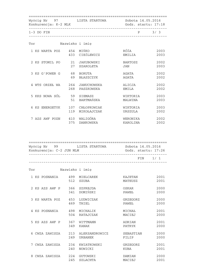| Konkurencja: K-2 MLK      | Wyścig Nr 97 LISTA STARTOWA                     | Sobota 14.05.2016<br>Godz. startu: 17:18 |              |
|---------------------------|-------------------------------------------------|------------------------------------------|--------------|
| $1-3$ DO FIN              |                                                 |                                          | $P$ 3/3      |
| Tor                       | Nazwisko i imię                                 |                                          |              |
| 1 KS WARTA POZ 454 MIŃKO  | 433 CIEŚLEWICZ                                  | RÓŻA<br>EMILIA                           | 2003<br>2003 |
| 2 KS STOMIL PO            | 21 JAKUBOWSKI<br>27 SZAROLETA                   | BARTOSZ<br><b>JAN</b>                    | 2002<br>2003 |
| 3 KS G'POWER G 68 BORUTA  | 69<br>BŁASZCZYK                                 | AGATA<br>AGATA                           | 2002<br>2002 |
| 4 WTS ORZEŁ WA            | 264 JANUCHOWSKA<br>268<br>PASZKOWSKA            | ALICJA<br>EMILA                          | 2002<br>2002 |
| 5 KKS NOWA SÓL 59 SIEMASZ | BARTMAŃSKA<br>51                                | WIKTORIA<br>MALWINA                      | 2003<br>2003 |
| 6 KS ENERGETYK            | 107 CHŁOPKOWIAK<br>119<br>MIKOŁAJCZAK           | WIKTORIA<br>URSZULA                      | 2003<br>2002 |
|                           | 7 AZS AWF POZN 410 WALIGÓRA<br>375<br>DANKOWSKA | WERONIKA<br>KAROLINA                     | 2002<br>2002 |

| Wyścig Nr 99<br>Konkurencja: C-2 JUN MLM | LISTA STARTOWA | Sobota 14.05.2016<br>Godz. startu: 17:26 |
|------------------------------------------|----------------|------------------------------------------|
|                                          |                | FIN 1/1                                  |

| Tor |                |            | Nazwisko i imię             |                         |              |
|-----|----------------|------------|-----------------------------|-------------------------|--------------|
|     | 1 KS POSNANIA  | 499<br>512 | MIELCAREK<br><b>SZUBA</b>   | KAJETAN<br>MATEUSZ      | 2001<br>2001 |
|     | 2 KS AZS AWF P | 366<br>341 | SZPREJDA<br>DOMIŃSKI        | OSKAR<br>PAWEŁ          | 2000<br>2000 |
|     | 3 KS WARTA POZ | 453<br>469 | LUDWICZAK<br>THIEL          | GRZEGORZ<br>PAWEŁ       | 2000<br>2000 |
|     | 4 KS POSNANIA  | 498<br>504 | MICHALIK<br>RATAJCZAK       | MICHAŁ<br>MACIEJ        | 2001<br>2000 |
|     | 5 KS AZS AWF P | 367<br>349 | WITTMANN<br>KANAK           | ADRIAN<br><b>PATRYK</b> | 2001<br>2000 |
| 6   | CWZA ZAWISZA   | 213<br>249 | ALEKSANDROWICZ<br>URBANEK   | SEBASTIAN<br>FILIP      | 2000<br>2000 |
|     | 7 CWZA ZAWISZA | 234<br>240 | KWIATKOWSKI<br>NOWICKI      | GRZEGORZ<br>KUBA        | 2001<br>2001 |
| 8   | CWZA ZAWISZA   | 224<br>245 | GUTOWSKI<br><b>SZLACHTA</b> | DAMIAN<br>MACIEJ        | 2000<br>2001 |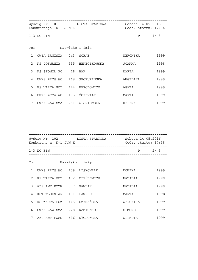|                | Wyścig Nr 101 LISTA STARTOWA<br>Konkurencja: K-1 JUN K |  |                              | Sobota 14.05.2016<br>Godz. startu: 17:34 |      |  |
|----------------|--------------------------------------------------------|--|------------------------------|------------------------------------------|------|--|
|                | $1-3$ DO FIN                                           |  |                              | P                                        | 1/3  |  |
| Tor            |                                                        |  | Nazwisko i imię              |                                          |      |  |
| 1              | CWZA ZAWISZA 243 SCHAB                                 |  |                              | WERONIKA                                 | 1999 |  |
| $\mathcal{L}$  |                                                        |  | KS POSNANIA 555 HENECZKOWSKA | JOANNA                                   | 1998 |  |
| $\mathcal{E}$  | KS STOMIL PO 18 BAK                                    |  |                              | MARTA                                    | 1999 |  |
| $\overline{4}$ | UMKS ZRYW WO 169 SKORUPIŃSKA                           |  |                              | ANGELIKA                                 | 1999 |  |
| 5              | KS WARTA POZ 444 HERODOWICZ                            |  |                              | AGATA                                    | 1999 |  |
| 6              | UMKS ZRYW WO 175 ŚCIPNIAK                              |  |                              | MARTA                                    | 1999 |  |
| 7              | CWZA ZAWISZA 251 WISNIEWSKA                            |  |                              | HELENA                                   | 1999 |  |

|               | Wyścig Nr 102 LISTA STARTOWA<br>Konkurencja: K-1 JUN K |  | Sobota 14.05.2016<br>Godz. startu: 17:38 |          |      |
|---------------|--------------------------------------------------------|--|------------------------------------------|----------|------|
|               | $1-3$ DO FIN                                           |  | _____________________________________    | P        | 2/3  |
| Tor           |                                                        |  | Nazwisko i imie                          |          |      |
| $\mathbf{1}$  | UMKS ZRYW WO 159 LISKOWIAK                             |  |                                          | MONIKA   | 1999 |
| $\mathcal{L}$ | KS WARTA POZ 432 CIEŚLEWICZ                            |  |                                          | NATALIA  | 1999 |
| 3             | AZS AWF POZN 377 GAWLIK                                |  |                                          | NATALIA  | 1999 |
| 4             | KST WLOKNIAR 191 PAWELEK                               |  |                                          | MARTA    | 1998 |
| 5             | KS WARTA POZ   465  SZYMAŃSKA                          |  |                                          | WERONIKA | 1999 |
| 6             | CWZA ZAWISZA                                           |  | 228 KAMIONKO                             | SIMONE   | 1999 |
| 7             | AZS AWF POZN 616 KłOSOWSKA                             |  |                                          | OLIMPIA  | 1999 |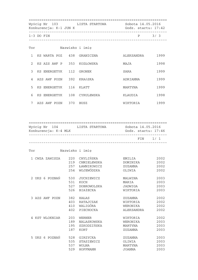|                | Wyścig Nr 103 LISTA STARTOWA<br>Konkurencja: K-1 JUN K |  |                 | Sobota 14.05.2016<br>Godz. startu: 17:42 |         |
|----------------|--------------------------------------------------------|--|-----------------|------------------------------------------|---------|
|                | $1-3$ DO FIN                                           |  |                 |                                          | $P$ 3/3 |
| Tor            |                                                        |  | Nazwisko i imię |                                          |         |
|                | 1 KS WARTA POZ 438 GRANICZNA                           |  |                 | ALEKSANDRA                               | 1999    |
| $\mathfrak{D}$ | KS AZS AWF P 353 KOZŁOWSKA                             |  |                 | MAJA                                     | 1998    |
| $\mathcal{E}$  | KS ENERGETYK 112 GRONEK                                |  |                 | SARA                                     | 1999    |
|                | 4 AZS AWF POZN 392 KRAńSKA                             |  |                 | ADRIANNA                                 | 1999    |
| 5              | KS ENERGETYK 116 KLATT                                 |  |                 | MARTYNA                                  | 1999    |
| 6              | KS ENERGETYK 108 CYRULEWSKA                            |  |                 | KLAUDIA                                  | 1998    |
| 7              | AZS AWF POZN 370 BUSZ                                  |  |                 | WIKTORIA                                 | 1999    |

| Konkurencja: K-4 MLK | Wyścig Nr 104 LISTA STARTOWA Sobota 14.05.2016 | Godz. startu: 17:46 |         |
|----------------------|------------------------------------------------|---------------------|---------|
|                      |                                                |                     | FIN 1/1 |
| Tor                  | Nazwisko i imię                                |                     |         |
|                      | 1 CWZA ZAWISZA 220 CHYLIŃSKA                   | <b>EMILIA</b>       | 2002    |
|                      | 219 CHMIELEWSKA                                | DOMINIKA            | 2002    |
|                      | 257 ŁAWNIKOWICZ                                | ZUZANNA             | 2002    |
|                      | 254 WOJEWÓDZKA                                 | OLIWIA              | 2002    |
| 2 UKS 6 POZNAŃ       | 530<br>JUCHIEWICZ                              | MALWINA             | 2003    |
|                      | 531<br>KOCH                                    | MARIA               | 2003    |
|                      | 527<br>DOBROWOLSKA                             | JADWIGA             | 2003    |
|                      | 526 BIAIECKA                                   | WIKTORIA            | 2003    |
| 3 AZS AWF POZN       | 382 HAŁAS                                      | ZUZANNA             | 2002    |
|                      | 403 RATAJCZAK                                  | WIKTORIA            | 2002    |
|                      | 410 WALIGÓRA                                   | WERONIKA            | 2002    |
|                      | 402 PIECHOCKA                                  | ALEKSANDRA          | 2002    |
| 4 KST WLOKNIAR       | 203<br>WERNER                                  | WIKTORIA            | 2002    |
|                      | 189<br>NALASKOWSKA                             | WERONIKA            | 2003    |
|                      | 195 SZKODZIŃSKA                                | MARTYNA             | 2003    |
|                      | 187<br>KORT                                    | ZUZANNA             | 2003    |
| 5 UKS 6 POZNAŃ       | 528<br>GIRZYCKA                                | ZUZANNA             | 2003    |
|                      | 535<br>STASIEWICZ                              | OLIWIA              | 2003    |
|                      | 537<br>WOLNA                                   | MARTYNA             | 2003    |
|                      | 529<br>HOFFMANN                                | JOANNA              | 2003    |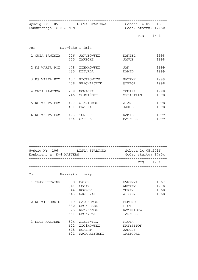|                            | Konkurencja: C-2 JUN M        |                     | Wyścig Nr 105 LISTA STARTOWA Sobota 14.05.2016<br>Godz. startu: 17:50 |  |
|----------------------------|-------------------------------|---------------------|-----------------------------------------------------------------------|--|
|                            |                               |                     | FIN 1/1                                                               |  |
| Tor                        | Nazwisko i imię               |                     |                                                                       |  |
|                            | 1 CWZA ZAWISZA 226 JAKUBOWSKI | DANIEL              | 1998                                                                  |  |
|                            | 255 ZARECKI                   | JAKUB               | 1998                                                                  |  |
|                            | 2 KS WARTA POZ 478 ZIEMKOWSKI | JAN                 | 1999                                                                  |  |
|                            | 435 DZIURLA                   | DAWID               | 1999                                                                  |  |
|                            | 3 KS WARTA POZ 457 PIOTROWICZ | PATRYK              | 1999                                                                  |  |
|                            | 458 PRACHARCZYK               | WIKTOR              | 1998                                                                  |  |
| 4 CWZA ZAWISZA 239 NOWICKI | 246 SŁAWIŃSKI                 | TOMASZ<br>SEBASTIAN | 1998<br>1998                                                          |  |
|                            | 5 KS WARTA POZ 477 WIŚNIEWSKI | ALAN                | 1998                                                                  |  |
|                            | 431 BRÓDKA                    | JAKUB               | 1998                                                                  |  |
| 6 KS WARTA POZ 473 TONDER  | 434                           | KAMIL               | 1999                                                                  |  |
|                            | <b>CYBULA</b>                 | MATEUSZ             | 1999                                                                  |  |

| Wyścig Nr 106 LISTA STARTOWA<br>Konkurencja: K-4 MASTERS |     | Sobota 14.05.2016<br>Godz. startu: 17:54 |              |                  |
|----------------------------------------------------------|-----|------------------------------------------|--------------|------------------|
|                                                          |     |                                          |              | $FIN \qquad 1/1$ |
| Tor                                                      |     | Nazwisko i imię                          |              |                  |
| 1 TEAM UKRAINE 538                                       |     | BALOK                                    | EVGENYI      | 1967             |
|                                                          | 541 | LUCIK                                    | ANDREY       | 1970             |
|                                                          | 544 | ROGKOV                                   | YURIY        | 1968             |
|                                                          | 543 | NAGULYAK                                 | ALEXEY       | 1968             |
| 2 KS WISKORD S                                           | 319 | GARCZEWSKI                               | EDMUND       |                  |
|                                                          | 330 | SZCZESZEK                                | <b>PIOTR</b> |                  |
|                                                          | 325 | KRZYZANSKI                               | KAZIMIERZ    |                  |
|                                                          | 331 | SZCZYPAK                                 | TADEUSZ      |                  |
| 3 KLUB MASTERS                                           |     | 524 ZIELEWICZ                            | PIOTR        |                  |
|                                                          |     | 622 ZIÓłKOWSKI                           | KRZYSZTOF    |                  |
|                                                          | 618 | <b>ECKERT</b>                            | JANUSZ       |                  |
|                                                          |     | 621 PACHARZYŃSKI                         | GRZEGORZ     |                  |